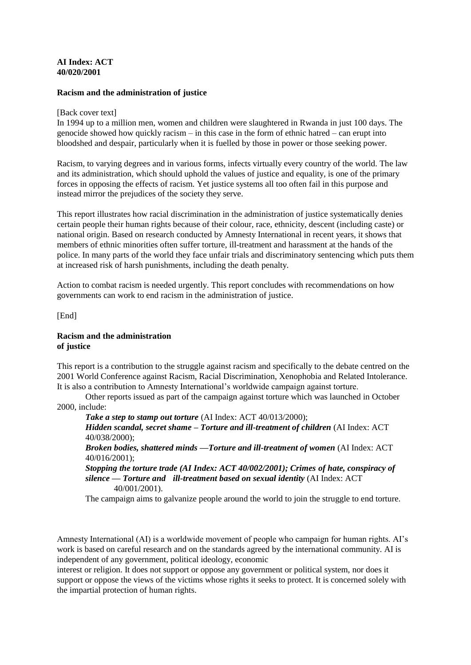## **AI Index: ACT 40/020/2001**

## **Racism and the administration of justice**

### [Back cover text]

In 1994 up to a million men, women and children were slaughtered in Rwanda in just 100 days. The genocide showed how quickly racism – in this case in the form of ethnic hatred – can erupt into bloodshed and despair, particularly when it is fuelled by those in power or those seeking power.

Racism, to varying degrees and in various forms, infects virtually every country of the world. The law and its administration, which should uphold the values of justice and equality, is one of the primary forces in opposing the effects of racism. Yet justice systems all too often fail in this purpose and instead mirror the prejudices of the society they serve.

This report illustrates how racial discrimination in the administration of justice systematically denies certain people their human rights because of their colour, race, ethnicity, descent (including caste) or national origin. Based on research conducted by Amnesty International in recent years, it shows that members of ethnic minorities often suffer torture, ill-treatment and harassment at the hands of the police. In many parts of the world they face unfair trials and discriminatory sentencing which puts them at increased risk of harsh punishments, including the death penalty.

Action to combat racism is needed urgently. This report concludes with recommendations on how governments can work to end racism in the administration of justice.

[End]

### **Racism and the administration of justice**

This report is a contribution to the struggle against racism and specifically to the debate centred on the 2001 World Conference against Racism, Racial Discrimination, Xenophobia and Related Intolerance. It is also a contribution to Amnesty International's worldwide campaign against torture.

Other reports issued as part of the campaign against torture which was launched in October 2000, include:

*Take a step to stamp out torture* (AI Index: ACT 40/013/2000); *Hidden scandal, secret shame – Torture and ill-treatment of children* (AI Index: ACT 40/038/2000);

*Broken bodies, shattered minds —Torture and ill-treatment of women* (AI Index: ACT 40/016/2001);

*Stopping the torture trade (AI Index: ACT 40/002/2001); Crimes of hate, conspiracy of silence — Torture and ill-treatment based on sexual identity* (AI Index: ACT 40/001/2001).

The campaign aims to galvanize people around the world to join the struggle to end torture.

Amnesty International (AI) is a worldwide movement of people who campaign for human rights. AI's work is based on careful research and on the standards agreed by the international community. AI is independent of any government, political ideology, economic

interest or religion. It does not support or oppose any government or political system, nor does it support or oppose the views of the victims whose rights it seeks to protect. It is concerned solely with the impartial protection of human rights.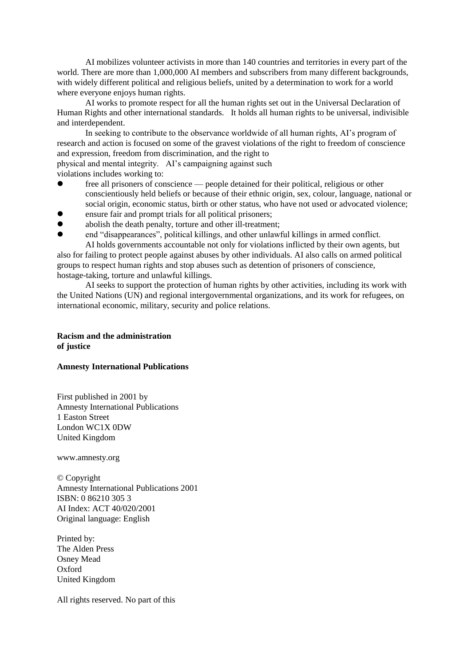AI mobilizes volunteer activists in more than 140 countries and territories in every part of the world. There are more than 1,000,000 AI members and subscribers from many different backgrounds, with widely different political and religious beliefs, united by a determination to work for a world where everyone enjoys human rights.

AI works to promote respect for all the human rights set out in the Universal Declaration of Human Rights and other international standards. It holds all human rights to be universal, indivisible and interdependent.

In seeking to contribute to the observance worldwide of all human rights, AI's program of research and action is focused on some of the gravest violations of the right to freedom of conscience and expression, freedom from discrimination, and the right to physical and mental integrity. AI's campaigning against such

violations includes working to:

- free all prisoners of conscience people detained for their political, religious or other conscientiously held beliefs or because of their ethnic origin, sex, colour, language, national or social origin, economic status, birth or other status, who have not used or advocated violence;
- ensure fair and prompt trials for all political prisoners;
- abolish the death penalty, torture and other ill-treatment;
- end "disappearances", political killings, and other unlawful killings in armed conflict. AI holds governments accountable not only for violations inflicted by their own agents, but

also for failing to protect people against abuses by other individuals. AI also calls on armed political groups to respect human rights and stop abuses such as detention of prisoners of conscience, hostage-taking, torture and unlawful killings.

AI seeks to support the protection of human rights by other activities, including its work with the United Nations (UN) and regional intergovernmental organizations, and its work for refugees, on international economic, military, security and police relations.

## **Racism and the administration of justice**

### **Amnesty International Publications**

First published in 2001 by Amnesty International Publications 1 Easton Street London WC1X 0DW United Kingdom

www.amnesty.org

© Copyright Amnesty International Publications 2001 ISBN: 0 86210 305 3 AI Index: ACT 40/020/2001 Original language: English

Printed by: The Alden Press Osney Mead Oxford United Kingdom

All rights reserved. No part of this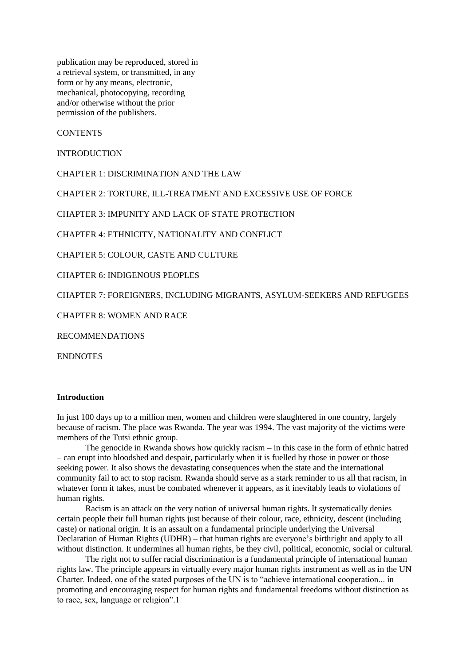publication may be reproduced, stored in a retrieval system, or transmitted, in any form or by any means, electronic, mechanical, photocopying, recording and/or otherwise without the prior permission of the publishers.

**CONTENTS** 

**INTRODUCTION** 

CHAPTER 1: DISCRIMINATION AND THE LAW

CHAPTER 2: TORTURE, ILL-TREATMENT AND EXCESSIVE USE OF FORCE

CHAPTER 3: IMPUNITY AND LACK OF STATE PROTECTION

CHAPTER 4: ETHNICITY, NATIONALITY AND CONFLICT

CHAPTER 5: COLOUR, CASTE AND CULTURE

CHAPTER 6: INDIGENOUS PEOPLES

CHAPTER 7: FOREIGNERS, INCLUDING MIGRANTS, ASYLUM-SEEKERS AND REFUGEES

CHAPTER 8: WOMEN AND RACE

RECOMMENDATIONS

ENDNOTES

### **Introduction**

In just 100 days up to a million men, women and children were slaughtered in one country, largely because of racism. The place was Rwanda. The year was 1994. The vast majority of the victims were members of the Tutsi ethnic group.

The genocide in Rwanda shows how quickly racism – in this case in the form of ethnic hatred – can erupt into bloodshed and despair, particularly when it is fuelled by those in power or those seeking power. It also shows the devastating consequences when the state and the international community fail to act to stop racism. Rwanda should serve as a stark reminder to us all that racism, in whatever form it takes, must be combated whenever it appears, as it inevitably leads to violations of human rights.

Racism is an attack on the very notion of universal human rights. It systematically denies certain people their full human rights just because of their colour, race, ethnicity, descent (including caste) or national origin. It is an assault on a fundamental principle underlying the Universal Declaration of Human Rights (UDHR) – that human rights are everyone's birthright and apply to all without distinction. It undermines all human rights, be they civil, political, economic, social or cultural.

The right not to suffer racial discrimination is a fundamental principle of international human rights law. The principle appears in virtually every major human rights instrument as well as in the UN Charter. Indeed, one of the stated purposes of the UN is to "achieve international cooperation... in promoting and encouraging respect for human rights and fundamental freedoms without distinction as to race, sex, language or religion".1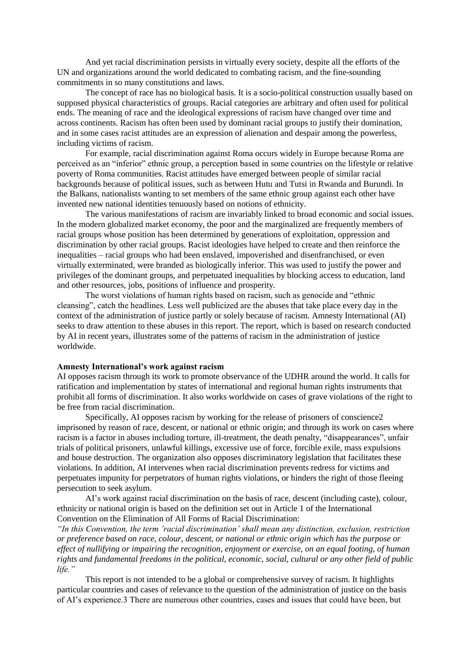And yet racial discrimination persists in virtually every society, despite all the efforts of the UN and organizations around the world dedicated to combating racism, and the fine-sounding commitments in so many constitutions and laws.

The concept of race has no biological basis. It is a socio-political construction usually based on supposed physical characteristics of groups. Racial categories are arbitrary and often used for political ends. The meaning of race and the ideological expressions of racism have changed over time and across continents. Racism has often been used by dominant racial groups to justify their domination, and in some cases racist attitudes are an expression of alienation and despair among the powerless, including victims of racism.

For example, racial discrimination against Roma occurs widely in Europe because Roma are perceived as an "inferior" ethnic group, a perception based in some countries on the lifestyle or relative poverty of Roma communities. Racist attitudes have emerged between people of similar racial backgrounds because of political issues, such as between Hutu and Tutsi in Rwanda and Burundi. In the Balkans, nationalists wanting to set members of the same ethnic group against each other have invented new national identities tenuously based on notions of ethnicity.

The various manifestations of racism are invariably linked to broad economic and social issues. In the modern globalized market economy, the poor and the marginalized are frequently members of racial groups whose position has been determined by generations of exploitation, oppression and discrimination by other racial groups. Racist ideologies have helped to create and then reinforce the inequalities – racial groups who had been enslaved, impoverished and disenfranchised, or even virtually exterminated, were branded as biologically inferior. This was used to justify the power and privileges of the dominant groups, and perpetuated inequalities by blocking access to education, land and other resources, jobs, positions of influence and prosperity.

The worst violations of human rights based on racism, such as genocide and "ethnic cleansing", catch the headlines. Less well publicized are the abuses that take place every day in the context of the administration of justice partly or solely because of racism. Amnesty International (AI) seeks to draw attention to these abuses in this report. The report, which is based on research conducted by AI in recent years, illustrates some of the patterns of racism in the administration of justice worldwide.

## **Amnesty International's work against racism**

AI opposes racism through its work to promote observance of the UDHR around the world. It calls for ratification and implementation by states of international and regional human rights instruments that prohibit all forms of discrimination. It also works worldwide on cases of grave violations of the right to be free from racial discrimination.

Specifically, AI opposes racism by working for the release of prisoners of conscience2 imprisoned by reason of race, descent, or national or ethnic origin; and through its work on cases where racism is a factor in abuses including torture, ill-treatment, the death penalty, "disappearances", unfair trials of political prisoners, unlawful killings, excessive use of force, forcible exile, mass expulsions and house destruction. The organization also opposes discriminatory legislation that facilitates these violations. In addition, AI intervenes when racial discrimination prevents redress for victims and perpetuates impunity for perpetrators of human rights violations, or hinders the right of those fleeing persecution to seek asylum.

AI's work against racial discrimination on the basis of race, descent (including caste), colour, ethnicity or national origin is based on the definition set out in Article 1 of the International Convention on the Elimination of All Forms of Racial Discrimination:

*"In this Convention, the term 'racial discrimination' shall mean any distinction, exclusion, restriction or preference based on race, colour, descent, or national or ethnic origin which has the purpose or effect of nullifying or impairing the recognition, enjoyment or exercise, on an equal footing, of human rights and fundamental freedoms in the political, economic, social, cultural or any other field of public life."*

This report is not intended to be a global or comprehensive survey of racism. It highlights particular countries and cases of relevance to the question of the administration of justice on the basis of AI's experience.3 There are numerous other countries, cases and issues that could have been, but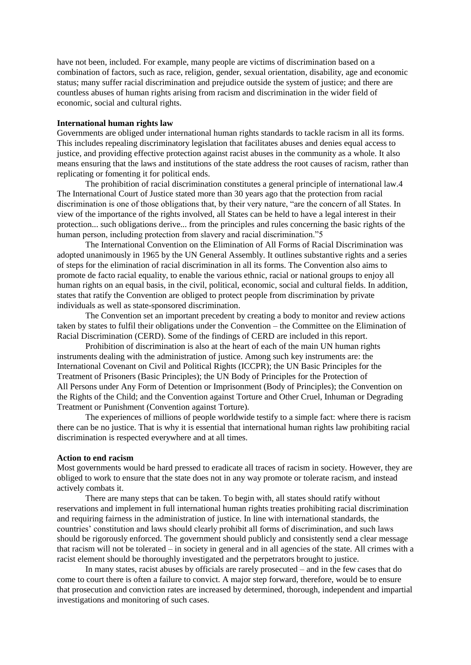have not been, included. For example, many people are victims of discrimination based on a combination of factors, such as race, religion, gender, sexual orientation, disability, age and economic status; many suffer racial discrimination and prejudice outside the system of justice; and there are countless abuses of human rights arising from racism and discrimination in the wider field of economic, social and cultural rights.

### **International human rights law**

Governments are obliged under international human rights standards to tackle racism in all its forms. This includes repealing discriminatory legislation that facilitates abuses and denies equal access to justice, and providing effective protection against racist abuses in the community as a whole. It also means ensuring that the laws and institutions of the state address the root causes of racism, rather than replicating or fomenting it for political ends.

The prohibition of racial discrimination constitutes a general principle of international law.4 The International Court of Justice stated more than 30 years ago that the protection from racial discrimination is one of those obligations that, by their very nature, "are the concern of all States. In view of the importance of the rights involved, all States can be held to have a legal interest in their protection... such obligations derive... from the principles and rules concerning the basic rights of the human person, including protection from slavery and racial discrimination."5

The International Convention on the Elimination of All Forms of Racial Discrimination was adopted unanimously in 1965 by the UN General Assembly. It outlines substantive rights and a series of steps for the elimination of racial discrimination in all its forms. The Convention also aims to promote de facto racial equality, to enable the various ethnic, racial or national groups to enjoy all human rights on an equal basis, in the civil, political, economic, social and cultural fields. In addition, states that ratify the Convention are obliged to protect people from discrimination by private individuals as well as state-sponsored discrimination.

The Convention set an important precedent by creating a body to monitor and review actions taken by states to fulfil their obligations under the Convention – the Committee on the Elimination of Racial Discrimination (CERD). Some of the findings of CERD are included in this report.

Prohibition of discrimination is also at the heart of each of the main UN human rights instruments dealing with the administration of justice. Among such key instruments are: the International Covenant on Civil and Political Rights (ICCPR); the UN Basic Principles for the Treatment of Prisoners (Basic Principles); the UN Body of Principles for the Protection of All Persons under Any Form of Detention or Imprisonment (Body of Principles); the Convention on the Rights of the Child; and the Convention against Torture and Other Cruel, Inhuman or Degrading Treatment or Punishment (Convention against Torture).

The experiences of millions of people worldwide testify to a simple fact: where there is racism there can be no justice. That is why it is essential that international human rights law prohibiting racial discrimination is respected everywhere and at all times.

#### **Action to end racism**

Most governments would be hard pressed to eradicate all traces of racism in society. However, they are obliged to work to ensure that the state does not in any way promote or tolerate racism, and instead actively combats it.

There are many steps that can be taken. To begin with, all states should ratify without reservations and implement in full international human rights treaties prohibiting racial discrimination and requiring fairness in the administration of justice. In line with international standards, the countries' constitution and laws should clearly prohibit all forms of discrimination, and such laws should be rigorously enforced. The government should publicly and consistently send a clear message that racism will not be tolerated – in society in general and in all agencies of the state. All crimes with a racist element should be thoroughly investigated and the perpetrators brought to justice.

In many states, racist abuses by officials are rarely prosecuted – and in the few cases that do come to court there is often a failure to convict. A major step forward, therefore, would be to ensure that prosecution and conviction rates are increased by determined, thorough, independent and impartial investigations and monitoring of such cases.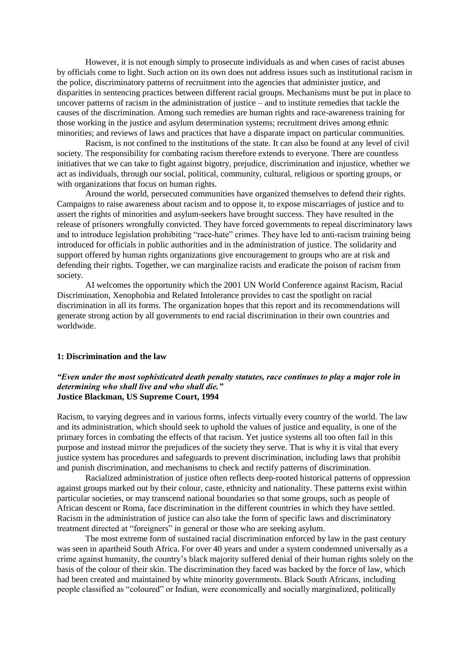However, it is not enough simply to prosecute individuals as and when cases of racist abuses by officials come to light. Such action on its own does not address issues such as institutional racism in the police, discriminatory patterns of recruitment into the agencies that administer justice, and disparities in sentencing practices between different racial groups. Mechanisms must be put in place to uncover patterns of racism in the administration of justice – and to institute remedies that tackle the causes of the discrimination. Among such remedies are human rights and race-awareness training for those working in the justice and asylum determination systems; recruitment drives among ethnic minorities; and reviews of laws and practices that have a disparate impact on particular communities.

Racism, is not confined to the institutions of the state. It can also be found at any level of civil society. The responsibility for combating racism therefore extends to everyone. There are countless initiatives that we can take to fight against bigotry, prejudice, discrimination and injustice, whether we act as individuals, through our social, political, community, cultural, religious or sporting groups, or with organizations that focus on human rights.

Around the world, persecuted communities have organized themselves to defend their rights. Campaigns to raise awareness about racism and to oppose it, to expose miscarriages of justice and to assert the rights of minorities and asylum-seekers have brought success. They have resulted in the release of prisoners wrongfully convicted. They have forced governments to repeal discriminatory laws and to introduce legislation prohibiting "race-hate" crimes. They have led to anti-racism training being introduced for officials in public authorities and in the administration of justice. The solidarity and support offered by human rights organizations give encouragement to groups who are at risk and defending their rights. Together, we can marginalize racists and eradicate the poison of racism from society.

AI welcomes the opportunity which the 2001 UN World Conference against Racism, Racial Discrimination, Xenophobia and Related Intolerance provides to cast the spotlight on racial discrimination in all its forms. The organization hopes that this report and its recommendations will generate strong action by all governments to end racial discrimination in their own countries and worldwide.

### **1: Discrimination and the law**

## *"Even under the most sophisticated death penalty statutes, race continues to play a major role in determining who shall live and who shall die."* **Justice Blackman, US Supreme Court, 1994**

Racism, to varying degrees and in various forms, infects virtually every country of the world. The law and its administration, which should seek to uphold the values of justice and equality, is one of the primary forces in combating the effects of that racism. Yet justice systems all too often fail in this purpose and instead mirror the prejudices of the society they serve. That is why it is vital that every justice system has procedures and safeguards to prevent discrimination, including laws that prohibit and punish discrimination, and mechanisms to check and rectify patterns of discrimination.

Racialized administration of justice often reflects deep-rooted historical patterns of oppression against groups marked out by their colour, caste, ethnicity and nationality. These patterns exist within particular societies, or may transcend national boundaries so that some groups, such as people of African descent or Roma, face discrimination in the different countries in which they have settled. Racism in the administration of justice can also take the form of specific laws and discriminatory treatment directed at "foreigners" in general or those who are seeking asylum.

The most extreme form of sustained racial discrimination enforced by law in the past century was seen in apartheid South Africa. For over 40 years and under a system condemned universally as a crime against humanity, the country's black majority suffered denial of their human rights solely on the basis of the colour of their skin. The discrimination they faced was backed by the force of law, which had been created and maintained by white minority governments. Black South Africans, including people classified as "coloured" or Indian, were economically and socially marginalized, politically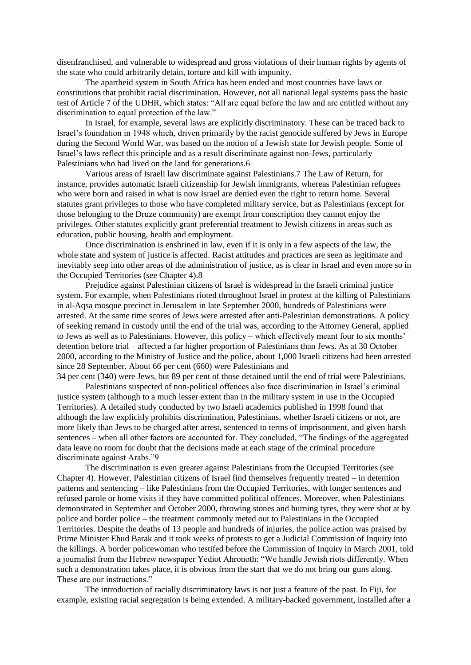disenfranchised, and vulnerable to widespread and gross violations of their human rights by agents of the state who could arbitrarily detain, torture and kill with impunity.

The apartheid system in South Africa has been ended and most countries have laws or constitutions that prohibit racial discrimination. However, not all national legal systems pass the basic test of Article 7 of the UDHR, which states: "All are equal before the law and are entitled without any discrimination to equal protection of the law."

In Israel, for example, several laws are explicitly discriminatory. These can be traced back to Israel's foundation in 1948 which, driven primarily by the racist genocide suffered by Jews in Europe during the Second World War, was based on the notion of a Jewish state for Jewish people. Some of Israel's laws reflect this principle and as a result discriminate against non-Jews, particularly Palestinians who had lived on the land for generations.6

Various areas of Israeli law discriminate against Palestinians.7 The Law of Return, for instance, provides automatic Israeli citizenship for Jewish immigrants, whereas Palestinian refugees who were born and raised in what is now Israel are denied even the right to return home. Several statutes grant privileges to those who have completed military service, but as Palestinians (except for those belonging to the Druze community) are exempt from conscription they cannot enjoy the privileges. Other statutes explicitly grant preferential treatment to Jewish citizens in areas such as education, public housing, health and employment.

Once discrimination is enshrined in law, even if it is only in a few aspects of the law, the whole state and system of justice is affected. Racist attitudes and practices are seen as legitimate and inevitably seep into other areas of the administration of justice, as is clear in Israel and even more so in the Occupied Territories (see Chapter 4).8

Prejudice against Palestinian citizens of Israel is widespread in the Israeli criminal justice system. For example, when Palestinians rioted throughout Israel in protest at the killing of Palestinians in al-Aqsa mosque precinct in Jerusalem in late September 2000, hundreds of Palestinians were arrested. At the same time scores of Jews were arrested after anti-Palestinian demonstrations. A policy of seeking remand in custody until the end of the trial was, according to the Attorney General, applied to Jews as well as to Palestinians. However, this policy – which effectively meant four to six months' detention before trial – affected a far higher proportion of Palestinians than Jews. As at 30 October 2000, according to the Ministry of Justice and the police, about 1,000 Israeli citizens had been arrested since 28 September. About 66 per cent (660) were Palestinians and

34 per cent (340) were Jews, but 89 per cent of those detained until the end of trial were Palestinians. Palestinians suspected of non-political offences also face discrimination in Israel's criminal

justice system (although to a much lesser extent than in the military system in use in the Occupied Territories). A detailed study conducted by two Israeli academics published in 1998 found that although the law explicitly prohibits discrimination, Palestinians, whether Israeli citizens or not, are more likely than Jews to be charged after arrest, sentenced to terms of imprisonment, and given harsh sentences – when all other factors are accounted for. They concluded, "The findings of the aggregated data leave no room for doubt that the decisions made at each stage of the criminal procedure discriminate against Arabs."9

The discrimination is even greater against Palestinians from the Occupied Territories (see Chapter 4). However, Palestinian citizens of Israel find themselves frequently treated – in detention patterns and sentencing – like Palestinians from the Occupied Territories, with longer sentences and refused parole or home visits if they have committed political offences. Moreover, when Palestinians demonstrated in September and October 2000, throwing stones and burning tyres, they were shot at by police and border police – the treatment commonly meted out to Palestinians in the Occupied Territories. Despite the deaths of 13 people and hundreds of injuries, the police action was praised by Prime Minister Ehud Barak and it took weeks of protests to get a Judicial Commission of Inquiry into the killings. A border policewoman who testifed before the Commission of Inquiry in March 2001, told a journalist from the Hebrew newspaper Yediot Ahronoth: "We handle Jewish riots differently. When such a demonstration takes place, it is obvious from the start that we do not bring our guns along. These are our instructions."

The introduction of racially discriminatory laws is not just a feature of the past. In Fiji, for example, existing racial segregation is being extended. A military-backed government, installed after a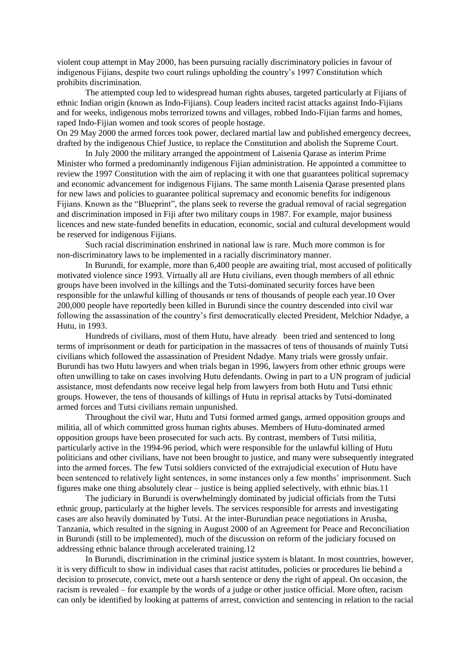violent coup attempt in May 2000, has been pursuing racially discriminatory policies in favour of indigenous Fijians, despite two court rulings upholding the country's 1997 Constitution which prohibits discrimination.

The attempted coup led to widespread human rights abuses, targeted particularly at Fijians of ethnic Indian origin (known as Indo-Fijians). Coup leaders incited racist attacks against Indo-Fijians and for weeks, indigenous mobs terrorized towns and villages, robbed Indo-Fijian farms and homes, raped Indo-Fijian women and took scores of people hostage.

On 29 May 2000 the armed forces took power, declared martial law and published emergency decrees, drafted by the indigenous Chief Justice, to replace the Constitution and abolish the Supreme Court.

In July 2000 the military arranged the appointment of Laisenia Qarase as interim Prime Minister who formed a predominantly indigenous Fijian administration. He appointed a committee to review the 1997 Constitution with the aim of replacing it with one that guarantees political supremacy and economic advancement for indigenous Fijians. The same month Laisenia Qarase presented plans for new laws and policies to guarantee political supremacy and economic benefits for indigenous Fijians. Known as the "Blueprint", the plans seek to reverse the gradual removal of racial segregation and discrimination imposed in Fiji after two military coups in 1987. For example, major business licences and new state-funded benefits in education, economic, social and cultural development would be reserved for indigenous Fijians.

Such racial discrimination enshrined in national law is rare. Much more common is for non-discriminatory laws to be implemented in a racially discriminatory manner.

In Burundi, for example, more than 6,400 people are awaiting trial, most accused of politically motivated violence since 1993. Virtually all are Hutu civilians, even though members of all ethnic groups have been involved in the killings and the Tutsi-dominated security forces have been responsible for the unlawful killing of thousands or tens of thousands of people each year.10 Over 200,000 people have reportedly been killed in Burundi since the country descended into civil war following the assassination of the country's first democratically elected President, Melchior Ndadye, a Hutu, in 1993.

Hundreds of civilians, most of them Hutu, have already been tried and sentenced to long terms of imprisonment or death for participation in the massacres of tens of thousands of mainly Tutsi civilians which followed the assassination of President Ndadye. Many trials were grossly unfair. Burundi has two Hutu lawyers and when trials began in 1996, lawyers from other ethnic groups were often unwilling to take on cases involving Hutu defendants. Owing in part to a UN program of judicial assistance, most defendants now receive legal help from lawyers from both Hutu and Tutsi ethnic groups. However, the tens of thousands of killings of Hutu in reprisal attacks by Tutsi-dominated armed forces and Tutsi civilians remain unpunished.

Throughout the civil war, Hutu and Tutsi formed armed gangs, armed opposition groups and militia, all of which committed gross human rights abuses. Members of Hutu-dominated armed opposition groups have been prosecuted for such acts. By contrast, members of Tutsi militia, particularly active in the 1994-96 period, which were responsible for the unlawful killing of Hutu politicians and other civilians, have not been brought to justice, and many were subsequently integrated into the armed forces. The few Tutsi soldiers convicted of the extrajudicial execution of Hutu have been sentenced to relatively light sentences, in some instances only a few months' imprisonment. Such figures make one thing absolutely clear – justice is being applied selectively, with ethnic bias.11

The judiciary in Burundi is overwhelmingly dominated by judicial officials from the Tutsi ethnic group, particularly at the higher levels. The services responsible for arrests and investigating cases are also heavily dominated by Tutsi. At the inter-Burundian peace negotiations in Arusha, Tanzania, which resulted in the signing in August 2000 of an Agreement for Peace and Reconciliation in Burundi (still to be implemented), much of the discussion on reform of the judiciary focused on addressing ethnic balance through accelerated training.12

In Burundi, discrimination in the criminal justice system is blatant. In most countries, however, it is very difficult to show in individual cases that racist attitudes, policies or procedures lie behind a decision to prosecute, convict, mete out a harsh sentence or deny the right of appeal. On occasion, the racism is revealed – for example by the words of a judge or other justice official. More often, racism can only be identified by looking at patterns of arrest, conviction and sentencing in relation to the racial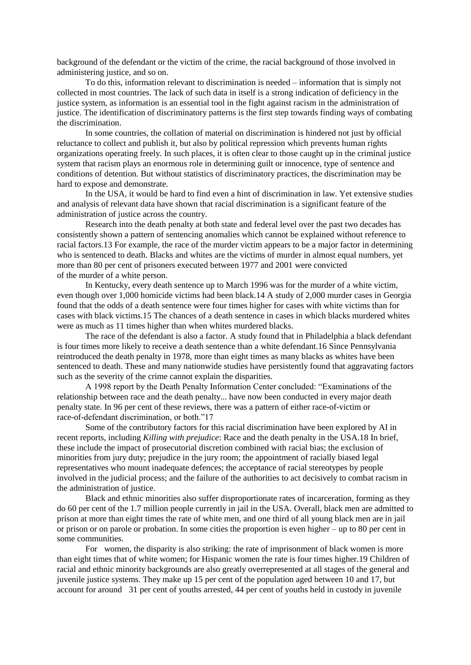background of the defendant or the victim of the crime, the racial background of those involved in administering justice, and so on.

To do this, information relevant to discrimination is needed – information that is simply not collected in most countries. The lack of such data in itself is a strong indication of deficiency in the justice system, as information is an essential tool in the fight against racism in the administration of justice. The identification of discriminatory patterns is the first step towards finding ways of combating the discrimination.

In some countries, the collation of material on discrimination is hindered not just by official reluctance to collect and publish it, but also by political repression which prevents human rights organizations operating freely. In such places, it is often clear to those caught up in the criminal justice system that racism plays an enormous role in determining guilt or innocence, type of sentence and conditions of detention. But without statistics of discriminatory practices, the discrimination may be hard to expose and demonstrate.

In the USA, it would be hard to find even a hint of discrimination in law. Yet extensive studies and analysis of relevant data have shown that racial discrimination is a significant feature of the administration of justice across the country.

Research into the death penalty at both state and federal level over the past two decades has consistently shown a pattern of sentencing anomalies which cannot be explained without reference to racial factors.13 For example, the race of the murder victim appears to be a major factor in determining who is sentenced to death. Blacks and whites are the victims of murder in almost equal numbers, yet more than 80 per cent of prisoners executed between 1977 and 2001 were convicted of the murder of a white person.

In Kentucky, every death sentence up to March 1996 was for the murder of a white victim, even though over 1,000 homicide victims had been black.14 A study of 2,000 murder cases in Georgia found that the odds of a death sentence were four times higher for cases with white victims than for cases with black victims.15 The chances of a death sentence in cases in which blacks murdered whites were as much as 11 times higher than when whites murdered blacks.

The race of the defendant is also a factor. A study found that in Philadelphia a black defendant is four times more likely to receive a death sentence than a white defendant.16 Since Pennsylvania reintroduced the death penalty in 1978, more than eight times as many blacks as whites have been sentenced to death. These and many nationwide studies have persistently found that aggravating factors such as the severity of the crime cannot explain the disparities.

A 1998 report by the Death Penalty Information Center concluded: "Examinations of the relationship between race and the death penalty... have now been conducted in every major death penalty state. In 96 per cent of these reviews, there was a pattern of either race-of-victim or race-of-defendant discrimination, or both."17

Some of the contributory factors for this racial discrimination have been explored by AI in recent reports, including *Killing with prejudice*: Race and the death penalty in the USA.18 In brief, these include the impact of prosecutorial discretion combined with racial bias; the exclusion of minorities from jury duty; prejudice in the jury room; the appointment of racially biased legal representatives who mount inadequate defences; the acceptance of racial stereotypes by people involved in the judicial process; and the failure of the authorities to act decisively to combat racism in the administration of justice.

Black and ethnic minorities also suffer disproportionate rates of incarceration, forming as they do 60 per cent of the 1.7 million people currently in jail in the USA. Overall, black men are admitted to prison at more than eight times the rate of white men, and one third of all young black men are in jail or prison or on parole or probation. In some cities the proportion is even higher – up to 80 per cent in some communities.

For women, the disparity is also striking: the rate of imprisonment of black women is more than eight times that of white women; for Hispanic women the rate is four times higher.19 Children of racial and ethnic minority backgrounds are also greatly overrepresented at all stages of the general and juvenile justice systems. They make up 15 per cent of the population aged between 10 and 17, but account for around 31 per cent of youths arrested, 44 per cent of youths held in custody in juvenile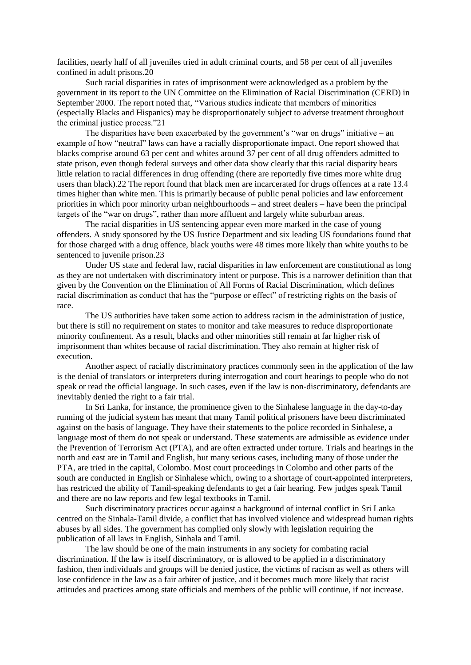facilities, nearly half of all juveniles tried in adult criminal courts, and 58 per cent of all juveniles confined in adult prisons.20

Such racial disparities in rates of imprisonment were acknowledged as a problem by the government in its report to the UN Committee on the Elimination of Racial Discrimination (CERD) in September 2000. The report noted that, "Various studies indicate that members of minorities (especially Blacks and Hispanics) may be disproportionately subject to adverse treatment throughout the criminal justice process."21

The disparities have been exacerbated by the government's "war on drugs" initiative – an example of how "neutral" laws can have a racially disproportionate impact. One report showed that blacks comprise around 63 per cent and whites around 37 per cent of all drug offenders admitted to state prison, even though federal surveys and other data show clearly that this racial disparity bears little relation to racial differences in drug offending (there are reportedly five times more white drug users than black).22 The report found that black men are incarcerated for drugs offences at a rate 13.4 times higher than white men. This is primarily because of public penal policies and law enforcement priorities in which poor minority urban neighbourhoods – and street dealers – have been the principal targets of the "war on drugs", rather than more affluent and largely white suburban areas.

The racial disparities in US sentencing appear even more marked in the case of young offenders. A study sponsored by the US Justice Department and six leading US foundations found that for those charged with a drug offence, black youths were 48 times more likely than white youths to be sentenced to juvenile prison.23

Under US state and federal law, racial disparities in law enforcement are constitutional as long as they are not undertaken with discriminatory intent or purpose. This is a narrower definition than that given by the Convention on the Elimination of All Forms of Racial Discrimination, which defines racial discrimination as conduct that has the "purpose or effect" of restricting rights on the basis of race.

The US authorities have taken some action to address racism in the administration of justice, but there is still no requirement on states to monitor and take measures to reduce disproportionate minority confinement. As a result, blacks and other minorities still remain at far higher risk of imprisonment than whites because of racial discrimination. They also remain at higher risk of execution.

Another aspect of racially discriminatory practices commonly seen in the application of the law is the denial of translators or interpreters during interrogation and court hearings to people who do not speak or read the official language. In such cases, even if the law is non-discriminatory, defendants are inevitably denied the right to a fair trial.

In Sri Lanka, for instance, the prominence given to the Sinhalese language in the day-to-day running of the judicial system has meant that many Tamil political prisoners have been discriminated against on the basis of language. They have their statements to the police recorded in Sinhalese, a language most of them do not speak or understand. These statements are admissible as evidence under the Prevention of Terrorism Act (PTA), and are often extracted under torture. Trials and hearings in the north and east are in Tamil and English, but many serious cases, including many of those under the PTA, are tried in the capital, Colombo. Most court proceedings in Colombo and other parts of the south are conducted in English or Sinhalese which, owing to a shortage of court-appointed interpreters, has restricted the ability of Tamil-speaking defendants to get a fair hearing. Few judges speak Tamil and there are no law reports and few legal textbooks in Tamil.

Such discriminatory practices occur against a background of internal conflict in Sri Lanka centred on the Sinhala-Tamil divide, a conflict that has involved violence and widespread human rights abuses by all sides. The government has complied only slowly with legislation requiring the publication of all laws in English, Sinhala and Tamil.

The law should be one of the main instruments in any society for combating racial discrimination. If the law is itself discriminatory, or is allowed to be applied in a discriminatory fashion, then individuals and groups will be denied justice, the victims of racism as well as others will lose confidence in the law as a fair arbiter of justice, and it becomes much more likely that racist attitudes and practices among state officials and members of the public will continue, if not increase.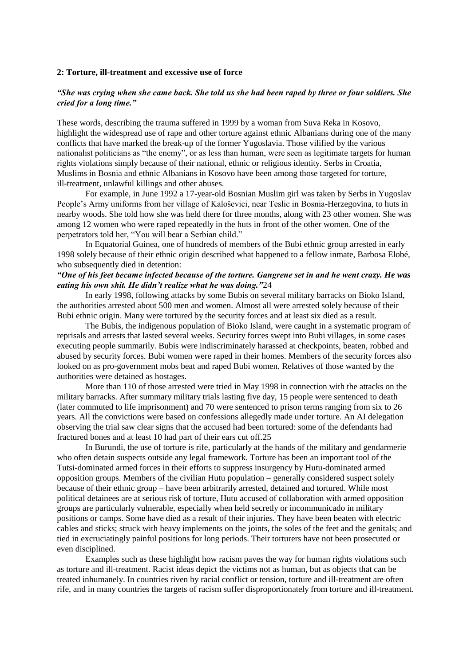### **2: Torture, ill-treatment and excessive use of force**

# *"She was crying when she came back. She told us she had been raped by three or four soldiers. She cried for a long time."*

These words, describing the trauma suffered in 1999 by a woman from Suva Reka in Kosovo, highlight the widespread use of rape and other torture against ethnic Albanians during one of the many conflicts that have marked the break-up of the former Yugoslavia. Those vilified by the various nationalist politicians as "the enemy", or as less than human, were seen as legitimate targets for human rights violations simply because of their national, ethnic or religious identity. Serbs in Croatia, Muslims in Bosnia and ethnic Albanians in Kosovo have been among those targeted for torture, ill-treatment, unlawful killings and other abuses.

For example, in June 1992 a 17-year-old Bosnian Muslim girl was taken by Serbs in Yugoslav People's Army uniforms from her village of Kaloševici, near Teslic in Bosnia-Herzegovina, to huts in nearby woods. She told how she was held there for three months, along with 23 other women. She was among 12 women who were raped repeatedly in the huts in front of the other women. One of the perpetrators told her, "You will bear a Serbian child."

In Equatorial Guinea, one of hundreds of members of the Bubi ethnic group arrested in early 1998 solely because of their ethnic origin described what happened to a fellow inmate, Barbosa Elobé, who subsequently died in detention:

# *"One of his feet became infected because of the torture. Gangrene set in and he went crazy. He was eating his own shit. He didn't realize what he was doing."*24

In early 1998, following attacks by some Bubis on several military barracks on Bioko Island, the authorities arrested about 500 men and women. Almost all were arrested solely because of their Bubi ethnic origin. Many were tortured by the security forces and at least six died as a result.

The Bubis, the indigenous population of Bioko Island, were caught in a systematic program of reprisals and arrests that lasted several weeks. Security forces swept into Bubi villages, in some cases executing people summarily. Bubis were indiscriminately harassed at checkpoints, beaten, robbed and abused by security forces. Bubi women were raped in their homes. Members of the security forces also looked on as pro-government mobs beat and raped Bubi women. Relatives of those wanted by the authorities were detained as hostages.

More than 110 of those arrested were tried in May 1998 in connection with the attacks on the military barracks. After summary military trials lasting five day, 15 people were sentenced to death (later commuted to life imprisonment) and 70 were sentenced to prison terms ranging from six to 26 years. All the convictions were based on confessions allegedly made under torture. An AI delegation observing the trial saw clear signs that the accused had been tortured: some of the defendants had fractured bones and at least 10 had part of their ears cut off.25

In Burundi, the use of torture is rife, particularly at the hands of the military and gendarmerie who often detain suspects outside any legal framework. Torture has been an important tool of the Tutsi-dominated armed forces in their efforts to suppress insurgency by Hutu-dominated armed opposition groups. Members of the civilian Hutu population – generally considered suspect solely because of their ethnic group – have been arbitrarily arrested, detained and tortured. While most political detainees are at serious risk of torture, Hutu accused of collaboration with armed opposition groups are particularly vulnerable, especially when held secretly or incommunicado in military positions or camps. Some have died as a result of their injuries. They have been beaten with electric cables and sticks; struck with heavy implements on the joints, the soles of the feet and the genitals; and tied in excruciatingly painful positions for long periods. Their torturers have not been prosecuted or even disciplined.

Examples such as these highlight how racism paves the way for human rights violations such as torture and ill-treatment. Racist ideas depict the victims not as human, but as objects that can be treated inhumanely. In countries riven by racial conflict or tension, torture and ill-treatment are often rife, and in many countries the targets of racism suffer disproportionately from torture and ill-treatment.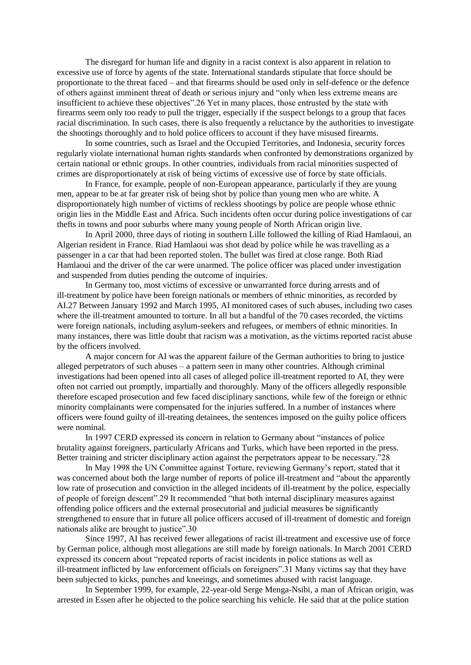The disregard for human life and dignity in a racist context is also apparent in relation to excessive use of force by agents of the state. International standards stipulate that force should be proportionate to the threat faced – and that firearms should be used only in self-defence or the defence of others against imminent threat of death or serious injury and "only when less extreme means are insufficient to achieve these objectives".26 Yet in many places, those entrusted by the state with firearms seem only too ready to pull the trigger, especially if the suspect belongs to a group that faces racial discrimination. In such cases, there is also frequently a reluctance by the authorities to investigate the shootings thoroughly and to hold police officers to account if they have misused firearms.

In some countries, such as Israel and the Occupied Territories, and Indonesia, security forces regularly violate international human rights standards when confronted by demonstrations organized by certain national or ethnic groups. In other countries, individuals from racial minorities suspected of crimes are disproportionately at risk of being victims of excessive use of force by state officials.

In France, for example, people of non-European appearance, particularly if they are young men, appear to be at far greater risk of being shot by police than young men who are white. A disproportionately high number of victims of reckless shootings by police are people whose ethnic origin lies in the Middle East and Africa. Such incidents often occur during police investigations of car thefts in towns and poor suburbs where many young people of North African origin live.

In April 2000, three days of rioting in southern Lille followed the killing of Riad Hamlaoui, an Algerian resident in France. Riad Hamlaoui was shot dead by police while he was travelling as a passenger in a car that had been reported stolen. The bullet was fired at close range. Both Riad Hamlaoui and the driver of the car were unarmed. The police officer was placed under investigation and suspended from duties pending the outcome of inquiries.

In Germany too, most victims of excessive or unwarranted force during arrests and of ill-treatment by police have been foreign nationals or members of ethnic minorities, as recorded by AI.27 Between January 1992 and March 1995, AI monitored cases of such abuses, including two cases where the ill-treatment amounted to torture. In all but a handful of the 70 cases recorded, the victims were foreign nationals, including asylum-seekers and refugees, or members of ethnic minorities. In many instances, there was little doubt that racism was a motivation, as the victims reported racist abuse by the officers involved.

A major concern for AI was the apparent failure of the German authorities to bring to justice alleged perpetrators of such abuses – a pattern seen in many other countries. Although criminal investigations had been opened into all cases of alleged police ill-treatment reported to AI, they were often not carried out promptly, impartially and thoroughly. Many of the officers allegedly responsible therefore escaped prosecution and few faced disciplinary sanctions, while few of the foreign or ethnic minority complainants were compensated for the injuries suffered. In a number of instances where officers were found guilty of ill-treating detainees, the sentences imposed on the guilty police officers were nominal.

In 1997 CERD expressed its concern in relation to Germany about "instances of police brutality against foreigners, particularly Africans and Turks, which have been reported in the press. Better training and stricter disciplinary action against the perpetrators appear to be necessary."28

In May 1998 the UN Committee against Torture, reviewing Germany's report, stated that it was concerned about both the large number of reports of police ill-treatment and "about the apparently low rate of prosecution and conviction in the alleged incidents of ill-treatment by the police, especially of people of foreign descent".29 It recommended "that both internal disciplinary measures against offending police officers and the external prosecutorial and judicial measures be significantly strengthened to ensure that in future all police officers accused of ill-treatment of domestic and foreign nationals alike are brought to justice".30

Since 1997, AI has received fewer allegations of racist ill-treatment and excessive use of force by German police, although most allegations are still made by foreign nationals. In March 2001 CERD expressed its concern about "repeated reports of racist incidents in police stations as well as ill-treatment inflicted by law enforcement officials on foreigners".31 Many victims say that they have been subjected to kicks, punches and kneeings, and sometimes abused with racist language.

In September 1999, for example, 22-year-old Serge Menga-Nsibi, a man of African origin, was arrested in Essen after he objected to the police searching his vehicle. He said that at the police station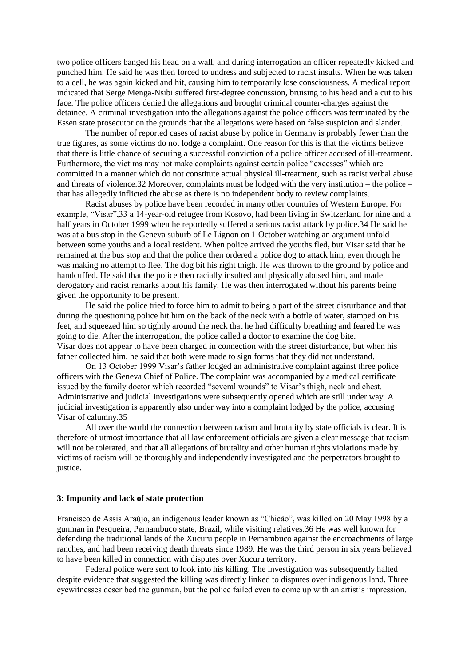two police officers banged his head on a wall, and during interrogation an officer repeatedly kicked and punched him. He said he was then forced to undress and subjected to racist insults. When he was taken to a cell, he was again kicked and hit, causing him to temporarily lose consciousness. A medical report indicated that Serge Menga-Nsibi suffered first-degree concussion, bruising to his head and a cut to his face. The police officers denied the allegations and brought criminal counter-charges against the detainee. A criminal investigation into the allegations against the police officers was terminated by the Essen state prosecutor on the grounds that the allegations were based on false suspicion and slander.

The number of reported cases of racist abuse by police in Germany is probably fewer than the true figures, as some victims do not lodge a complaint. One reason for this is that the victims believe that there is little chance of securing a successful conviction of a police officer accused of ill-treatment. Furthermore, the victims may not make complaints against certain police "excesses" which are committed in a manner which do not constitute actual physical ill-treatment, such as racist verbal abuse and threats of violence.32 Moreover, complaints must be lodged with the very institution – the police – that has allegedly inflicted the abuse as there is no independent body to review complaints.

Racist abuses by police have been recorded in many other countries of Western Europe. For example, "Visar",33 a 14-year-old refugee from Kosovo, had been living in Switzerland for nine and a half years in October 1999 when he reportedly suffered a serious racist attack by police.34 He said he was at a bus stop in the Geneva suburb of Le Lignon on 1 October watching an argument unfold between some youths and a local resident. When police arrived the youths fled, but Visar said that he remained at the bus stop and that the police then ordered a police dog to attack him, even though he was making no attempt to flee. The dog bit his right thigh. He was thrown to the ground by police and handcuffed. He said that the police then racially insulted and physically abused him, and made derogatory and racist remarks about his family. He was then interrogated without his parents being given the opportunity to be present.

He said the police tried to force him to admit to being a part of the street disturbance and that during the questioning police hit him on the back of the neck with a bottle of water, stamped on his feet, and squeezed him so tightly around the neck that he had difficulty breathing and feared he was going to die. After the interrogation, the police called a doctor to examine the dog bite. Visar does not appear to have been charged in connection with the street disturbance, but when his father collected him, he said that both were made to sign forms that they did not understand.

On 13 October 1999 Visar's father lodged an administrative complaint against three police officers with the Geneva Chief of Police. The complaint was accompanied by a medical certificate issued by the family doctor which recorded "several wounds" to Visar's thigh, neck and chest. Administrative and judicial investigations were subsequently opened which are still under way. A judicial investigation is apparently also under way into a complaint lodged by the police, accusing Visar of calumny.35

All over the world the connection between racism and brutality by state officials is clear. It is therefore of utmost importance that all law enforcement officials are given a clear message that racism will not be tolerated, and that all allegations of brutality and other human rights violations made by victims of racism will be thoroughly and independently investigated and the perpetrators brought to justice.

#### **3: Impunity and lack of state protection**

Francisco de Assis Araújo, an indigenous leader known as "Chicão", was killed on 20 May 1998 by a gunman in Pesqueira, Pernambuco state, Brazil, while visiting relatives.36 He was well known for defending the traditional lands of the Xucuru people in Pernambuco against the encroachments of large ranches, and had been receiving death threats since 1989. He was the third person in six years believed to have been killed in connection with disputes over Xucuru territory.

Federal police were sent to look into his killing. The investigation was subsequently halted despite evidence that suggested the killing was directly linked to disputes over indigenous land. Three eyewitnesses described the gunman, but the police failed even to come up with an artist's impression.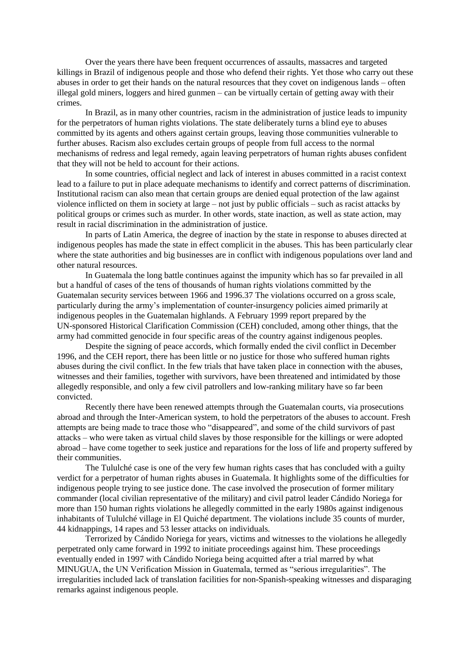Over the years there have been frequent occurrences of assaults, massacres and targeted killings in Brazil of indigenous people and those who defend their rights. Yet those who carry out these abuses in order to get their hands on the natural resources that they covet on indigenous lands – often illegal gold miners, loggers and hired gunmen – can be virtually certain of getting away with their crimes.

In Brazil, as in many other countries, racism in the administration of justice leads to impunity for the perpetrators of human rights violations. The state deliberately turns a blind eye to abuses committed by its agents and others against certain groups, leaving those communities vulnerable to further abuses. Racism also excludes certain groups of people from full access to the normal mechanisms of redress and legal remedy, again leaving perpetrators of human rights abuses confident that they will not be held to account for their actions.

In some countries, official neglect and lack of interest in abuses committed in a racist context lead to a failure to put in place adequate mechanisms to identify and correct patterns of discrimination. Institutional racism can also mean that certain groups are denied equal protection of the law against violence inflicted on them in society at large – not just by public officials – such as racist attacks by political groups or crimes such as murder. In other words, state inaction, as well as state action, may result in racial discrimination in the administration of justice.

In parts of Latin America, the degree of inaction by the state in response to abuses directed at indigenous peoples has made the state in effect complicit in the abuses. This has been particularly clear where the state authorities and big businesses are in conflict with indigenous populations over land and other natural resources.

In Guatemala the long battle continues against the impunity which has so far prevailed in all but a handful of cases of the tens of thousands of human rights violations committed by the Guatemalan security services between 1966 and 1996.37 The violations occurred on a gross scale, particularly during the army's implementation of counter-insurgency policies aimed primarily at indigenous peoples in the Guatemalan highlands. A February 1999 report prepared by the UN-sponsored Historical Clarification Commission (CEH) concluded, among other things, that the army had committed genocide in four specific areas of the country against indigenous peoples.

Despite the signing of peace accords, which formally ended the civil conflict in December 1996, and the CEH report, there has been little or no justice for those who suffered human rights abuses during the civil conflict. In the few trials that have taken place in connection with the abuses, witnesses and their families, together with survivors, have been threatened and intimidated by those allegedly responsible, and only a few civil patrollers and low-ranking military have so far been convicted.

Recently there have been renewed attempts through the Guatemalan courts, via prosecutions abroad and through the Inter-American system, to hold the perpetrators of the abuses to account. Fresh attempts are being made to trace those who "disappeared", and some of the child survivors of past attacks – who were taken as virtual child slaves by those responsible for the killings or were adopted abroad – have come together to seek justice and reparations for the loss of life and property suffered by their communities.

The Tululché case is one of the very few human rights cases that has concluded with a guilty verdict for a perpetrator of human rights abuses in Guatemala. It highlights some of the difficulties for indigenous people trying to see justice done. The case involved the prosecution of former military commander (local civilian representative of the military) and civil patrol leader Cándido Noriega for more than 150 human rights violations he allegedly committed in the early 1980s against indigenous inhabitants of Tululché village in El Quiché department. The violations include 35 counts of murder, 44 kidnappings, 14 rapes and 53 lesser attacks on individuals.

Terrorized by Cándido Noriega for years, victims and witnesses to the violations he allegedly perpetrated only came forward in 1992 to initiate proceedings against him. These proceedings eventually ended in 1997 with Cándido Noriega being acquitted after a trial marred by what MINUGUA, the UN Verification Mission in Guatemala, termed as "serious irregularities". The irregularities included lack of translation facilities for non-Spanish-speaking witnesses and disparaging remarks against indigenous people.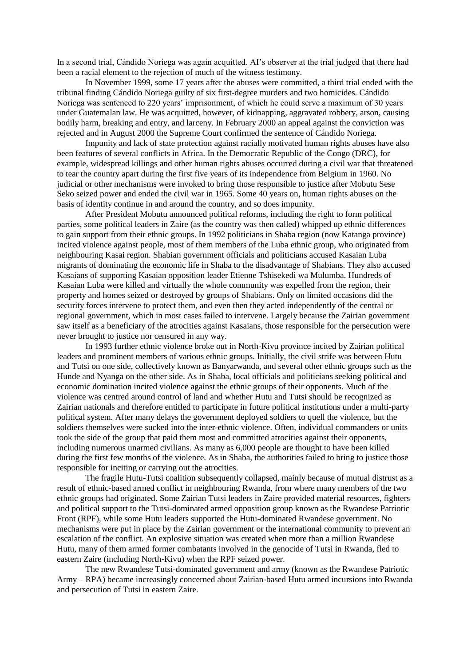In a second trial, Cándido Noriega was again acquitted. AI's observer at the trial judged that there had been a racial element to the rejection of much of the witness testimony.

In November 1999, some 17 years after the abuses were committed, a third trial ended with the tribunal finding Cándido Noriega guilty of six first-degree murders and two homicides. Cándido Noriega was sentenced to 220 years' imprisonment, of which he could serve a maximum of 30 years under Guatemalan law. He was acquitted, however, of kidnapping, aggravated robbery, arson, causing bodily harm, breaking and entry, and larceny. In February 2000 an appeal against the conviction was rejected and in August 2000 the Supreme Court confirmed the sentence of Cándido Noriega.

Impunity and lack of state protection against racially motivated human rights abuses have also been features of several conflicts in Africa. In the Democratic Republic of the Congo (DRC), for example, widespread killings and other human rights abuses occurred during a civil war that threatened to tear the country apart during the first five years of its independence from Belgium in 1960. No judicial or other mechanisms were invoked to bring those responsible to justice after Mobutu Sese Seko seized power and ended the civil war in 1965. Some 40 years on, human rights abuses on the basis of identity continue in and around the country, and so does impunity.

After President Mobutu announced political reforms, including the right to form political parties, some political leaders in Zaire (as the country was then called) whipped up ethnic differences to gain support from their ethnic groups. In 1992 politicians in Shaba region (now Katanga province) incited violence against people, most of them members of the Luba ethnic group, who originated from neighbouring Kasai region. Shabian government officials and politicians accused Kasaian Luba migrants of dominating the economic life in Shaba to the disadvantage of Shabians. They also accused Kasaians of supporting Kasaian opposition leader Etienne Tshisekedi wa Mulumba. Hundreds of Kasaian Luba were killed and virtually the whole community was expelled from the region, their property and homes seized or destroyed by groups of Shabians. Only on limited occasions did the security forces intervene to protect them, and even then they acted independently of the central or regional government, which in most cases failed to intervene. Largely because the Zairian government saw itself as a beneficiary of the atrocities against Kasaians, those responsible for the persecution were never brought to justice nor censured in any way.

In 1993 further ethnic violence broke out in North-Kivu province incited by Zairian political leaders and prominent members of various ethnic groups. Initially, the civil strife was between Hutu and Tutsi on one side, collectively known as Banyarwanda, and several other ethnic groups such as the Hunde and Nyanga on the other side. As in Shaba, local officials and politicians seeking political and economic domination incited violence against the ethnic groups of their opponents. Much of the violence was centred around control of land and whether Hutu and Tutsi should be recognized as Zairian nationals and therefore entitled to participate in future political institutions under a multi-party political system. After many delays the government deployed soldiers to quell the violence, but the soldiers themselves were sucked into the inter-ethnic violence. Often, individual commanders or units took the side of the group that paid them most and committed atrocities against their opponents, including numerous unarmed civilians. As many as 6,000 people are thought to have been killed during the first few months of the violence. As in Shaba, the authorities failed to bring to justice those responsible for inciting or carrying out the atrocities.

The fragile Hutu-Tutsi coalition subsequently collapsed, mainly because of mutual distrust as a result of ethnic-based armed conflict in neighbouring Rwanda, from where many members of the two ethnic groups had originated. Some Zairian Tutsi leaders in Zaire provided material resources, fighters and political support to the Tutsi-dominated armed opposition group known as the Rwandese Patriotic Front (RPF), while some Hutu leaders supported the Hutu-dominated Rwandese government. No mechanisms were put in place by the Zairian government or the international community to prevent an escalation of the conflict. An explosive situation was created when more than a million Rwandese Hutu, many of them armed former combatants involved in the genocide of Tutsi in Rwanda, fled to eastern Zaire (including North-Kivu) when the RPF seized power.

The new Rwandese Tutsi-dominated government and army (known as the Rwandese Patriotic Army – RPA) became increasingly concerned about Zairian-based Hutu armed incursions into Rwanda and persecution of Tutsi in eastern Zaire.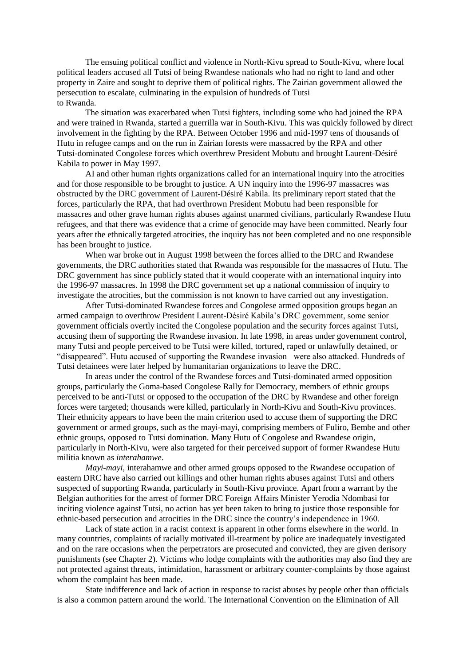The ensuing political conflict and violence in North-Kivu spread to South-Kivu, where local political leaders accused all Tutsi of being Rwandese nationals who had no right to land and other property in Zaire and sought to deprive them of political rights. The Zairian government allowed the persecution to escalate, culminating in the expulsion of hundreds of Tutsi to Rwanda.

The situation was exacerbated when Tutsi fighters, including some who had joined the RPA and were trained in Rwanda, started a guerrilla war in South-Kivu. This was quickly followed by direct involvement in the fighting by the RPA. Between October 1996 and mid-1997 tens of thousands of Hutu in refugee camps and on the run in Zairian forests were massacred by the RPA and other Tutsi-dominated Congolese forces which overthrew President Mobutu and brought Laurent-Désiré Kabila to power in May 1997.

AI and other human rights organizations called for an international inquiry into the atrocities and for those responsible to be brought to justice. A UN inquiry into the 1996-97 massacres was obstructed by the DRC government of Laurent-Désiré Kabila. Its preliminary report stated that the forces, particularly the RPA, that had overthrown President Mobutu had been responsible for massacres and other grave human rights abuses against unarmed civilians, particularly Rwandese Hutu refugees, and that there was evidence that a crime of genocide may have been committed. Nearly four years after the ethnically targeted atrocities, the inquiry has not been completed and no one responsible has been brought to justice.

When war broke out in August 1998 between the forces allied to the DRC and Rwandese governments, the DRC authorities stated that Rwanda was responsible for the massacres of Hutu. The DRC government has since publicly stated that it would cooperate with an international inquiry into the 1996-97 massacres. In 1998 the DRC government set up a national commission of inquiry to investigate the atrocities, but the commission is not known to have carried out any investigation.

After Tutsi-dominated Rwandese forces and Congolese armed opposition groups began an armed campaign to overthrow President Laurent-Désiré Kabila's DRC government, some senior government officials overtly incited the Congolese population and the security forces against Tutsi, accusing them of supporting the Rwandese invasion. In late 1998, in areas under government control, many Tutsi and people perceived to be Tutsi were killed, tortured, raped or unlawfully detained, or "disappeared". Hutu accused of supporting the Rwandese invasion were also attacked. Hundreds of Tutsi detainees were later helped by humanitarian organizations to leave the DRC.

In areas under the control of the Rwandese forces and Tutsi-dominated armed opposition groups, particularly the Goma-based Congolese Rally for Democracy, members of ethnic groups perceived to be anti-Tutsi or opposed to the occupation of the DRC by Rwandese and other foreign forces were targeted; thousands were killed, particularly in North-Kivu and South-Kivu provinces. Their ethnicity appears to have been the main criterion used to accuse them of supporting the DRC government or armed groups, such as the mayi-mayi, comprising members of Fuliro, Bembe and other ethnic groups, opposed to Tutsi domination. Many Hutu of Congolese and Rwandese origin, particularly in North-Kivu, were also targeted for their perceived support of former Rwandese Hutu militia known as *interahamwe*.

*Mayi-mayi,* interahamwe and other armed groups opposed to the Rwandese occupation of eastern DRC have also carried out killings and other human rights abuses against Tutsi and others suspected of supporting Rwanda, particularly in South-Kivu province. Apart from a warrant by the Belgian authorities for the arrest of former DRC Foreign Affairs Minister Yerodia Ndombasi for inciting violence against Tutsi, no action has yet been taken to bring to justice those responsible for ethnic-based persecution and atrocities in the DRC since the country's independence in 1960.

Lack of state action in a racist context is apparent in other forms elsewhere in the world. In many countries, complaints of racially motivated ill-treatment by police are inadequately investigated and on the rare occasions when the perpetrators are prosecuted and convicted, they are given derisory punishments (see Chapter 2). Victims who lodge complaints with the authorities may also find they are not protected against threats, intimidation, harassment or arbitrary counter-complaints by those against whom the complaint has been made.

State indifference and lack of action in response to racist abuses by people other than officials is also a common pattern around the world. The International Convention on the Elimination of All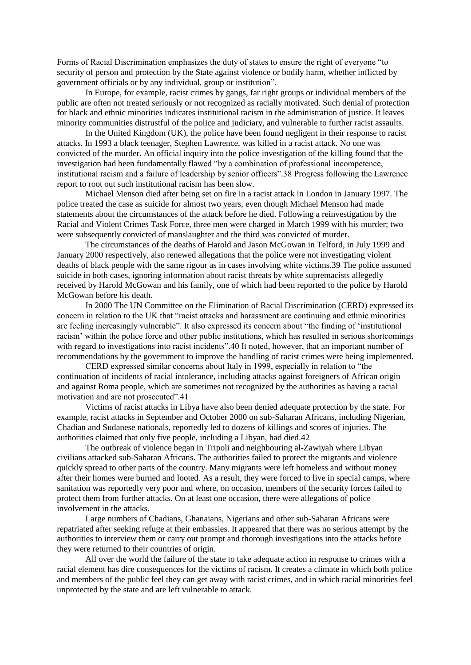Forms of Racial Discrimination emphasizes the duty of states to ensure the right of everyone "to security of person and protection by the State against violence or bodily harm, whether inflicted by government officials or by any individual, group or institution".

In Europe, for example, racist crimes by gangs, far right groups or individual members of the public are often not treated seriously or not recognized as racially motivated. Such denial of protection for black and ethnic minorities indicates institutional racism in the administration of justice. It leaves minority communities distrustful of the police and judiciary, and vulnerable to further racist assaults.

In the United Kingdom (UK), the police have been found negligent in their response to racist attacks. In 1993 a black teenager, Stephen Lawrence, was killed in a racist attack. No one was convicted of the murder. An official inquiry into the police investigation of the killing found that the investigation had been fundamentally flawed "by a combination of professional incompetence, institutional racism and a failure of leadership by senior officers".38 Progress following the Lawrence report to root out such institutional racism has been slow.

Michael Menson died after being set on fire in a racist attack in London in January 1997. The police treated the case as suicide for almost two years, even though Michael Menson had made statements about the circumstances of the attack before he died. Following a reinvestigation by the Racial and Violent Crimes Task Force, three men were charged in March 1999 with his murder; two were subsequently convicted of manslaughter and the third was convicted of murder.

The circumstances of the deaths of Harold and Jason McGowan in Telford, in July 1999 and January 2000 respectively, also renewed allegations that the police were not investigating violent deaths of black people with the same rigour as in cases involving white victims.39 The police assumed suicide in both cases, ignoring information about racist threats by white supremacists allegedly received by Harold McGowan and his family, one of which had been reported to the police by Harold McGowan before his death.

In 2000 The UN Committee on the Elimination of Racial Discrimination (CERD) expressed its concern in relation to the UK that "racist attacks and harassment are continuing and ethnic minorities are feeling increasingly vulnerable". It also expressed its concern about "the finding of 'institutional racism' within the police force and other public institutions, which has resulted in serious shortcomings with regard to investigations into racist incidents".40 It noted, however, that an important number of recommendations by the government to improve the handling of racist crimes were being implemented.

CERD expressed similar concerns about Italy in 1999, especially in relation to "the continuation of incidents of racial intolerance, including attacks against foreigners of African origin and against Roma people, which are sometimes not recognized by the authorities as having a racial motivation and are not prosecuted".41

Victims of racist attacks in Libya have also been denied adequate protection by the state. For example, racist attacks in September and October 2000 on sub-Saharan Africans, including Nigerian, Chadian and Sudanese nationals, reportedly led to dozens of killings and scores of injuries. The authorities claimed that only five people, including a Libyan, had died.42

The outbreak of violence began in Tripoli and neighbouring al-Zawiyah where Libyan civilians attacked sub-Saharan Africans. The authorities failed to protect the migrants and violence quickly spread to other parts of the country. Many migrants were left homeless and without money after their homes were burned and looted. As a result, they were forced to live in special camps, where sanitation was reportedly very poor and where, on occasion, members of the security forces failed to protect them from further attacks. On at least one occasion, there were allegations of police involvement in the attacks.

Large numbers of Chadians, Ghanaians, Nigerians and other sub-Saharan Africans were repatriated after seeking refuge at their embassies. It appeared that there was no serious attempt by the authorities to interview them or carry out prompt and thorough investigations into the attacks before they were returned to their countries of origin.

All over the world the failure of the state to take adequate action in response to crimes with a racial element has dire consequences for the victims of racism. It creates a climate in which both police and members of the public feel they can get away with racist crimes, and in which racial minorities feel unprotected by the state and are left vulnerable to attack.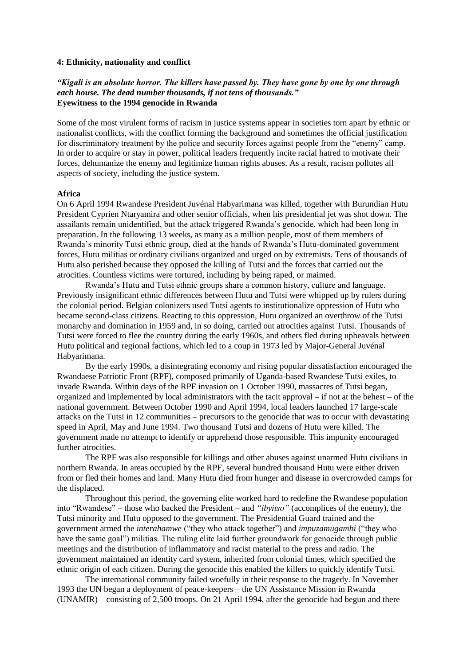#### **4: Ethnicity, nationality and conflict**

## *"Kigali is an absolute horror. The killers have passed by. They have gone by one by one through each house. The dead number thousands, if not tens of thousands."*  **Eyewitness to the 1994 genocide in Rwanda**

Some of the most virulent forms of racism in justice systems appear in societies torn apart by ethnic or nationalist conflicts, with the conflict forming the background and sometimes the official justification for discriminatory treatment by the police and security forces against people from the "enemy" camp. In order to acquire or stay in power, political leaders frequently incite racial hatred to motivate their forces, dehumanize the enemy and legitimize human rights abuses. As a result, racism pollutes all aspects of society, including the justice system.

### **Africa**

On 6 April 1994 Rwandese President Juvénal Habyarimana was killed, together with Burundian Hutu President Cyprien Ntaryamira and other senior officials, when his presidential jet was shot down. The assailants remain unidentified, but the attack triggered Rwanda's genocide, which had been long in preparation. In the following 13 weeks, as many as a million people, most of them members of Rwanda's minority Tutsi ethnic group, died at the hands of Rwanda's Hutu-dominated government forces, Hutu militias or ordinary civilians organized and urged on by extremists. Tens of thousands of Hutu also perished because they opposed the killing of Tutsi and the forces that carried out the atrocities. Countless victims were tortured, including by being raped, or maimed.

Rwanda's Hutu and Tutsi ethnic groups share a common history, culture and language. Previously insignificant ethnic differences between Hutu and Tutsi were whipped up by rulers during the colonial period. Belgian colonizers used Tutsi agents to institutionalize oppression of Hutu who became second-class citizens. Reacting to this oppression, Hutu organized an overthrow of the Tutsi monarchy and domination in 1959 and, in so doing, carried out atrocities against Tutsi. Thousands of Tutsi were forced to flee the country during the early 1960s, and others fled during upheavals between Hutu political and regional factions, which led to a coup in 1973 led by Major-General Juvénal Habyarimana.

By the early 1990s, a disintegrating economy and rising popular dissatisfaction encouraged the Rwandaese Patriotic Front (RPF), composed primarily of Uganda-based Rwandese Tutsi exiles, to invade Rwanda. Within days of the RPF invasion on 1 October 1990, massacres of Tutsi began, organized and implemented by local administrators with the tacit approval – if not at the behest – of the national government. Between October 1990 and April 1994, local leaders launched 17 large-scale attacks on the Tutsi in 12 communities – precursors to the genocide that was to occur with devastating speed in April, May and June 1994. Two thousand Tutsi and dozens of Hutu were killed. The government made no attempt to identify or apprehend those responsible. This impunity encouraged further atrocities.

The RPF was also responsible for killings and other abuses against unarmed Hutu civilians in northern Rwanda. In areas occupied by the RPF, several hundred thousand Hutu were either driven from or fled their homes and land. Many Hutu died from hunger and disease in overcrowded camps for the displaced.

Throughout this period, the governing elite worked hard to redefine the Rwandese population into "Rwandese" – those who backed the President – and *"ibyitso"* (accomplices of the enemy), the Tutsi minority and Hutu opposed to the government. The Presidential Guard trained and the government armed the *interahamwe* ("they who attack together") and *impuzamugambi* ("they who have the same goal") militias. The ruling elite laid further groundwork for genocide through public meetings and the distribution of inflammatory and racist material to the press and radio. The government maintained an identity card system, inherited from colonial times, which specified the ethnic origin of each citizen. During the genocide this enabled the killers to quickly identify Tutsi.

The international community failed woefully in their response to the tragedy. In November 1993 the UN began a deployment of peace-keepers – the UN Assistance Mission in Rwanda (UNAMIR) – consisting of 2,500 troops. On 21 April 1994, after the genocide had begun and there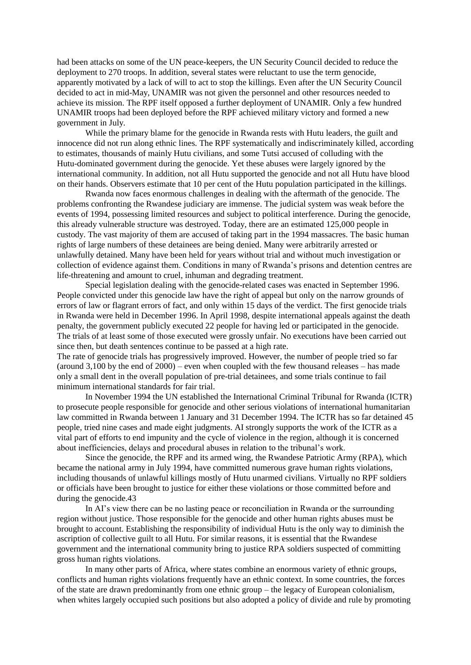had been attacks on some of the UN peace-keepers, the UN Security Council decided to reduce the deployment to 270 troops. In addition, several states were reluctant to use the term genocide, apparently motivated by a lack of will to act to stop the killings. Even after the UN Security Council decided to act in mid-May, UNAMIR was not given the personnel and other resources needed to achieve its mission. The RPF itself opposed a further deployment of UNAMIR. Only a few hundred UNAMIR troops had been deployed before the RPF achieved military victory and formed a new government in July.

While the primary blame for the genocide in Rwanda rests with Hutu leaders, the guilt and innocence did not run along ethnic lines. The RPF systematically and indiscriminately killed, according to estimates, thousands of mainly Hutu civilians, and some Tutsi accused of colluding with the Hutu-dominated government during the genocide. Yet these abuses were largely ignored by the international community. In addition, not all Hutu supported the genocide and not all Hutu have blood on their hands. Observers estimate that 10 per cent of the Hutu population participated in the killings.

Rwanda now faces enormous challenges in dealing with the aftermath of the genocide. The problems confronting the Rwandese judiciary are immense. The judicial system was weak before the events of 1994, possessing limited resources and subject to political interference. During the genocide, this already vulnerable structure was destroyed. Today, there are an estimated 125,000 people in custody. The vast majority of them are accused of taking part in the 1994 massacres. The basic human rights of large numbers of these detainees are being denied. Many were arbitrarily arrested or unlawfully detained. Many have been held for years without trial and without much investigation or collection of evidence against them. Conditions in many of Rwanda's prisons and detention centres are life-threatening and amount to cruel, inhuman and degrading treatment.

Special legislation dealing with the genocide-related cases was enacted in September 1996. People convicted under this genocide law have the right of appeal but only on the narrow grounds of errors of law or flagrant errors of fact, and only within 15 days of the verdict. The first genocide trials in Rwanda were held in December 1996. In April 1998, despite international appeals against the death penalty, the government publicly executed 22 people for having led or participated in the genocide. The trials of at least some of those executed were grossly unfair. No executions have been carried out since then, but death sentences continue to be passed at a high rate.

The rate of genocide trials has progressively improved. However, the number of people tried so far (around 3,100 by the end of 2000) – even when coupled with the few thousand releases – has made only a small dent in the overall population of pre-trial detainees, and some trials continue to fail minimum international standards for fair trial.

In November 1994 the UN established the International Criminal Tribunal for Rwanda (ICTR) to prosecute people responsible for genocide and other serious violations of international humanitarian law committed in Rwanda between 1 January and 31 December 1994. The ICTR has so far detained 45 people, tried nine cases and made eight judgments. AI strongly supports the work of the ICTR as a vital part of efforts to end impunity and the cycle of violence in the region, although it is concerned about inefficiencies, delays and procedural abuses in relation to the tribunal's work.

Since the genocide, the RPF and its armed wing, the Rwandese Patriotic Army (RPA), which became the national army in July 1994, have committed numerous grave human rights violations, including thousands of unlawful killings mostly of Hutu unarmed civilians. Virtually no RPF soldiers or officials have been brought to justice for either these violations or those committed before and during the genocide.43

In AI's view there can be no lasting peace or reconciliation in Rwanda or the surrounding region without justice. Those responsible for the genocide and other human rights abuses must be brought to account. Establishing the responsibility of individual Hutu is the only way to diminish the ascription of collective guilt to all Hutu. For similar reasons, it is essential that the Rwandese government and the international community bring to justice RPA soldiers suspected of committing gross human rights violations.

In many other parts of Africa, where states combine an enormous variety of ethnic groups, conflicts and human rights violations frequently have an ethnic context. In some countries, the forces of the state are drawn predominantly from one ethnic group – the legacy of European colonialism, when whites largely occupied such positions but also adopted a policy of divide and rule by promoting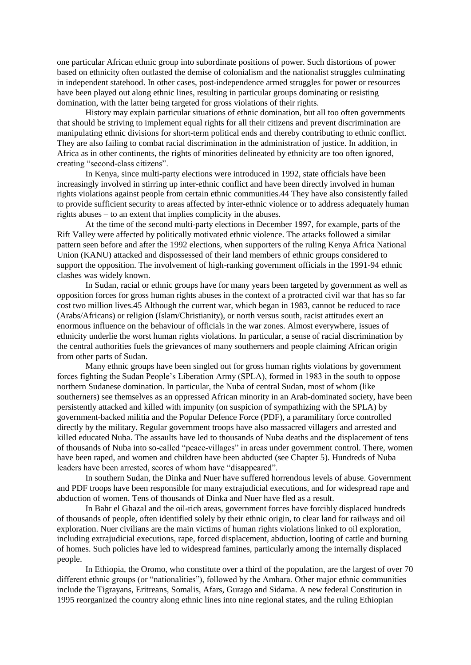one particular African ethnic group into subordinate positions of power. Such distortions of power based on ethnicity often outlasted the demise of colonialism and the nationalist struggles culminating in independent statehood. In other cases, post-independence armed struggles for power or resources have been played out along ethnic lines, resulting in particular groups dominating or resisting domination, with the latter being targeted for gross violations of their rights.

History may explain particular situations of ethnic domination, but all too often governments that should be striving to implement equal rights for all their citizens and prevent discrimination are manipulating ethnic divisions for short-term political ends and thereby contributing to ethnic conflict. They are also failing to combat racial discrimination in the administration of justice. In addition, in Africa as in other continents, the rights of minorities delineated by ethnicity are too often ignored, creating "second-class citizens".

In Kenya, since multi-party elections were introduced in 1992, state officials have been increasingly involved in stirring up inter-ethnic conflict and have been directly involved in human rights violations against people from certain ethnic communities.44 They have also consistently failed to provide sufficient security to areas affected by inter-ethnic violence or to address adequately human rights abuses – to an extent that implies complicity in the abuses.

At the time of the second multi-party elections in December 1997, for example, parts of the Rift Valley were affected by politically motivated ethnic violence. The attacks followed a similar pattern seen before and after the 1992 elections, when supporters of the ruling Kenya Africa National Union (KANU) attacked and dispossessed of their land members of ethnic groups considered to support the opposition. The involvement of high-ranking government officials in the 1991-94 ethnic clashes was widely known.

In Sudan, racial or ethnic groups have for many years been targeted by government as well as opposition forces for gross human rights abuses in the context of a protracted civil war that has so far cost two million lives.45 Although the current war, which began in 1983, cannot be reduced to race (Arabs/Africans) or religion (Islam/Christianity), or north versus south, racist attitudes exert an enormous influence on the behaviour of officials in the war zones. Almost everywhere, issues of ethnicity underlie the worst human rights violations. In particular, a sense of racial discrimination by the central authorities fuels the grievances of many southerners and people claiming African origin from other parts of Sudan.

Many ethnic groups have been singled out for gross human rights violations by government forces fighting the Sudan People's Liberation Army (SPLA), formed in 1983 in the south to oppose northern Sudanese domination. In particular, the Nuba of central Sudan, most of whom (like southerners) see themselves as an oppressed African minority in an Arab-dominated society, have been persistently attacked and killed with impunity (on suspicion of sympathizing with the SPLA) by government-backed militia and the Popular Defence Force (PDF), a paramilitary force controlled directly by the military. Regular government troops have also massacred villagers and arrested and killed educated Nuba. The assaults have led to thousands of Nuba deaths and the displacement of tens of thousands of Nuba into so-called "peace-villages" in areas under government control. There, women have been raped, and women and children have been abducted (see Chapter 5). Hundreds of Nuba leaders have been arrested, scores of whom have "disappeared".

In southern Sudan, the Dinka and Nuer have suffered horrendous levels of abuse. Government and PDF troops have been responsible for many extrajudicial executions, and for widespread rape and abduction of women. Tens of thousands of Dinka and Nuer have fled as a result.

In Bahr el Ghazal and the oil-rich areas, government forces have forcibly displaced hundreds of thousands of people, often identified solely by their ethnic origin, to clear land for railways and oil exploration. Nuer civilians are the main victims of human rights violations linked to oil exploration, including extrajudicial executions, rape, forced displacement, abduction, looting of cattle and burning of homes. Such policies have led to widespread famines, particularly among the internally displaced people.

In Ethiopia, the Oromo, who constitute over a third of the population, are the largest of over 70 different ethnic groups (or "nationalities"), followed by the Amhara. Other major ethnic communities include the Tigrayans, Eritreans, Somalis, Afars, Gurago and Sidama. A new federal Constitution in 1995 reorganized the country along ethnic lines into nine regional states, and the ruling Ethiopian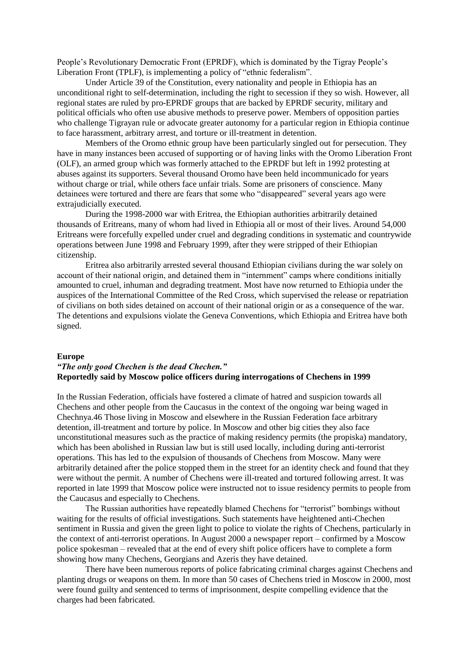People's Revolutionary Democratic Front (EPRDF), which is dominated by the Tigray People's Liberation Front (TPLF), is implementing a policy of "ethnic federalism".

Under Article 39 of the Constitution, every nationality and people in Ethiopia has an unconditional right to self-determination, including the right to secession if they so wish. However, all regional states are ruled by pro-EPRDF groups that are backed by EPRDF security, military and political officials who often use abusive methods to preserve power. Members of opposition parties who challenge Tigrayan rule or advocate greater autonomy for a particular region in Ethiopia continue to face harassment, arbitrary arrest, and torture or ill-treatment in detention.

Members of the Oromo ethnic group have been particularly singled out for persecution. They have in many instances been accused of supporting or of having links with the Oromo Liberation Front (OLF), an armed group which was formerly attached to the EPRDF but left in 1992 protesting at abuses against its supporters. Several thousand Oromo have been held incommunicado for years without charge or trial, while others face unfair trials. Some are prisoners of conscience. Many detainees were tortured and there are fears that some who "disappeared" several years ago were extrajudicially executed.

During the 1998-2000 war with Eritrea, the Ethiopian authorities arbitrarily detained thousands of Eritreans, many of whom had lived in Ethiopia all or most of their lives. Around 54,000 Eritreans were forcefully expelled under cruel and degrading conditions in systematic and countrywide operations between June 1998 and February 1999, after they were stripped of their Ethiopian citizenship.

Eritrea also arbitrarily arrested several thousand Ethiopian civilians during the war solely on account of their national origin, and detained them in "internment" camps where conditions initially amounted to cruel, inhuman and degrading treatment. Most have now returned to Ethiopia under the auspices of the International Committee of the Red Cross, which supervised the release or repatriation of civilians on both sides detained on account of their national origin or as a consequence of the war. The detentions and expulsions violate the Geneva Conventions, which Ethiopia and Eritrea have both signed.

#### **Europe**

## *"The only good Chechen is the dead Chechen."* **Reportedly said by Moscow police officers during interrogations of Chechens in 1999**

In the Russian Federation, officials have fostered a climate of hatred and suspicion towards all Chechens and other people from the Caucasus in the context of the ongoing war being waged in Chechnya.46 Those living in Moscow and elsewhere in the Russian Federation face arbitrary detention, ill-treatment and torture by police. In Moscow and other big cities they also face unconstitutional measures such as the practice of making residency permits (the propiska) mandatory, which has been abolished in Russian law but is still used locally, including during anti-terrorist operations. This has led to the expulsion of thousands of Chechens from Moscow. Many were arbitrarily detained after the police stopped them in the street for an identity check and found that they were without the permit. A number of Chechens were ill-treated and tortured following arrest. It was reported in late 1999 that Moscow police were instructed not to issue residency permits to people from the Caucasus and especially to Chechens.

The Russian authorities have repeatedly blamed Chechens for "terrorist" bombings without waiting for the results of official investigations. Such statements have heightened anti-Chechen sentiment in Russia and given the green light to police to violate the rights of Chechens, particularly in the context of anti-terrorist operations. In August 2000 a newspaper report – confirmed by a Moscow police spokesman – revealed that at the end of every shift police officers have to complete a form showing how many Chechens, Georgians and Azeris they have detained.

There have been numerous reports of police fabricating criminal charges against Chechens and planting drugs or weapons on them. In more than 50 cases of Chechens tried in Moscow in 2000, most were found guilty and sentenced to terms of imprisonment, despite compelling evidence that the charges had been fabricated.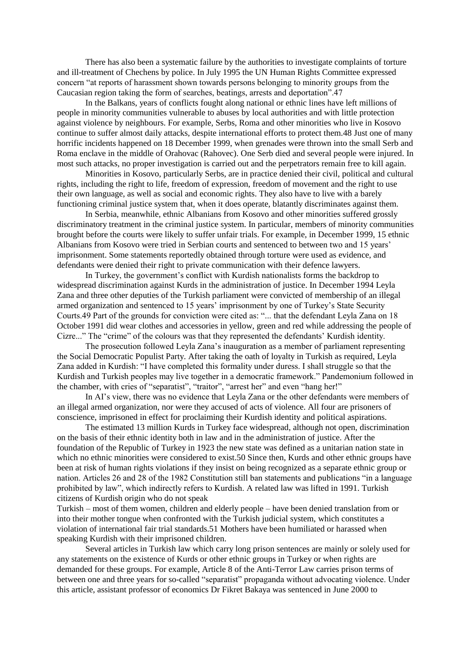There has also been a systematic failure by the authorities to investigate complaints of torture and ill-treatment of Chechens by police. In July 1995 the UN Human Rights Committee expressed concern "at reports of harassment shown towards persons belonging to minority groups from the Caucasian region taking the form of searches, beatings, arrests and deportation".47

In the Balkans, years of conflicts fought along national or ethnic lines have left millions of people in minority communities vulnerable to abuses by local authorities and with little protection against violence by neighbours. For example, Serbs, Roma and other minorities who live in Kosovo continue to suffer almost daily attacks, despite international efforts to protect them.48 Just one of many horrific incidents happened on 18 December 1999, when grenades were thrown into the small Serb and Roma enclave in the middle of Orahovac (Rahovec). One Serb died and several people were injured. In most such attacks, no proper investigation is carried out and the perpetrators remain free to kill again.

Minorities in Kosovo, particularly Serbs, are in practice denied their civil, political and cultural rights, including the right to life, freedom of expression, freedom of movement and the right to use their own language, as well as social and economic rights. They also have to live with a barely functioning criminal justice system that, when it does operate, blatantly discriminates against them.

In Serbia, meanwhile, ethnic Albanians from Kosovo and other minorities suffered grossly discriminatory treatment in the criminal justice system. In particular, members of minority communities brought before the courts were likely to suffer unfair trials. For example, in December 1999, 15 ethnic Albanians from Kosovo were tried in Serbian courts and sentenced to between two and 15 years' imprisonment. Some statements reportedly obtained through torture were used as evidence, and defendants were denied their right to private communication with their defence lawyers.

In Turkey, the government's conflict with Kurdish nationalists forms the backdrop to widespread discrimination against Kurds in the administration of justice. In December 1994 Leyla Zana and three other deputies of the Turkish parliament were convicted of membership of an illegal armed organization and sentenced to 15 years' imprisonment by one of Turkey's State Security Courts.49 Part of the grounds for conviction were cited as: "... that the defendant Leyla Zana on 18 October 1991 did wear clothes and accessories in yellow, green and red while addressing the people of Cizre..." The "crime" of the colours was that they represented the defendants' Kurdish identity.

The prosecution followed Leyla Zana's inauguration as a member of parliament representing the Social Democratic Populist Party. After taking the oath of loyalty in Turkish as required, Leyla Zana added in Kurdish: "I have completed this formality under duress. I shall struggle so that the Kurdish and Turkish peoples may live together in a democratic framework." Pandemonium followed in the chamber, with cries of "separatist", "traitor", "arrest her" and even "hang her!"

In AI's view, there was no evidence that Leyla Zana or the other defendants were members of an illegal armed organization, nor were they accused of acts of violence. All four are prisoners of conscience, imprisoned in effect for proclaiming their Kurdish identity and political aspirations.

The estimated 13 million Kurds in Turkey face widespread, although not open, discrimination on the basis of their ethnic identity both in law and in the administration of justice. After the foundation of the Republic of Turkey in 1923 the new state was defined as a unitarian nation state in which no ethnic minorities were considered to exist.50 Since then, Kurds and other ethnic groups have been at risk of human rights violations if they insist on being recognized as a separate ethnic group or nation. Articles 26 and 28 of the 1982 Constitution still ban statements and publications "in a language prohibited by law", which indirectly refers to Kurdish. A related law was lifted in 1991. Turkish citizens of Kurdish origin who do not speak

Turkish – most of them women, children and elderly people – have been denied translation from or into their mother tongue when confronted with the Turkish judicial system, which constitutes a violation of international fair trial standards.51 Mothers have been humiliated or harassed when speaking Kurdish with their imprisoned children.

Several articles in Turkish law which carry long prison sentences are mainly or solely used for any statements on the existence of Kurds or other ethnic groups in Turkey or when rights are demanded for these groups. For example, Article 8 of the Anti-Terror Law carries prison terms of between one and three years for so-called "separatist" propaganda without advocating violence. Under this article, assistant professor of economics Dr Fikret Bakaya was sentenced in June 2000 to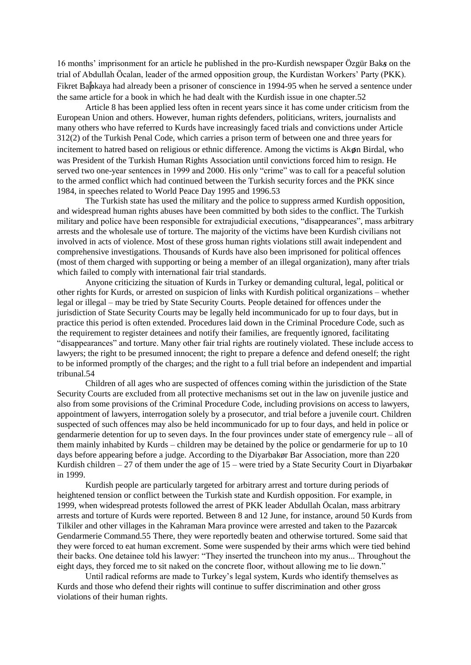16 months' imprisonment for an article he published in the pro-Kurdish newspaper Özgür Baks on the trial of Abdullah Öcalan, leader of the armed opposition group, the Kurdistan Workers' Party (PKK). Fikret Baþkaya had already been a prisoner of conscience in 1994-95 when he served a sentence under the same article for a book in which he had dealt with the Kurdish issue in one chapter.52

Article 8 has been applied less often in recent years since it has come under criticism from the European Union and others. However, human rights defenders, politicians, writers, journalists and many others who have referred to Kurds have increasingly faced trials and convictions under Article 312(2) of the Turkish Penal Code, which carries a prison term of between one and three years for incitement to hatred based on religious or ethnic difference. Among the victims is Akøn Birdal, who was President of the Turkish Human Rights Association until convictions forced him to resign. He served two one-year sentences in 1999 and 2000. His only "crime" was to call for a peaceful solution to the armed conflict which had continued between the Turkish security forces and the PKK since 1984, in speeches related to World Peace Day 1995 and 1996.53

The Turkish state has used the military and the police to suppress armed Kurdish opposition, and widespread human rights abuses have been committed by both sides to the conflict. The Turkish military and police have been responsible for extrajudicial executions, "disappearances", mass arbitrary arrests and the wholesale use of torture. The majority of the victims have been Kurdish civilians not involved in acts of violence. Most of these gross human rights violations still await independent and comprehensive investigations. Thousands of Kurds have also been imprisoned for political offences (most of them charged with supporting or being a member of an illegal organization), many after trials which failed to comply with international fair trial standards.

Anyone criticizing the situation of Kurds in Turkey or demanding cultural, legal, political or other rights for Kurds, or arrested on suspicion of links with Kurdish political organizations – whether legal or illegal – may be tried by State Security Courts. People detained for offences under the jurisdiction of State Security Courts may be legally held incommunicado for up to four days, but in practice this period is often extended. Procedures laid down in the Criminal Procedure Code, such as the requirement to register detainees and notify their families, are frequently ignored, facilitating "disappearances" and torture. Many other fair trial rights are routinely violated. These include access to lawyers; the right to be presumed innocent; the right to prepare a defence and defend oneself; the right to be informed promptly of the charges; and the right to a full trial before an independent and impartial tribunal.54

Children of all ages who are suspected of offences coming within the jurisdiction of the State Security Courts are excluded from all protective mechanisms set out in the law on juvenile justice and also from some provisions of the Criminal Procedure Code, including provisions on access to lawyers, appointment of lawyers, interrogation solely by a prosecutor, and trial before a juvenile court. Children suspected of such offences may also be held incommunicado for up to four days, and held in police or gendarmerie detention for up to seven days. In the four provinces under state of emergency rule – all of them mainly inhabited by Kurds – children may be detained by the police or gendarmerie for up to 10 days before appearing before a judge. According to the Diyarbakør Bar Association, more than 220 Kurdish children – 27 of them under the age of 15 – were tried by a State Security Court in Diyarbakør in 1999.

Kurdish people are particularly targeted for arbitrary arrest and torture during periods of heightened tension or conflict between the Turkish state and Kurdish opposition. For example, in 1999, when widespread protests followed the arrest of PKK leader Abdullah Öcalan, mass arbitrary arrests and torture of Kurds were reported. Between 8 and 12 June, for instance, around 50 Kurds from Tilkiler and other villages in the Kahraman Mara province were arrested and taken to the Pazarcøk Gendarmerie Command.55 There, they were reportedly beaten and otherwise tortured. Some said that they were forced to eat human excrement. Some were suspended by their arms which were tied behind their backs. One detainee told his lawyer: "They inserted the truncheon into my anus... Throughout the eight days, they forced me to sit naked on the concrete floor, without allowing me to lie down."

Until radical reforms are made to Turkey's legal system, Kurds who identify themselves as Kurds and those who defend their rights will continue to suffer discrimination and other gross violations of their human rights.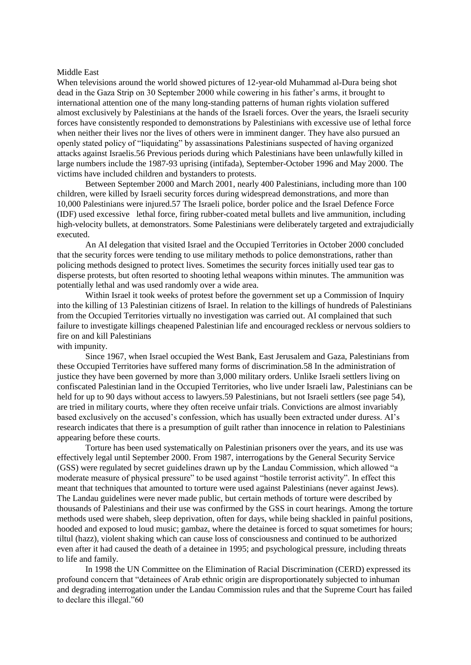#### Middle East

When televisions around the world showed pictures of 12-year-old Muhammad al-Dura being shot dead in the Gaza Strip on 30 September 2000 while cowering in his father's arms, it brought to international attention one of the many long-standing patterns of human rights violation suffered almost exclusively by Palestinians at the hands of the Israeli forces. Over the years, the Israeli security forces have consistently responded to demonstrations by Palestinians with excessive use of lethal force when neither their lives nor the lives of others were in imminent danger. They have also pursued an openly stated policy of "liquidating" by assassinations Palestinians suspected of having organized attacks against Israelis.56 Previous periods during which Palestinians have been unlawfully killed in large numbers include the 1987-93 uprising (intifada), September-October 1996 and May 2000. The victims have included children and bystanders to protests.

Between September 2000 and March 2001, nearly 400 Palestinians, including more than 100 children, were killed by Israeli security forces during widespread demonstrations, and more than 10,000 Palestinians were injured.57 The Israeli police, border police and the Israel Defence Force (IDF) used excessive lethal force, firing rubber-coated metal bullets and live ammunition, including high-velocity bullets, at demonstrators. Some Palestinians were deliberately targeted and extrajudicially executed.

An AI delegation that visited Israel and the Occupied Territories in October 2000 concluded that the security forces were tending to use military methods to police demonstrations, rather than policing methods designed to protect lives. Sometimes the security forces initially used tear gas to disperse protests, but often resorted to shooting lethal weapons within minutes. The ammunition was potentially lethal and was used randomly over a wide area.

Within Israel it took weeks of protest before the government set up a Commission of Inquiry into the killing of 13 Palestinian citizens of Israel. In relation to the killings of hundreds of Palestinians from the Occupied Territories virtually no investigation was carried out. AI complained that such failure to investigate killings cheapened Palestinian life and encouraged reckless or nervous soldiers to fire on and kill Palestinians

### with impunity.

Since 1967, when Israel occupied the West Bank, East Jerusalem and Gaza, Palestinians from these Occupied Territories have suffered many forms of discrimination.58 In the administration of justice they have been governed by more than 3,000 military orders. Unlike Israeli settlers living on confiscated Palestinian land in the Occupied Territories, who live under Israeli law, Palestinians can be held for up to 90 days without access to lawyers.59 Palestinians, but not Israeli settlers (see page 54), are tried in military courts, where they often receive unfair trials. Convictions are almost invariably based exclusively on the accused's confession, which has usually been extracted under duress. AI's research indicates that there is a presumption of guilt rather than innocence in relation to Palestinians appearing before these courts.

Torture has been used systematically on Palestinian prisoners over the years, and its use was effectively legal until September 2000. From 1987, interrogations by the General Security Service (GSS) were regulated by secret guidelines drawn up by the Landau Commission, which allowed "a moderate measure of physical pressure" to be used against "hostile terrorist activity". In effect this meant that techniques that amounted to torture were used against Palestinians (never against Jews). The Landau guidelines were never made public, but certain methods of torture were described by thousands of Palestinians and their use was confirmed by the GSS in court hearings. Among the torture methods used were shabeh, sleep deprivation, often for days, while being shackled in painful positions, hooded and exposed to loud music; gambaz, where the detainee is forced to squat sometimes for hours; tiltul (hazz), violent shaking which can cause loss of consciousness and continued to be authorized even after it had caused the death of a detainee in 1995; and psychological pressure, including threats to life and family.

In 1998 the UN Committee on the Elimination of Racial Discrimination (CERD) expressed its profound concern that "detainees of Arab ethnic origin are disproportionately subjected to inhuman and degrading interrogation under the Landau Commission rules and that the Supreme Court has failed to declare this illegal."60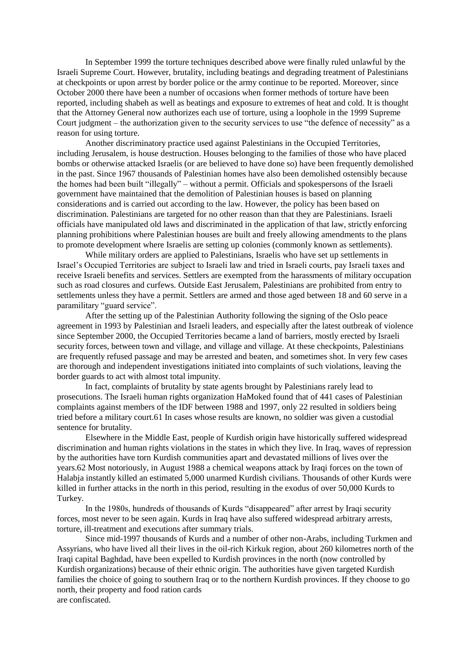In September 1999 the torture techniques described above were finally ruled unlawful by the Israeli Supreme Court. However, brutality, including beatings and degrading treatment of Palestinians at checkpoints or upon arrest by border police or the army continue to be reported. Moreover, since October 2000 there have been a number of occasions when former methods of torture have been reported, including shabeh as well as beatings and exposure to extremes of heat and cold. It is thought that the Attorney General now authorizes each use of torture, using a loophole in the 1999 Supreme Court judgment – the authorization given to the security services to use "the defence of necessity" as a reason for using torture.

Another discriminatory practice used against Palestinians in the Occupied Territories, including Jerusalem, is house destruction. Houses belonging to the families of those who have placed bombs or otherwise attacked Israelis (or are believed to have done so) have been frequently demolished in the past. Since 1967 thousands of Palestinian homes have also been demolished ostensibly because the homes had been built "illegally" – without a permit. Officials and spokespersons of the Israeli government have maintained that the demolition of Palestinian houses is based on planning considerations and is carried out according to the law. However, the policy has been based on discrimination. Palestinians are targeted for no other reason than that they are Palestinians. Israeli officials have manipulated old laws and discriminated in the application of that law, strictly enforcing planning prohibitions where Palestinian houses are built and freely allowing amendments to the plans to promote development where Israelis are setting up colonies (commonly known as settlements).

While military orders are applied to Palestinians, Israelis who have set up settlements in Israel's Occupied Territories are subject to Israeli law and tried in Israeli courts, pay Israeli taxes and receive Israeli benefits and services. Settlers are exempted from the harassments of military occupation such as road closures and curfews. Outside East Jerusalem, Palestinians are prohibited from entry to settlements unless they have a permit. Settlers are armed and those aged between 18 and 60 serve in a paramilitary "guard service".

After the setting up of the Palestinian Authority following the signing of the Oslo peace agreement in 1993 by Palestinian and Israeli leaders, and especially after the latest outbreak of violence since September 2000, the Occupied Territories became a land of barriers, mostly erected by Israeli security forces, between town and village, and village and village. At these checkpoints, Palestinians are frequently refused passage and may be arrested and beaten, and sometimes shot. In very few cases are thorough and independent investigations initiated into complaints of such violations, leaving the border guards to act with almost total impunity.

In fact, complaints of brutality by state agents brought by Palestinians rarely lead to prosecutions. The Israeli human rights organization HaMoked found that of 441 cases of Palestinian complaints against members of the IDF between 1988 and 1997, only 22 resulted in soldiers being tried before a military court.61 In cases whose results are known, no soldier was given a custodial sentence for brutality.

Elsewhere in the Middle East, people of Kurdish origin have historically suffered widespread discrimination and human rights violations in the states in which they live. In Iraq, waves of repression by the authorities have torn Kurdish communities apart and devastated millions of lives over the years.62 Most notoriously, in August 1988 a chemical weapons attack by Iraqi forces on the town of Halabja instantly killed an estimated 5,000 unarmed Kurdish civilians. Thousands of other Kurds were killed in further attacks in the north in this period, resulting in the exodus of over 50,000 Kurds to Turkey.

In the 1980s, hundreds of thousands of Kurds "disappeared" after arrest by Iraqi security forces, most never to be seen again. Kurds in Iraq have also suffered widespread arbitrary arrests, torture, ill-treatment and executions after summary trials.

Since mid-1997 thousands of Kurds and a number of other non-Arabs, including Turkmen and Assyrians, who have lived all their lives in the oil-rich Kirkuk region, about 260 kilometres north of the Iraqi capital Baghdad, have been expelled to Kurdish provinces in the north (now controlled by Kurdish organizations) because of their ethnic origin. The authorities have given targeted Kurdish families the choice of going to southern Iraq or to the northern Kurdish provinces. If they choose to go north, their property and food ration cards are confiscated.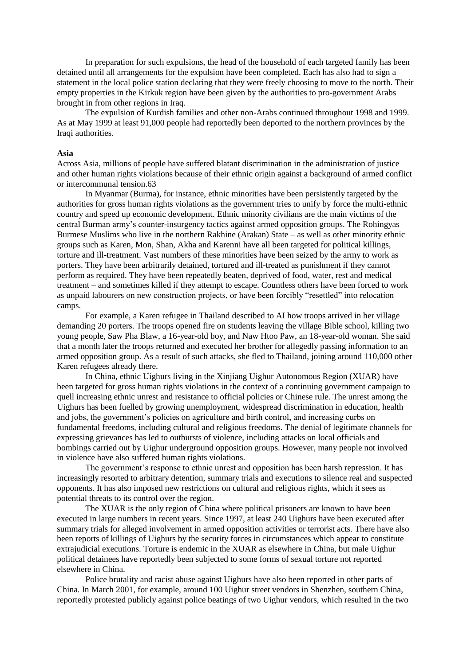In preparation for such expulsions, the head of the household of each targeted family has been detained until all arrangements for the expulsion have been completed. Each has also had to sign a statement in the local police station declaring that they were freely choosing to move to the north. Their empty properties in the Kirkuk region have been given by the authorities to pro-government Arabs brought in from other regions in Iraq.

The expulsion of Kurdish families and other non-Arabs continued throughout 1998 and 1999. As at May 1999 at least 91,000 people had reportedly been deported to the northern provinces by the Iraqi authorities.

### **Asia**

Across Asia, millions of people have suffered blatant discrimination in the administration of justice and other human rights violations because of their ethnic origin against a background of armed conflict or intercommunal tension.63

In Myanmar (Burma), for instance, ethnic minorities have been persistently targeted by the authorities for gross human rights violations as the government tries to unify by force the multi-ethnic country and speed up economic development. Ethnic minority civilians are the main victims of the central Burman army's counter-insurgency tactics against armed opposition groups. The Rohingyas – Burmese Muslims who live in the northern Rakhine (Arakan) State – as well as other minority ethnic groups such as Karen, Mon, Shan, Akha and Karenni have all been targeted for political killings, torture and ill-treatment. Vast numbers of these minorities have been seized by the army to work as porters. They have been arbitrarily detained, tortured and ill-treated as punishment if they cannot perform as required. They have been repeatedly beaten, deprived of food, water, rest and medical treatment – and sometimes killed if they attempt to escape. Countless others have been forced to work as unpaid labourers on new construction projects, or have been forcibly "resettled" into relocation camps.

For example, a Karen refugee in Thailand described to AI how troops arrived in her village demanding 20 porters. The troops opened fire on students leaving the village Bible school, killing two young people, Saw Pha Blaw, a 16-year-old boy, and Naw Htoo Paw, an 18-year-old woman. She said that a month later the troops returned and executed her brother for allegedly passing information to an armed opposition group. As a result of such attacks, she fled to Thailand, joining around 110,000 other Karen refugees already there.

In China, ethnic Uighurs living in the Xinjiang Uighur Autonomous Region (XUAR) have been targeted for gross human rights violations in the context of a continuing government campaign to quell increasing ethnic unrest and resistance to official policies or Chinese rule. The unrest among the Uighurs has been fuelled by growing unemployment, widespread discrimination in education, health and jobs, the government's policies on agriculture and birth control, and increasing curbs on fundamental freedoms, including cultural and religious freedoms. The denial of legitimate channels for expressing grievances has led to outbursts of violence, including attacks on local officials and bombings carried out by Uighur underground opposition groups. However, many people not involved in violence have also suffered human rights violations.

The government's response to ethnic unrest and opposition has been harsh repression. It has increasingly resorted to arbitrary detention, summary trials and executions to silence real and suspected opponents. It has also imposed new restrictions on cultural and religious rights, which it sees as potential threats to its control over the region.

The XUAR is the only region of China where political prisoners are known to have been executed in large numbers in recent years. Since 1997, at least 240 Uighurs have been executed after summary trials for alleged involvement in armed opposition activities or terrorist acts. There have also been reports of killings of Uighurs by the security forces in circumstances which appear to constitute extrajudicial executions. Torture is endemic in the XUAR as elsewhere in China, but male Uighur political detainees have reportedly been subjected to some forms of sexual torture not reported elsewhere in China.

Police brutality and racist abuse against Uighurs have also been reported in other parts of China. In March 2001, for example, around 100 Uighur street vendors in Shenzhen, southern China, reportedly protested publicly against police beatings of two Uighur vendors, which resulted in the two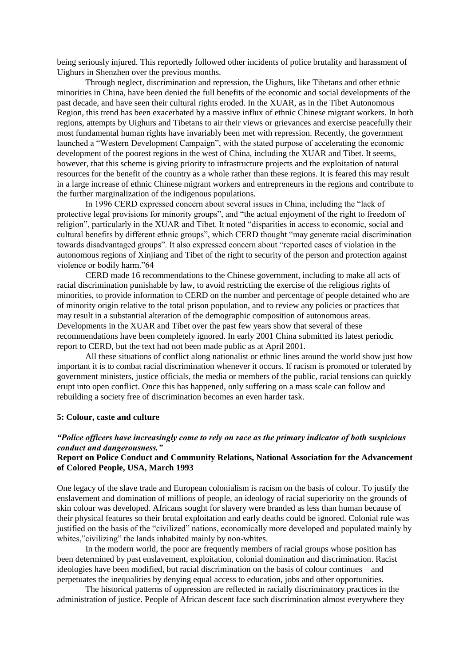being seriously injured. This reportedly followed other incidents of police brutality and harassment of Uighurs in Shenzhen over the previous months.

Through neglect, discrimination and repression, the Uighurs, like Tibetans and other ethnic minorities in China, have been denied the full benefits of the economic and social developments of the past decade, and have seen their cultural rights eroded. In the XUAR, as in the Tibet Autonomous Region, this trend has been exacerbated by a massive influx of ethnic Chinese migrant workers. In both regions, attempts by Uighurs and Tibetans to air their views or grievances and exercise peacefully their most fundamental human rights have invariably been met with repression. Recently, the government launched a "Western Development Campaign", with the stated purpose of accelerating the economic development of the poorest regions in the west of China, including the XUAR and Tibet. It seems, however, that this scheme is giving priority to infrastructure projects and the exploitation of natural resources for the benefit of the country as a whole rather than these regions. It is feared this may result in a large increase of ethnic Chinese migrant workers and entrepreneurs in the regions and contribute to the further marginalization of the indigenous populations.

In 1996 CERD expressed concern about several issues in China, including the "lack of protective legal provisions for minority groups", and "the actual enjoyment of the right to freedom of religion", particularly in the XUAR and Tibet. It noted "disparities in access to economic, social and cultural benefits by different ethnic groups", which CERD thought "may generate racial discrimination towards disadvantaged groups". It also expressed concern about "reported cases of violation in the autonomous regions of Xinjiang and Tibet of the right to security of the person and protection against violence or bodily harm."64

CERD made 16 recommendations to the Chinese government, including to make all acts of racial discrimination punishable by law, to avoid restricting the exercise of the religious rights of minorities, to provide information to CERD on the number and percentage of people detained who are of minority origin relative to the total prison population, and to review any policies or practices that may result in a substantial alteration of the demographic composition of autonomous areas. Developments in the XUAR and Tibet over the past few years show that several of these recommendations have been completely ignored. In early 2001 China submitted its latest periodic report to CERD, but the text had not been made public as at April 2001.

All these situations of conflict along nationalist or ethnic lines around the world show just how important it is to combat racial discrimination whenever it occurs. If racism is promoted or tolerated by government ministers, justice officials, the media or members of the public, racial tensions can quickly erupt into open conflict. Once this has happened, only suffering on a mass scale can follow and rebuilding a society free of discrimination becomes an even harder task.

## **5: Colour, caste and culture**

# *"Police officers have increasingly come to rely on race as the primary indicator of both suspicious conduct and dangerousness."*

## **Report on Police Conduct and Community Relations, National Association for the Advancement of Colored People, USA, March 1993**

One legacy of the slave trade and European colonialism is racism on the basis of colour. To justify the enslavement and domination of millions of people, an ideology of racial superiority on the grounds of skin colour was developed. Africans sought for slavery were branded as less than human because of their physical features so their brutal exploitation and early deaths could be ignored. Colonial rule was justified on the basis of the "civilized" nations, economically more developed and populated mainly by whites,"civilizing" the lands inhabited mainly by non-whites.

In the modern world, the poor are frequently members of racial groups whose position has been determined by past enslavement, exploitation, colonial domination and discrimination. Racist ideologies have been modified, but racial discrimination on the basis of colour continues – and perpetuates the inequalities by denying equal access to education, jobs and other opportunities.

The historical patterns of oppression are reflected in racially discriminatory practices in the administration of justice. People of African descent face such discrimination almost everywhere they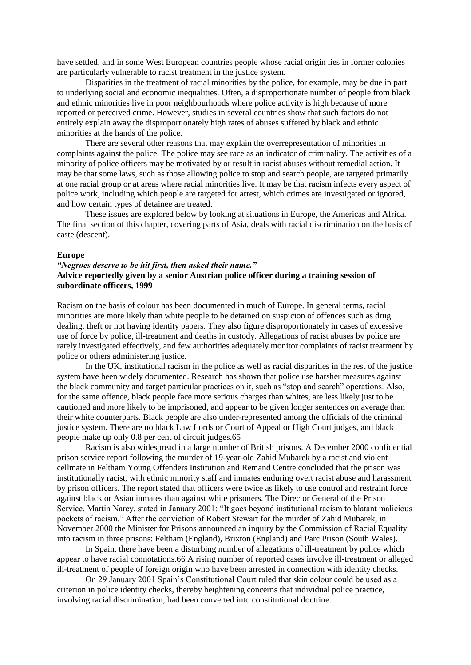have settled, and in some West European countries people whose racial origin lies in former colonies are particularly vulnerable to racist treatment in the justice system.

Disparities in the treatment of racial minorities by the police, for example, may be due in part to underlying social and economic inequalities. Often, a disproportionate number of people from black and ethnic minorities live in poor neighbourhoods where police activity is high because of more reported or perceived crime. However, studies in several countries show that such factors do not entirely explain away the disproportionately high rates of abuses suffered by black and ethnic minorities at the hands of the police.

There are several other reasons that may explain the overrepresentation of minorities in complaints against the police. The police may see race as an indicator of criminality. The activities of a minority of police officers may be motivated by or result in racist abuses without remedial action. It may be that some laws, such as those allowing police to stop and search people, are targeted primarily at one racial group or at areas where racial minorities live. It may be that racism infects every aspect of police work, including which people are targeted for arrest, which crimes are investigated or ignored, and how certain types of detainee are treated.

These issues are explored below by looking at situations in Europe, the Americas and Africa. The final section of this chapter, covering parts of Asia, deals with racial discrimination on the basis of caste (descent).

#### **Europe**

# *"Negroes deserve to be hit first, then asked their name."* **Advice reportedly given by a senior Austrian police officer during a training session of subordinate officers, 1999**

Racism on the basis of colour has been documented in much of Europe. In general terms, racial minorities are more likely than white people to be detained on suspicion of offences such as drug dealing, theft or not having identity papers. They also figure disproportionately in cases of excessive use of force by police, ill-treatment and deaths in custody. Allegations of racist abuses by police are rarely investigated effectively, and few authorities adequately monitor complaints of racist treatment by police or others administering justice.

In the UK, institutional racism in the police as well as racial disparities in the rest of the justice system have been widely documented. Research has shown that police use harsher measures against the black community and target particular practices on it, such as "stop and search" operations. Also, for the same offence, black people face more serious charges than whites, are less likely just to be cautioned and more likely to be imprisoned, and appear to be given longer sentences on average than their white counterparts. Black people are also under-represented among the officials of the criminal justice system. There are no black Law Lords or Court of Appeal or High Court judges, and black people make up only 0.8 per cent of circuit judges.65

Racism is also widespread in a large number of British prisons. A December 2000 confidential prison service report following the murder of 19-year-old Zahid Mubarek by a racist and violent cellmate in Feltham Young Offenders Institution and Remand Centre concluded that the prison was institutionally racist, with ethnic minority staff and inmates enduring overt racist abuse and harassment by prison officers. The report stated that officers were twice as likely to use control and restraint force against black or Asian inmates than against white prisoners. The Director General of the Prison Service, Martin Narey, stated in January 2001: "It goes beyond institutional racism to blatant malicious pockets of racism." After the conviction of Robert Stewart for the murder of Zahid Mubarek, in November 2000 the Minister for Prisons announced an inquiry by the Commission of Racial Equality into racism in three prisons: Feltham (England), Brixton (England) and Parc Prison (South Wales).

In Spain, there have been a disturbing number of allegations of ill-treatment by police which appear to have racial connotations.66 A rising number of reported cases involve ill-treatment or alleged ill-treatment of people of foreign origin who have been arrested in connection with identity checks.

On 29 January 2001 Spain's Constitutional Court ruled that skin colour could be used as a criterion in police identity checks, thereby heightening concerns that individual police practice, involving racial discrimination, had been converted into constitutional doctrine.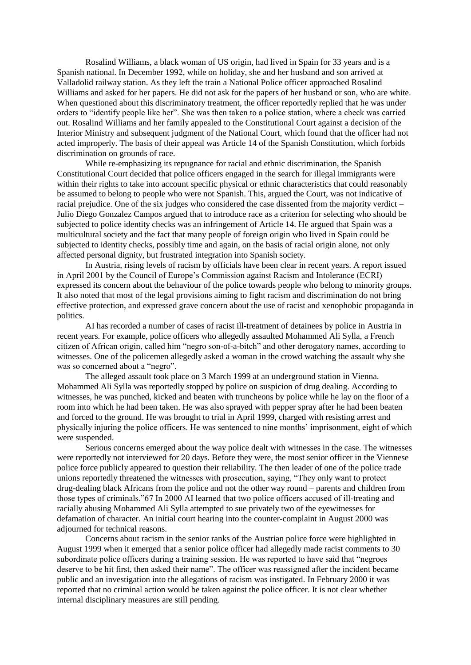Rosalind Williams, a black woman of US origin, had lived in Spain for 33 years and is a Spanish national. In December 1992, while on holiday, she and her husband and son arrived at Valladolid railway station. As they left the train a National Police officer approached Rosalind Williams and asked for her papers. He did not ask for the papers of her husband or son, who are white. When questioned about this discriminatory treatment, the officer reportedly replied that he was under orders to "identify people like her". She was then taken to a police station, where a check was carried out. Rosalind Williams and her family appealed to the Constitutional Court against a decision of the Interior Ministry and subsequent judgment of the National Court, which found that the officer had not acted improperly. The basis of their appeal was Article 14 of the Spanish Constitution, which forbids discrimination on grounds of race.

While re-emphasizing its repugnance for racial and ethnic discrimination, the Spanish Constitutional Court decided that police officers engaged in the search for illegal immigrants were within their rights to take into account specific physical or ethnic characteristics that could reasonably be assumed to belong to people who were not Spanish. This, argued the Court, was not indicative of racial prejudice. One of the six judges who considered the case dissented from the majority verdict – Julio Diego Gonzalez Campos argued that to introduce race as a criterion for selecting who should be subjected to police identity checks was an infringement of Article 14. He argued that Spain was a multicultural society and the fact that many people of foreign origin who lived in Spain could be subjected to identity checks, possibly time and again, on the basis of racial origin alone, not only affected personal dignity, but frustrated integration into Spanish society.

In Austria, rising levels of racism by officials have been clear in recent years. A report issued in April 2001 by the Council of Europe's Commission against Racism and Intolerance (ECRI) expressed its concern about the behaviour of the police towards people who belong to minority groups. It also noted that most of the legal provisions aiming to fight racism and discrimination do not bring effective protection, and expressed grave concern about the use of racist and xenophobic propaganda in politics.

AI has recorded a number of cases of racist ill-treatment of detainees by police in Austria in recent years. For example, police officers who allegedly assaulted Mohammed Ali Sylla, a French citizen of African origin, called him "negro son-of-a-bitch" and other derogatory names, according to witnesses. One of the policemen allegedly asked a woman in the crowd watching the assault why she was so concerned about a "negro".

The alleged assault took place on 3 March 1999 at an underground station in Vienna. Mohammed Ali Sylla was reportedly stopped by police on suspicion of drug dealing. According to witnesses, he was punched, kicked and beaten with truncheons by police while he lay on the floor of a room into which he had been taken. He was also sprayed with pepper spray after he had been beaten and forced to the ground. He was brought to trial in April 1999, charged with resisting arrest and physically injuring the police officers. He was sentenced to nine months' imprisonment, eight of which were suspended.

Serious concerns emerged about the way police dealt with witnesses in the case. The witnesses were reportedly not interviewed for 20 days. Before they were, the most senior officer in the Viennese police force publicly appeared to question their reliability. The then leader of one of the police trade unions reportedly threatened the witnesses with prosecution, saying, "They only want to protect drug-dealing black Africans from the police and not the other way round – parents and children from those types of criminals."67 In 2000 AI learned that two police officers accused of ill-treating and racially abusing Mohammed Ali Sylla attempted to sue privately two of the eyewitnesses for defamation of character. An initial court hearing into the counter-complaint in August 2000 was adjourned for technical reasons.

Concerns about racism in the senior ranks of the Austrian police force were highlighted in August 1999 when it emerged that a senior police officer had allegedly made racist comments to 30 subordinate police officers during a training session. He was reported to have said that "negroes deserve to be hit first, then asked their name". The officer was reassigned after the incident became public and an investigation into the allegations of racism was instigated. In February 2000 it was reported that no criminal action would be taken against the police officer. It is not clear whether internal disciplinary measures are still pending.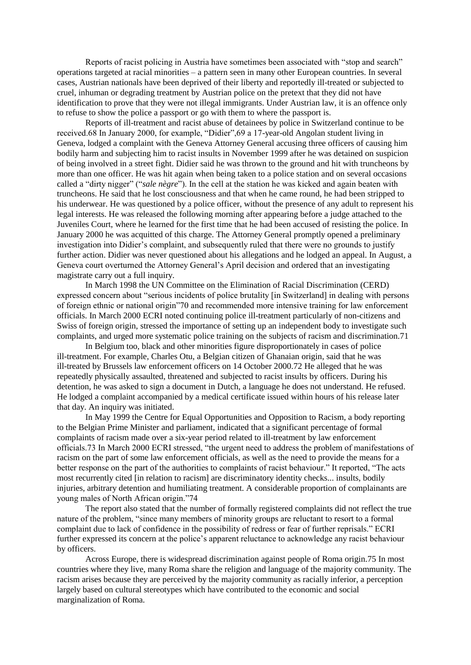Reports of racist policing in Austria have sometimes been associated with "stop and search" operations targeted at racial minorities – a pattern seen in many other European countries. In several cases, Austrian nationals have been deprived of their liberty and reportedly ill-treated or subjected to cruel, inhuman or degrading treatment by Austrian police on the pretext that they did not have identification to prove that they were not illegal immigrants. Under Austrian law, it is an offence only to refuse to show the police a passport or go with them to where the passport is.

Reports of ill-treatment and racist abuse of detainees by police in Switzerland continue to be received.68 In January 2000, for example, "Didier",69 a 17-year-old Angolan student living in Geneva, lodged a complaint with the Geneva Attorney General accusing three officers of causing him bodily harm and subjecting him to racist insults in November 1999 after he was detained on suspicion of being involved in a street fight. Didier said he was thrown to the ground and hit with truncheons by more than one officer. He was hit again when being taken to a police station and on several occasions called a "dirty nigger" ("*sale nègre*"). In the cell at the station he was kicked and again beaten with truncheons. He said that he lost consciousness and that when he came round, he had been stripped to his underwear. He was questioned by a police officer, without the presence of any adult to represent his legal interests. He was released the following morning after appearing before a judge attached to the Juveniles Court, where he learned for the first time that he had been accused of resisting the police. In January 2000 he was acquitted of this charge. The Attorney General promptly opened a preliminary investigation into Didier's complaint, and subsequently ruled that there were no grounds to justify further action. Didier was never questioned about his allegations and he lodged an appeal. In August, a Geneva court overturned the Attorney General's April decision and ordered that an investigating magistrate carry out a full inquiry.

In March 1998 the UN Committee on the Elimination of Racial Discrimination (CERD) expressed concern about "serious incidents of police brutality [in Switzerland] in dealing with persons of foreign ethnic or national origin"70 and recommended more intensive training for law enforcement officials. In March 2000 ECRI noted continuing police ill-treatment particularly of non-citizens and Swiss of foreign origin, stressed the importance of setting up an independent body to investigate such complaints, and urged more systematic police training on the subjects of racism and discrimination.71

In Belgium too, black and other minorities figure disproportionately in cases of police ill-treatment. For example, Charles Otu, a Belgian citizen of Ghanaian origin, said that he was ill-treated by Brussels law enforcement officers on 14 October 2000.72 He alleged that he was repeatedly physically assaulted, threatened and subjected to racist insults by officers. During his detention, he was asked to sign a document in Dutch, a language he does not understand. He refused. He lodged a complaint accompanied by a medical certificate issued within hours of his release later that day. An inquiry was initiated.

In May 1999 the Centre for Equal Opportunities and Opposition to Racism, a body reporting to the Belgian Prime Minister and parliament, indicated that a significant percentage of formal complaints of racism made over a six-year period related to ill-treatment by law enforcement officials.73 In March 2000 ECRI stressed, "the urgent need to address the problem of manifestations of racism on the part of some law enforcement officials, as well as the need to provide the means for a better response on the part of the authorities to complaints of racist behaviour." It reported, "The acts most recurrently cited [in relation to racism] are discriminatory identity checks... insults, bodily injuries, arbitrary detention and humiliating treatment. A considerable proportion of complainants are young males of North African origin."74

The report also stated that the number of formally registered complaints did not reflect the true nature of the problem, "since many members of minority groups are reluctant to resort to a formal complaint due to lack of confidence in the possibility of redress or fear of further reprisals." ECRI further expressed its concern at the police's apparent reluctance to acknowledge any racist behaviour by officers.

Across Europe, there is widespread discrimination against people of Roma origin.75 In most countries where they live, many Roma share the religion and language of the majority community. The racism arises because they are perceived by the majority community as racially inferior, a perception largely based on cultural stereotypes which have contributed to the economic and social marginalization of Roma.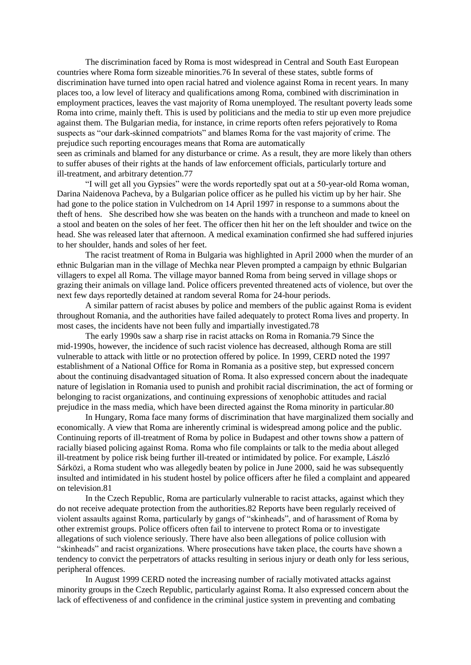The discrimination faced by Roma is most widespread in Central and South East European countries where Roma form sizeable minorities.76 In several of these states, subtle forms of discrimination have turned into open racial hatred and violence against Roma in recent years. In many places too, a low level of literacy and qualifications among Roma, combined with discrimination in employment practices, leaves the vast majority of Roma unemployed. The resultant poverty leads some Roma into crime, mainly theft. This is used by politicians and the media to stir up even more prejudice against them. The Bulgarian media, for instance, in crime reports often refers pejoratively to Roma suspects as "our dark-skinned compatriots" and blames Roma for the vast majority of crime. The prejudice such reporting encourages means that Roma are automatically seen as criminals and blamed for any disturbance or crime. As a result, they are more likely than others to suffer abuses of their rights at the hands of law enforcement officials, particularly torture and

ill-treatment, and arbitrary detention.77

"I will get all you Gypsies" were the words reportedly spat out at a 50-year-old Roma woman, Darina Naidenova Pacheva, by a Bulgarian police officer as he pulled his victim up by her hair. She had gone to the police station in Vulchedrom on 14 April 1997 in response to a summons about the theft of hens. She described how she was beaten on the hands with a truncheon and made to kneel on a stool and beaten on the soles of her feet. The officer then hit her on the left shoulder and twice on the head. She was released later that afternoon. A medical examination confirmed she had suffered injuries to her shoulder, hands and soles of her feet.

The racist treatment of Roma in Bulgaria was highlighted in April 2000 when the murder of an ethnic Bulgarian man in the village of Mechka near Pleven prompted a campaign by ethnic Bulgarian villagers to expel all Roma. The village mayor banned Roma from being served in village shops or grazing their animals on village land. Police officers prevented threatened acts of violence, but over the next few days reportedly detained at random several Roma for 24-hour periods.

A similar pattern of racist abuses by police and members of the public against Roma is evident throughout Romania, and the authorities have failed adequately to protect Roma lives and property. In most cases, the incidents have not been fully and impartially investigated.78

The early 1990s saw a sharp rise in racist attacks on Roma in Romania.79 Since the mid-1990s, however, the incidence of such racist violence has decreased, although Roma are still vulnerable to attack with little or no protection offered by police. In 1999, CERD noted the 1997 establishment of a National Office for Roma in Romania as a positive step, but expressed concern about the continuing disadvantaged situation of Roma. It also expressed concern about the inadequate nature of legislation in Romania used to punish and prohibit racial discrimination, the act of forming or belonging to racist organizations, and continuing expressions of xenophobic attitudes and racial prejudice in the mass media, which have been directed against the Roma minority in particular.80

In Hungary, Roma face many forms of discrimination that have marginalized them socially and economically. A view that Roma are inherently criminal is widespread among police and the public. Continuing reports of ill-treatment of Roma by police in Budapest and other towns show a pattern of racially biased policing against Roma. Roma who file complaints or talk to the media about alleged ill-treatment by police risk being further ill-treated or intimidated by police. For example, László Sárközi, a Roma student who was allegedly beaten by police in June 2000, said he was subsequently insulted and intimidated in his student hostel by police officers after he filed a complaint and appeared on television.81

In the Czech Republic, Roma are particularly vulnerable to racist attacks, against which they do not receive adequate protection from the authorities.82 Reports have been regularly received of violent assaults against Roma, particularly by gangs of "skinheads", and of harassment of Roma by other extremist groups. Police officers often fail to intervene to protect Roma or to investigate allegations of such violence seriously. There have also been allegations of police collusion with "skinheads" and racist organizations. Where prosecutions have taken place, the courts have shown a tendency to convict the perpetrators of attacks resulting in serious injury or death only for less serious, peripheral offences.

In August 1999 CERD noted the increasing number of racially motivated attacks against minority groups in the Czech Republic, particularly against Roma. It also expressed concern about the lack of effectiveness of and confidence in the criminal justice system in preventing and combating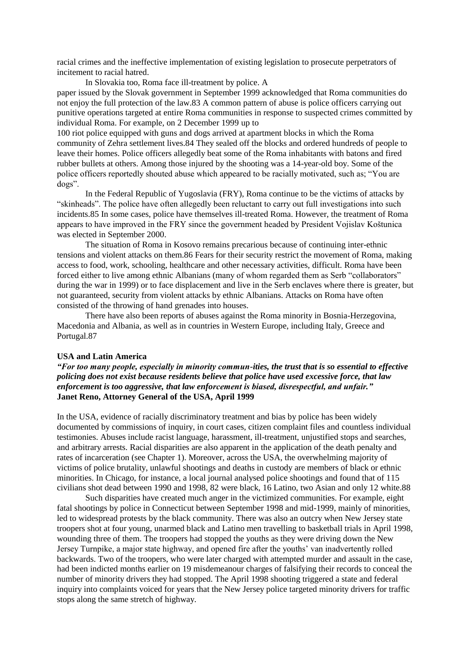racial crimes and the ineffective implementation of existing legislation to prosecute perpetrators of incitement to racial hatred.

In Slovakia too, Roma face ill-treatment by police. A paper issued by the Slovak government in September 1999 acknowledged that Roma communities do not enjoy the full protection of the law.83 A common pattern of abuse is police officers carrying out punitive operations targeted at entire Roma communities in response to suspected crimes committed by individual Roma. For example, on 2 December 1999 up to

100 riot police equipped with guns and dogs arrived at apartment blocks in which the Roma community of Zehra settlement lives.84 They sealed off the blocks and ordered hundreds of people to leave their homes. Police officers allegedly beat some of the Roma inhabitants with batons and fired rubber bullets at others. Among those injured by the shooting was a 14-year-old boy. Some of the police officers reportedly shouted abuse which appeared to be racially motivated, such as; "You are dogs".

In the Federal Republic of Yugoslavia (FRY), Roma continue to be the victims of attacks by "skinheads". The police have often allegedly been reluctant to carry out full investigations into such incidents.85 In some cases, police have themselves ill-treated Roma. However, the treatment of Roma appears to have improved in the FRY since the government headed by President Vojislav Koštunica was elected in September 2000.

The situation of Roma in Kosovo remains precarious because of continuing inter-ethnic tensions and violent attacks on them.86 Fears for their security restrict the movement of Roma, making access to food, work, schooling, healthcare and other necessary activities, difficult. Roma have been forced either to live among ethnic Albanians (many of whom regarded them as Serb "collaborators" during the war in 1999) or to face displacement and live in the Serb enclaves where there is greater, but not guaranteed, security from violent attacks by ethnic Albanians. Attacks on Roma have often consisted of the throwing of hand grenades into houses.

There have also been reports of abuses against the Roma minority in Bosnia-Herzegovina, Macedonia and Albania, as well as in countries in Western Europe, including Italy, Greece and Portugal.87

### **USA and Latin America**

*"For too many people, especially in minority commun-ities, the trust that is so essential to effective policing does not exist because residents believe that police have used excessive force, that law enforcement is too aggressive, that law enforcement is biased, disrespectful, and unfair."* **Janet Reno, Attorney General of the USA, April 1999**

In the USA, evidence of racially discriminatory treatment and bias by police has been widely documented by commissions of inquiry, in court cases, citizen complaint files and countless individual testimonies. Abuses include racist language, harassment, ill-treatment, unjustified stops and searches, and arbitrary arrests. Racial disparities are also apparent in the application of the death penalty and rates of incarceration (see Chapter 1). Moreover, across the USA, the overwhelming majority of victims of police brutality, unlawful shootings and deaths in custody are members of black or ethnic minorities. In Chicago, for instance, a local journal analysed police shootings and found that of 115 civilians shot dead between 1990 and 1998, 82 were black, 16 Latino, two Asian and only 12 white.88

Such disparities have created much anger in the victimized communities. For example, eight fatal shootings by police in Connecticut between September 1998 and mid-1999, mainly of minorities, led to widespread protests by the black community. There was also an outcry when New Jersey state troopers shot at four young, unarmed black and Latino men travelling to basketball trials in April 1998, wounding three of them. The troopers had stopped the youths as they were driving down the New Jersey Turnpike, a major state highway, and opened fire after the youths' van inadvertently rolled backwards. Two of the troopers, who were later charged with attempted murder and assault in the case, had been indicted months earlier on 19 misdemeanour charges of falsifying their records to conceal the number of minority drivers they had stopped. The April 1998 shooting triggered a state and federal inquiry into complaints voiced for years that the New Jersey police targeted minority drivers for traffic stops along the same stretch of highway.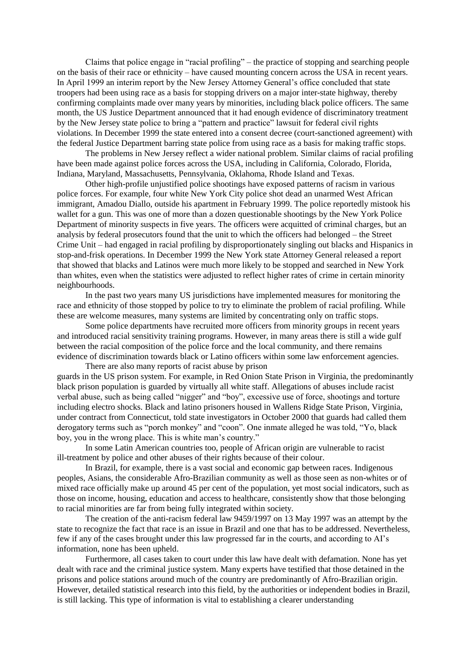Claims that police engage in "racial profiling" – the practice of stopping and searching people on the basis of their race or ethnicity – have caused mounting concern across the USA in recent years. In April 1999 an interim report by the New Jersey Attorney General's office concluded that state troopers had been using race as a basis for stopping drivers on a major inter-state highway, thereby confirming complaints made over many years by minorities, including black police officers. The same month, the US Justice Department announced that it had enough evidence of discriminatory treatment by the New Jersey state police to bring a "pattern and practice" lawsuit for federal civil rights violations. In December 1999 the state entered into a consent decree (court-sanctioned agreement) with the federal Justice Department barring state police from using race as a basis for making traffic stops.

The problems in New Jersey reflect a wider national problem. Similar claims of racial profiling have been made against police forces across the USA, including in California, Colorado, Florida, Indiana, Maryland, Massachusetts, Pennsylvania, Oklahoma, Rhode Island and Texas.

Other high-profile unjustified police shootings have exposed patterns of racism in various police forces. For example, four white New York City police shot dead an unarmed West African immigrant, Amadou Diallo, outside his apartment in February 1999. The police reportedly mistook his wallet for a gun. This was one of more than a dozen questionable shootings by the New York Police Department of minority suspects in five years. The officers were acquitted of criminal charges, but an analysis by federal prosecutors found that the unit to which the officers had belonged – the Street Crime Unit – had engaged in racial profiling by disproportionately singling out blacks and Hispanics in stop-and-frisk operations. In December 1999 the New York state Attorney General released a report that showed that blacks and Latinos were much more likely to be stopped and searched in New York than whites, even when the statistics were adjusted to reflect higher rates of crime in certain minority neighbourhoods.

In the past two years many US jurisdictions have implemented measures for monitoring the race and ethnicity of those stopped by police to try to eliminate the problem of racial profiling. While these are welcome measures, many systems are limited by concentrating only on traffic stops.

Some police departments have recruited more officers from minority groups in recent years and introduced racial sensitivity training programs. However, in many areas there is still a wide gulf between the racial composition of the police force and the local community, and there remains evidence of discrimination towards black or Latino officers within some law enforcement agencies.

There are also many reports of racist abuse by prison guards in the US prison system. For example, in Red Onion State Prison in Virginia, the predominantly black prison population is guarded by virtually all white staff. Allegations of abuses include racist verbal abuse, such as being called "nigger" and "boy", excessive use of force, shootings and torture including electro shocks. Black and latino prisoners housed in Wallens Ridge State Prison, Virginia, under contract from Connecticut, told state investigators in October 2000 that guards had called them derogatory terms such as "porch monkey" and "coon". One inmate alleged he was told, "Yo, black boy, you in the wrong place. This is white man's country."

In some Latin American countries too, people of African origin are vulnerable to racist ill-treatment by police and other abuses of their rights because of their colour.

In Brazil, for example, there is a vast social and economic gap between races. Indigenous peoples, Asians, the considerable Afro-Brazilian community as well as those seen as non-whites or of mixed race officially make up around 45 per cent of the population, yet most social indicators, such as those on income, housing, education and access to healthcare, consistently show that those belonging to racial minorities are far from being fully integrated within society.

The creation of the anti-racism federal law 9459/1997 on 13 May 1997 was an attempt by the state to recognize the fact that race is an issue in Brazil and one that has to be addressed. Nevertheless, few if any of the cases brought under this law progressed far in the courts, and according to AI's information, none has been upheld.

Furthermore, all cases taken to court under this law have dealt with defamation. None has yet dealt with race and the criminal justice system. Many experts have testified that those detained in the prisons and police stations around much of the country are predominantly of Afro-Brazilian origin. However, detailed statistical research into this field, by the authorities or independent bodies in Brazil, is still lacking. This type of information is vital to establishing a clearer understanding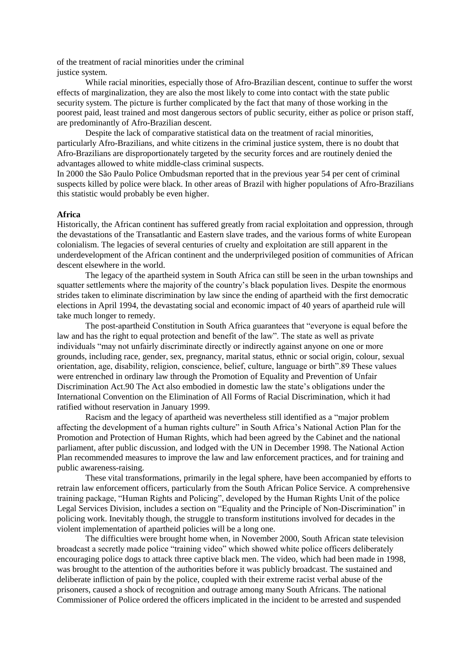of the treatment of racial minorities under the criminal justice system.

While racial minorities, especially those of Afro-Brazilian descent, continue to suffer the worst effects of marginalization, they are also the most likely to come into contact with the state public security system. The picture is further complicated by the fact that many of those working in the poorest paid, least trained and most dangerous sectors of public security, either as police or prison staff, are predominantly of Afro-Brazilian descent.

Despite the lack of comparative statistical data on the treatment of racial minorities, particularly Afro-Brazilians, and white citizens in the criminal justice system, there is no doubt that Afro-Brazilians are disproportionately targeted by the security forces and are routinely denied the advantages allowed to white middle-class criminal suspects.

In 2000 the São Paulo Police Ombudsman reported that in the previous year 54 per cent of criminal suspects killed by police were black. In other areas of Brazil with higher populations of Afro-Brazilians this statistic would probably be even higher.

#### **Africa**

Historically, the African continent has suffered greatly from racial exploitation and oppression, through the devastations of the Transatlantic and Eastern slave trades, and the various forms of white European colonialism. The legacies of several centuries of cruelty and exploitation are still apparent in the underdevelopment of the African continent and the underprivileged position of communities of African descent elsewhere in the world.

The legacy of the apartheid system in South Africa can still be seen in the urban townships and squatter settlements where the majority of the country's black population lives. Despite the enormous strides taken to eliminate discrimination by law since the ending of apartheid with the first democratic elections in April 1994, the devastating social and economic impact of 40 years of apartheid rule will take much longer to remedy.

The post-apartheid Constitution in South Africa guarantees that "everyone is equal before the law and has the right to equal protection and benefit of the law". The state as well as private individuals "may not unfairly discriminate directly or indirectly against anyone on one or more grounds, including race, gender, sex, pregnancy, marital status, ethnic or social origin, colour, sexual orientation, age, disability, religion, conscience, belief, culture, language or birth".89 These values were entrenched in ordinary law through the Promotion of Equality and Prevention of Unfair Discrimination Act.90 The Act also embodied in domestic law the state's obligations under the International Convention on the Elimination of All Forms of Racial Discrimination, which it had ratified without reservation in January 1999.

Racism and the legacy of apartheid was nevertheless still identified as a "major problem affecting the development of a human rights culture" in South Africa's National Action Plan for the Promotion and Protection of Human Rights, which had been agreed by the Cabinet and the national parliament, after public discussion, and lodged with the UN in December 1998. The National Action Plan recommended measures to improve the law and law enforcement practices, and for training and public awareness-raising.

These vital transformations, primarily in the legal sphere, have been accompanied by efforts to retrain law enforcement officers, particularly from the South African Police Service. A comprehensive training package, "Human Rights and Policing", developed by the Human Rights Unit of the police Legal Services Division, includes a section on "Equality and the Principle of Non-Discrimination" in policing work. Inevitably though, the struggle to transform institutions involved for decades in the violent implementation of apartheid policies will be a long one.

The difficulties were brought home when, in November 2000, South African state television broadcast a secretly made police "training video" which showed white police officers deliberately encouraging police dogs to attack three captive black men. The video, which had been made in 1998, was brought to the attention of the authorities before it was publicly broadcast. The sustained and deliberate infliction of pain by the police, coupled with their extreme racist verbal abuse of the prisoners, caused a shock of recognition and outrage among many South Africans. The national Commissioner of Police ordered the officers implicated in the incident to be arrested and suspended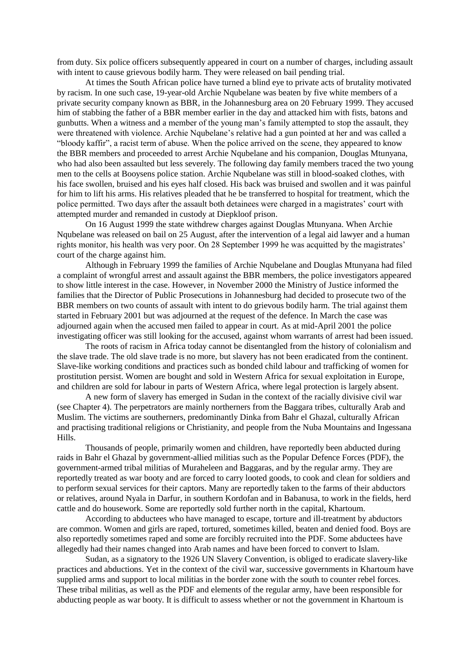from duty. Six police officers subsequently appeared in court on a number of charges, including assault with intent to cause grievous bodily harm. They were released on bail pending trial.

At times the South African police have turned a blind eye to private acts of brutality motivated by racism. In one such case, 19-year-old Archie Nqubelane was beaten by five white members of a private security company known as BBR, in the Johannesburg area on 20 February 1999. They accused him of stabbing the father of a BBR member earlier in the day and attacked him with fists, batons and gunbutts. When a witness and a member of the young man's family attempted to stop the assault, they were threatened with violence. Archie Nqubelane's relative had a gun pointed at her and was called a "bloody kaffir", a racist term of abuse. When the police arrived on the scene, they appeared to know the BBR members and proceeded to arrest Archie Nqubelane and his companion, Douglas Mtunyana, who had also been assaulted but less severely. The following day family members traced the two young men to the cells at Booysens police station. Archie Nqubelane was still in blood-soaked clothes, with his face swollen, bruised and his eyes half closed. His back was bruised and swollen and it was painful for him to lift his arms. His relatives pleaded that he be transferred to hospital for treatment, which the police permitted. Two days after the assault both detainees were charged in a magistrates' court with attempted murder and remanded in custody at Diepkloof prison.

On 16 August 1999 the state withdrew charges against Douglas Mtunyana. When Archie Nqubelane was released on bail on 25 August, after the intervention of a legal aid lawyer and a human rights monitor, his health was very poor. On 28 September 1999 he was acquitted by the magistrates' court of the charge against him.

Although in February 1999 the families of Archie Nqubelane and Douglas Mtunyana had filed a complaint of wrongful arrest and assault against the BBR members, the police investigators appeared to show little interest in the case. However, in November 2000 the Ministry of Justice informed the families that the Director of Public Prosecutions in Johannesburg had decided to prosecute two of the BBR members on two counts of assault with intent to do grievous bodily harm. The trial against them started in February 2001 but was adjourned at the request of the defence. In March the case was adjourned again when the accused men failed to appear in court. As at mid-April 2001 the police investigating officer was still looking for the accused, against whom warrants of arrest had been issued.

The roots of racism in Africa today cannot be disentangled from the history of colonialism and the slave trade. The old slave trade is no more, but slavery has not been eradicated from the continent. Slave-like working conditions and practices such as bonded child labour and trafficking of women for prostitution persist. Women are bought and sold in Western Africa for sexual exploitation in Europe, and children are sold for labour in parts of Western Africa, where legal protection is largely absent.

A new form of slavery has emerged in Sudan in the context of the racially divisive civil war (see Chapter 4). The perpetrators are mainly northerners from the Baggara tribes, culturally Arab and Muslim. The victims are southerners, predominantly Dinka from Bahr el Ghazal, culturally African and practising traditional religions or Christianity, and people from the Nuba Mountains and Ingessana Hills.

Thousands of people, primarily women and children, have reportedly been abducted during raids in Bahr el Ghazal by government-allied militias such as the Popular Defence Forces (PDF), the government-armed tribal militias of Muraheleen and Baggaras, and by the regular army. They are reportedly treated as war booty and are forced to carry looted goods, to cook and clean for soldiers and to perform sexual services for their captors. Many are reportedly taken to the farms of their abductors or relatives, around Nyala in Darfur, in southern Kordofan and in Babanusa, to work in the fields, herd cattle and do housework. Some are reportedly sold further north in the capital, Khartoum.

According to abductees who have managed to escape, torture and ill-treatment by abductors are common. Women and girls are raped, tortured, sometimes killed, beaten and denied food. Boys are also reportedly sometimes raped and some are forcibly recruited into the PDF. Some abductees have allegedly had their names changed into Arab names and have been forced to convert to Islam.

Sudan, as a signatory to the 1926 UN Slavery Convention, is obliged to eradicate slavery-like practices and abductions. Yet in the context of the civil war, successive governments in Khartoum have supplied arms and support to local militias in the border zone with the south to counter rebel forces. These tribal militias, as well as the PDF and elements of the regular army, have been responsible for abducting people as war booty. It is difficult to assess whether or not the government in Khartoum is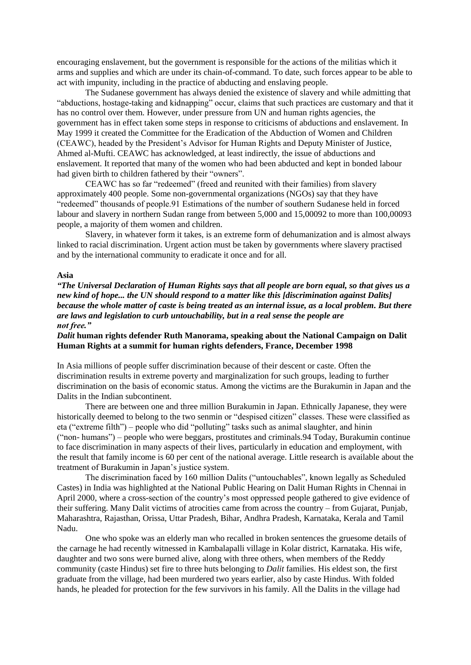encouraging enslavement, but the government is responsible for the actions of the militias which it arms and supplies and which are under its chain-of-command. To date, such forces appear to be able to act with impunity, including in the practice of abducting and enslaving people.

The Sudanese government has always denied the existence of slavery and while admitting that "abductions, hostage-taking and kidnapping" occur, claims that such practices are customary and that it has no control over them. However, under pressure from UN and human rights agencies, the government has in effect taken some steps in response to criticisms of abductions and enslavement. In May 1999 it created the Committee for the Eradication of the Abduction of Women and Children (CEAWC), headed by the President's Advisor for Human Rights and Deputy Minister of Justice, Ahmed al-Mufti. CEAWC has acknowledged, at least indirectly, the issue of abductions and enslavement. It reported that many of the women who had been abducted and kept in bonded labour had given birth to children fathered by their "owners".

CEAWC has so far "redeemed" (freed and reunited with their families) from slavery approximately 400 people. Some non-governmental organizations (NGOs) say that they have "redeemed" thousands of people.91 Estimations of the number of southern Sudanese held in forced labour and slavery in northern Sudan range from between 5,000 and 15,00092 to more than 100,00093 people, a majority of them women and children.

Slavery, in whatever form it takes, is an extreme form of dehumanization and is almost always linked to racial discrimination. Urgent action must be taken by governments where slavery practised and by the international community to eradicate it once and for all.

## **Asia**

*"The Universal Declaration of Human Rights says that all people are born equal, so that gives us a new kind of hope... the UN should respond to a matter like this [discrimination against Dalits] because the whole matter of caste is being treated as an internal issue, as a local problem. But there are laws and legislation to curb untouchability, but in a real sense the people are not free."*

# *Dalit* **human rights defender Ruth Manorama, speaking about the National Campaign on Dalit Human Rights at a summit for human rights defenders, France, December 1998**

In Asia millions of people suffer discrimination because of their descent or caste. Often the discrimination results in extreme poverty and marginalization for such groups, leading to further discrimination on the basis of economic status. Among the victims are the Burakumin in Japan and the Dalits in the Indian subcontinent.

There are between one and three million Burakumin in Japan. Ethnically Japanese, they were historically deemed to belong to the two senmin or "despised citizen" classes. These were classified as eta ("extreme filth") – people who did "polluting" tasks such as animal slaughter, and hinin ("non- humans") – people who were beggars, prostitutes and criminals.94 Today, Burakumin continue to face discrimination in many aspects of their lives, particularly in education and employment, with the result that family income is 60 per cent of the national average. Little research is available about the treatment of Burakumin in Japan's justice system.

The discrimination faced by 160 million Dalits ("untouchables", known legally as Scheduled Castes) in India was highlighted at the National Public Hearing on Dalit Human Rights in Chennai in April 2000, where a cross-section of the country's most oppressed people gathered to give evidence of their suffering. Many Dalit victims of atrocities came from across the country – from Gujarat, Punjab, Maharashtra, Rajasthan, Orissa, Uttar Pradesh, Bihar, Andhra Pradesh, Karnataka, Kerala and Tamil Nadu.

One who spoke was an elderly man who recalled in broken sentences the gruesome details of the carnage he had recently witnessed in Kambalapalli village in Kolar district, Karnataka. His wife, daughter and two sons were burned alive, along with three others, when members of the Reddy community (caste Hindus) set fire to three huts belonging to *Dalit* families. His eldest son, the first graduate from the village, had been murdered two years earlier, also by caste Hindus. With folded hands, he pleaded for protection for the few survivors in his family. All the Dalits in the village had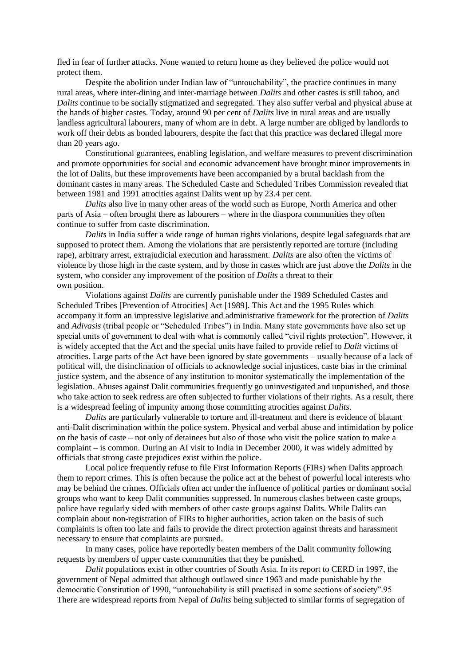fled in fear of further attacks. None wanted to return home as they believed the police would not protect them.

Despite the abolition under Indian law of "untouchability", the practice continues in many rural areas, where inter-dining and inter-marriage between *Dalits* and other castes is still taboo, and *Dalits* continue to be socially stigmatized and segregated. They also suffer verbal and physical abuse at the hands of higher castes. Today, around 90 per cent of *Dalits* live in rural areas and are usually landless agricultural labourers, many of whom are in debt. A large number are obliged by landlords to work off their debts as bonded labourers, despite the fact that this practice was declared illegal more than 20 years ago.

Constitutional guarantees, enabling legislation, and welfare measures to prevent discrimination and promote opportunities for social and economic advancement have brought minor improvements in the lot of Dalits, but these improvements have been accompanied by a brutal backlash from the dominant castes in many areas. The Scheduled Caste and Scheduled Tribes Commission revealed that between 1981 and 1991 atrocities against Dalits went up by 23.4 per cent.

*Dalits* also live in many other areas of the world such as Europe, North America and other parts of Asia – often brought there as labourers – where in the diaspora communities they often continue to suffer from caste discrimination.

*Dalits* in India suffer a wide range of human rights violations, despite legal safeguards that are supposed to protect them. Among the violations that are persistently reported are torture (including rape), arbitrary arrest, extrajudicial execution and harassment. *Dalits* are also often the victims of violence by those high in the caste system, and by those in castes which are just above the *Dalits* in the system, who consider any improvement of the position of *Dalits* a threat to their own position.

Violations against *Dalits* are currently punishable under the 1989 Scheduled Castes and Scheduled Tribes [Prevention of Atrocities] Act [1989]. This Act and the 1995 Rules which accompany it form an impressive legislative and administrative framework for the protection of *Dalits* and *Adivasis* (tribal people or "Scheduled Tribes") in India. Many state governments have also set up special units of government to deal with what is commonly called "civil rights protection". However, it is widely accepted that the Act and the special units have failed to provide relief to *Dalit* victims of atrocities. Large parts of the Act have been ignored by state governments – usually because of a lack of political will, the disinclination of officials to acknowledge social injustices, caste bias in the criminal justice system, and the absence of any institution to monitor systematically the implementation of the legislation. Abuses against Dalit communities frequently go uninvestigated and unpunished, and those who take action to seek redress are often subjected to further violations of their rights. As a result, there is a widespread feeling of impunity among those committing atrocities against *Dalits*.

*Dalits* are particularly vulnerable to torture and ill-treatment and there is evidence of blatant anti-Dalit discrimination within the police system. Physical and verbal abuse and intimidation by police on the basis of caste – not only of detainees but also of those who visit the police station to make a complaint – is common. During an AI visit to India in December 2000, it was widely admitted by officials that strong caste prejudices exist within the police.

Local police frequently refuse to file First Information Reports (FIRs) when Dalits approach them to report crimes. This is often because the police act at the behest of powerful local interests who may be behind the crimes. Officials often act under the influence of political parties or dominant social groups who want to keep Dalit communities suppressed. In numerous clashes between caste groups, police have regularly sided with members of other caste groups against Dalits. While Dalits can complain about non-registration of FIRs to higher authorities, action taken on the basis of such complaints is often too late and fails to provide the direct protection against threats and harassment necessary to ensure that complaints are pursued.

In many cases, police have reportedly beaten members of the Dalit community following requests by members of upper caste communities that they be punished.

*Dalit* populations exist in other countries of South Asia. In its report to CERD in 1997, the government of Nepal admitted that although outlawed since 1963 and made punishable by the democratic Constitution of 1990, "untouchability is still practised in some sections of society".95 There are widespread reports from Nepal of *Dalits* being subjected to similar forms of segregation of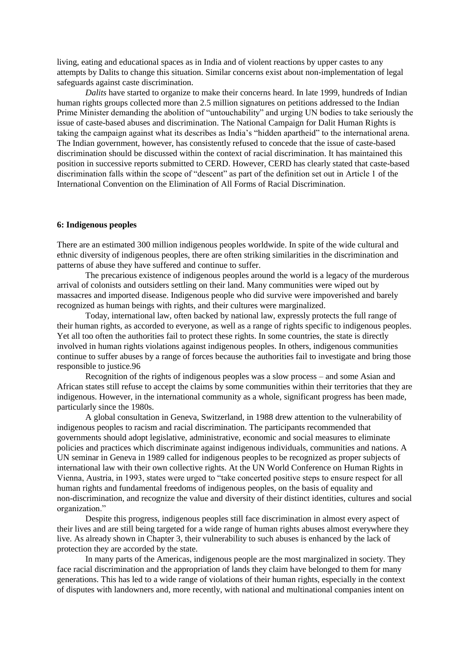living, eating and educational spaces as in India and of violent reactions by upper castes to any attempts by Dalits to change this situation. Similar concerns exist about non-implementation of legal safeguards against caste discrimination.

*Dalits* have started to organize to make their concerns heard. In late 1999, hundreds of Indian human rights groups collected more than 2.5 million signatures on petitions addressed to the Indian Prime Minister demanding the abolition of "untouchability" and urging UN bodies to take seriously the issue of caste-based abuses and discrimination. The National Campaign for Dalit Human Rights is taking the campaign against what its describes as India's "hidden apartheid" to the international arena. The Indian government, however, has consistently refused to concede that the issue of caste-based discrimination should be discussed within the context of racial discrimination. It has maintained this position in successive reports submitted to CERD. However, CERD has clearly stated that caste-based discrimination falls within the scope of "descent" as part of the definition set out in Article 1 of the International Convention on the Elimination of All Forms of Racial Discrimination.

### **6: Indigenous peoples**

There are an estimated 300 million indigenous peoples worldwide. In spite of the wide cultural and ethnic diversity of indigenous peoples, there are often striking similarities in the discrimination and patterns of abuse they have suffered and continue to suffer.

The precarious existence of indigenous peoples around the world is a legacy of the murderous arrival of colonists and outsiders settling on their land. Many communities were wiped out by massacres and imported disease. Indigenous people who did survive were impoverished and barely recognized as human beings with rights, and their cultures were marginalized.

Today, international law, often backed by national law, expressly protects the full range of their human rights, as accorded to everyone, as well as a range of rights specific to indigenous peoples. Yet all too often the authorities fail to protect these rights. In some countries, the state is directly involved in human rights violations against indigenous peoples. In others, indigenous communities continue to suffer abuses by a range of forces because the authorities fail to investigate and bring those responsible to justice.96

Recognition of the rights of indigenous peoples was a slow process – and some Asian and African states still refuse to accept the claims by some communities within their territories that they are indigenous. However, in the international community as a whole, significant progress has been made, particularly since the 1980s.

A global consultation in Geneva, Switzerland, in 1988 drew attention to the vulnerability of indigenous peoples to racism and racial discrimination. The participants recommended that governments should adopt legislative, administrative, economic and social measures to eliminate policies and practices which discriminate against indigenous individuals, communities and nations. A UN seminar in Geneva in 1989 called for indigenous peoples to be recognized as proper subjects of international law with their own collective rights. At the UN World Conference on Human Rights in Vienna, Austria, in 1993, states were urged to "take concerted positive steps to ensure respect for all human rights and fundamental freedoms of indigenous peoples, on the basis of equality and non-discrimination, and recognize the value and diversity of their distinct identities, cultures and social organization."

Despite this progress, indigenous peoples still face discrimination in almost every aspect of their lives and are still being targeted for a wide range of human rights abuses almost everywhere they live. As already shown in Chapter 3, their vulnerability to such abuses is enhanced by the lack of protection they are accorded by the state.

In many parts of the Americas, indigenous people are the most marginalized in society. They face racial discrimination and the appropriation of lands they claim have belonged to them for many generations. This has led to a wide range of violations of their human rights, especially in the context of disputes with landowners and, more recently, with national and multinational companies intent on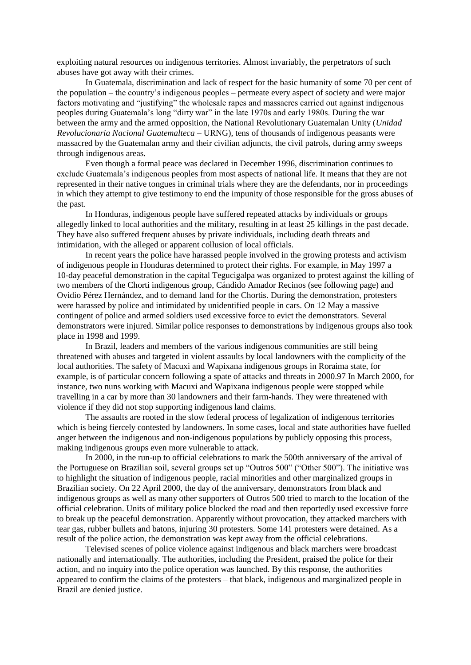exploiting natural resources on indigenous territories. Almost invariably, the perpetrators of such abuses have got away with their crimes.

In Guatemala, discrimination and lack of respect for the basic humanity of some 70 per cent of the population – the country's indigenous peoples – permeate every aspect of society and were major factors motivating and "justifying" the wholesale rapes and massacres carried out against indigenous peoples during Guatemala's long "dirty war" in the late 1970s and early 1980s. During the war between the army and the armed opposition, the National Revolutionary Guatemalan Unity (*Unidad Revolucionaria Nacional Guatemalteca* – URNG), tens of thousands of indigenous peasants were massacred by the Guatemalan army and their civilian adjuncts, the civil patrols, during army sweeps through indigenous areas.

Even though a formal peace was declared in December 1996, discrimination continues to exclude Guatemala's indigenous peoples from most aspects of national life. It means that they are not represented in their native tongues in criminal trials where they are the defendants, nor in proceedings in which they attempt to give testimony to end the impunity of those responsible for the gross abuses of the past.

In Honduras, indigenous people have suffered repeated attacks by individuals or groups allegedly linked to local authorities and the military, resulting in at least 25 killings in the past decade. They have also suffered frequent abuses by private individuals, including death threats and intimidation, with the alleged or apparent collusion of local officials.

In recent years the police have harassed people involved in the growing protests and activism of indigenous people in Honduras determined to protect their rights. For example, in May 1997 a 10-day peaceful demonstration in the capital Tegucigalpa was organized to protest against the killing of two members of the Chorti indigenous group, Cándido Amador Recinos (see following page) and Ovidio Pérez Hernández, and to demand land for the Chortis. During the demonstration, protesters were harassed by police and intimidated by unidentified people in cars. On 12 May a massive contingent of police and armed soldiers used excessive force to evict the demonstrators. Several demonstrators were injured. Similar police responses to demonstrations by indigenous groups also took place in 1998 and 1999.

In Brazil, leaders and members of the various indigenous communities are still being threatened with abuses and targeted in violent assaults by local landowners with the complicity of the local authorities. The safety of Macuxi and Wapixana indigenous groups in Roraima state, for example, is of particular concern following a spate of attacks and threats in 2000.97 In March 2000, for instance, two nuns working with Macuxi and Wapixana indigenous people were stopped while travelling in a car by more than 30 landowners and their farm-hands. They were threatened with violence if they did not stop supporting indigenous land claims.

The assaults are rooted in the slow federal process of legalization of indigenous territories which is being fiercely contested by landowners. In some cases, local and state authorities have fuelled anger between the indigenous and non-indigenous populations by publicly opposing this process, making indigenous groups even more vulnerable to attack.

In 2000, in the run-up to official celebrations to mark the 500th anniversary of the arrival of the Portuguese on Brazilian soil, several groups set up "Outros 500" ("Other 500"). The initiative was to highlight the situation of indigenous people, racial minorities and other marginalized groups in Brazilian society. On 22 April 2000, the day of the anniversary, demonstrators from black and indigenous groups as well as many other supporters of Outros 500 tried to march to the location of the official celebration. Units of military police blocked the road and then reportedly used excessive force to break up the peaceful demonstration. Apparently without provocation, they attacked marchers with tear gas, rubber bullets and batons, injuring 30 protesters. Some 141 protesters were detained. As a result of the police action, the demonstration was kept away from the official celebrations.

Televised scenes of police violence against indigenous and black marchers were broadcast nationally and internationally. The authorities, including the President, praised the police for their action, and no inquiry into the police operation was launched. By this response, the authorities appeared to confirm the claims of the protesters – that black, indigenous and marginalized people in Brazil are denied justice.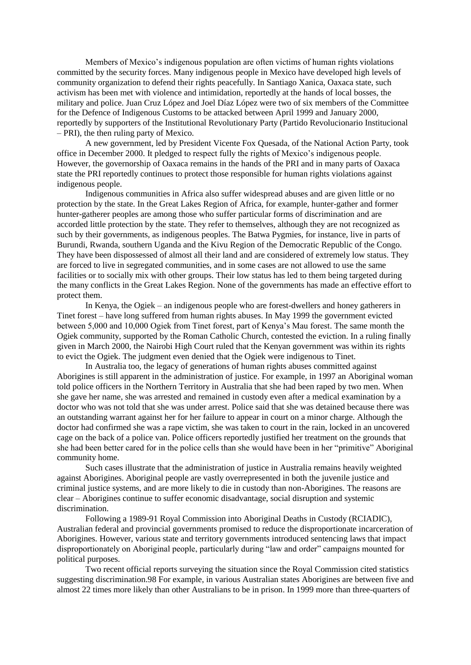Members of Mexico's indigenous population are often victims of human rights violations committed by the security forces. Many indigenous people in Mexico have developed high levels of community organization to defend their rights peacefully. In Santiago Xanica, Oaxaca state, such activism has been met with violence and intimidation, reportedly at the hands of local bosses, the military and police. Juan Cruz López and Joel Díaz López were two of six members of the Committee for the Defence of Indigenous Customs to be attacked between April 1999 and January 2000, reportedly by supporters of the Institutional Revolutionary Party (Partido Revolucionario Institucional – PRI), the then ruling party of Mexico.

A new government, led by President Vicente Fox Quesada, of the National Action Party, took office in December 2000. It pledged to respect fully the rights of Mexico's indigenous people. However, the governorship of Oaxaca remains in the hands of the PRI and in many parts of Oaxaca state the PRI reportedly continues to protect those responsible for human rights violations against indigenous people.

Indigenous communities in Africa also suffer widespread abuses and are given little or no protection by the state. In the Great Lakes Region of Africa, for example, hunter-gather and former hunter-gatherer peoples are among those who suffer particular forms of discrimination and are accorded little protection by the state. They refer to themselves, although they are not recognized as such by their governments, as indigenous peoples. The Batwa Pygmies, for instance, live in parts of Burundi, Rwanda, southern Uganda and the Kivu Region of the Democratic Republic of the Congo. They have been dispossessed of almost all their land and are considered of extremely low status. They are forced to live in segregated communities, and in some cases are not allowed to use the same facilities or to socially mix with other groups. Their low status has led to them being targeted during the many conflicts in the Great Lakes Region. None of the governments has made an effective effort to protect them.

In Kenya, the Ogiek – an indigenous people who are forest-dwellers and honey gatherers in Tinet forest – have long suffered from human rights abuses. In May 1999 the government evicted between 5,000 and 10,000 Ogiek from Tinet forest, part of Kenya's Mau forest. The same month the Ogiek community, supported by the Roman Catholic Church, contested the eviction. In a ruling finally given in March 2000, the Nairobi High Court ruled that the Kenyan government was within its rights to evict the Ogiek. The judgment even denied that the Ogiek were indigenous to Tinet.

In Australia too, the legacy of generations of human rights abuses committed against Aborigines is still apparent in the administration of justice. For example, in 1997 an Aboriginal woman told police officers in the Northern Territory in Australia that she had been raped by two men. When she gave her name, she was arrested and remained in custody even after a medical examination by a doctor who was not told that she was under arrest. Police said that she was detained because there was an outstanding warrant against her for her failure to appear in court on a minor charge. Although the doctor had confirmed she was a rape victim, she was taken to court in the rain, locked in an uncovered cage on the back of a police van. Police officers reportedly justified her treatment on the grounds that she had been better cared for in the police cells than she would have been in her "primitive" Aboriginal community home.

Such cases illustrate that the administration of justice in Australia remains heavily weighted against Aborigines. Aboriginal people are vastly overrepresented in both the juvenile justice and criminal justice systems, and are more likely to die in custody than non-Aborigines. The reasons are clear – Aborigines continue to suffer economic disadvantage, social disruption and systemic discrimination.

Following a 1989-91 Royal Commission into Aboriginal Deaths in Custody (RCIADIC), Australian federal and provincial governments promised to reduce the disproportionate incarceration of Aborigines. However, various state and territory governments introduced sentencing laws that impact disproportionately on Aboriginal people, particularly during "law and order" campaigns mounted for political purposes.

Two recent official reports surveying the situation since the Royal Commission cited statistics suggesting discrimination.98 For example, in various Australian states Aborigines are between five and almost 22 times more likely than other Australians to be in prison. In 1999 more than three-quarters of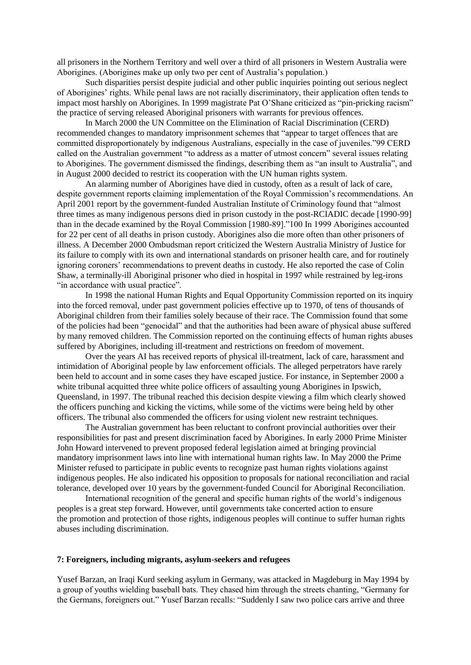all prisoners in the Northern Territory and well over a third of all prisoners in Western Australia were Aborigines. (Aborigines make up only two per cent of Australia's population.)

Such disparities persist despite judicial and other public inquiries pointing out serious neglect of Aborigines' rights. While penal laws are not racially discriminatory, their application often tends to impact most harshly on Aborigines. In 1999 magistrate Pat O'Shane criticized as "pin-pricking racism" the practice of serving released Aboriginal prisoners with warrants for previous offences.

In March 2000 the UN Committee on the Elimination of Racial Discrimination (CERD) recommended changes to mandatory imprisonment schemes that "appear to target offences that are committed disproportionately by indigenous Australians, especially in the case of juveniles."99 CERD called on the Australian government "to address as a matter of utmost concern" several issues relating to Aborigines. The government dismissed the findings, describing them as "an insult to Australia", and in August 2000 decided to restrict its cooperation with the UN human rights system.

An alarming number of Aborigines have died in custody, often as a result of lack of care, despite government reports claiming implementation of the Royal Commission's recommendations. An April 2001 report by the government-funded Australian Institute of Criminology found that "almost three times as many indigenous persons died in prison custody in the post-RCIADIC decade [1990-99] than in the decade examined by the Royal Commission [1980-89]."100 In 1999 Aborigines accounted for 22 per cent of all deaths in prison custody. Aborigines also die more often than other prisoners of illness. A December 2000 Ombudsman report criticized the Western Australia Ministry of Justice for its failure to comply with its own and international standards on prisoner health care, and for routinely ignoring coroners' recommendations to prevent deaths in custody. He also reported the case of Colin Shaw, a terminally-ill Aboriginal prisoner who died in hospital in 1997 while restrained by leg-irons "in accordance with usual practice".

In 1998 the national Human Rights and Equal Opportunity Commission reported on its inquiry into the forced removal, under past government policies effective up to 1970, of tens of thousands of Aboriginal children from their families solely because of their race. The Commission found that some of the policies had been "genocidal" and that the authorities had been aware of physical abuse suffered by many removed children. The Commission reported on the continuing effects of human rights abuses suffered by Aborigines, including ill-treatment and restrictions on freedom of movement.

Over the years AI has received reports of physical ill-treatment, lack of care, harassment and intimidation of Aboriginal people by law enforcement officials. The alleged perpetrators have rarely been held to account and in some cases they have escaped justice. For instance, in September 2000 a white tribunal acquitted three white police officers of assaulting young Aborigines in Ipswich, Queensland, in 1997. The tribunal reached this decision despite viewing a film which clearly showed the officers punching and kicking the victims, while some of the victims were being held by other officers. The tribunal also commended the officers for using violent new restraint techniques.

The Australian government has been reluctant to confront provincial authorities over their responsibilities for past and present discrimination faced by Aborigines. In early 2000 Prime Minister John Howard intervened to prevent proposed federal legislation aimed at bringing provincial mandatory imprisonment laws into line with international human rights law. In May 2000 the Prime Minister refused to participate in public events to recognize past human rights violations against indigenous peoples. He also indicated his opposition to proposals for national reconciliation and racial tolerance, developed over 10 years by the government-funded Council for Aboriginal Reconciliation.

International recognition of the general and specific human rights of the world's indigenous peoples is a great step forward. However, until governments take concerted action to ensure the promotion and protection of those rights, indigenous peoples will continue to suffer human rights abuses including discrimination.

## **7: Foreigners, including migrants, asylum-seekers and refugees**

Yusef Barzan, an Iraqi Kurd seeking asylum in Germany, was attacked in Magdeburg in May 1994 by a group of youths wielding baseball bats. They chased him through the streets chanting, "Germany for the Germans, foreigners out." Yusef Barzan recalls: "Suddenly I saw two police cars arrive and three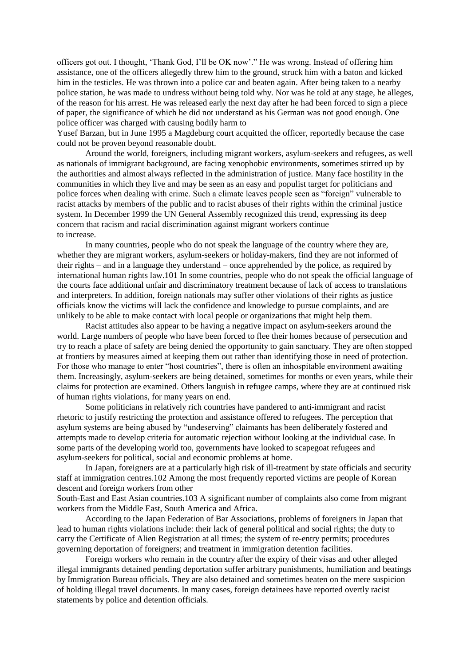officers got out. I thought, 'Thank God, I'll be OK now'." He was wrong. Instead of offering him assistance, one of the officers allegedly threw him to the ground, struck him with a baton and kicked him in the testicles. He was thrown into a police car and beaten again. After being taken to a nearby police station, he was made to undress without being told why. Nor was he told at any stage, he alleges, of the reason for his arrest. He was released early the next day after he had been forced to sign a piece of paper, the significance of which he did not understand as his German was not good enough. One police officer was charged with causing bodily harm to

Yusef Barzan, but in June 1995 a Magdeburg court acquitted the officer, reportedly because the case could not be proven beyond reasonable doubt.

Around the world, foreigners, including migrant workers, asylum-seekers and refugees, as well as nationals of immigrant background, are facing xenophobic environments, sometimes stirred up by the authorities and almost always reflected in the administration of justice. Many face hostility in the communities in which they live and may be seen as an easy and populist target for politicians and police forces when dealing with crime. Such a climate leaves people seen as "foreign" vulnerable to racist attacks by members of the public and to racist abuses of their rights within the criminal justice system. In December 1999 the UN General Assembly recognized this trend, expressing its deep concern that racism and racial discrimination against migrant workers continue to increase.

In many countries, people who do not speak the language of the country where they are, whether they are migrant workers, asylum-seekers or holiday-makers, find they are not informed of their rights – and in a language they understand – once apprehended by the police, as required by international human rights law.101 In some countries, people who do not speak the official language of the courts face additional unfair and discriminatory treatment because of lack of access to translations and interpreters. In addition, foreign nationals may suffer other violations of their rights as justice officials know the victims will lack the confidence and knowledge to pursue complaints, and are unlikely to be able to make contact with local people or organizations that might help them.

Racist attitudes also appear to be having a negative impact on asylum-seekers around the world. Large numbers of people who have been forced to flee their homes because of persecution and try to reach a place of safety are being denied the opportunity to gain sanctuary. They are often stopped at frontiers by measures aimed at keeping them out rather than identifying those in need of protection. For those who manage to enter "host countries", there is often an inhospitable environment awaiting them. Increasingly, asylum-seekers are being detained, sometimes for months or even years, while their claims for protection are examined. Others languish in refugee camps, where they are at continued risk of human rights violations, for many years on end.

Some politicians in relatively rich countries have pandered to anti-immigrant and racist rhetoric to justify restricting the protection and assistance offered to refugees. The perception that asylum systems are being abused by "undeserving" claimants has been deliberately fostered and attempts made to develop criteria for automatic rejection without looking at the individual case. In some parts of the developing world too, governments have looked to scapegoat refugees and asylum-seekers for political, social and economic problems at home.

In Japan, foreigners are at a particularly high risk of ill-treatment by state officials and security staff at immigration centres.102 Among the most frequently reported victims are people of Korean descent and foreign workers from other

South-East and East Asian countries.103 A significant number of complaints also come from migrant workers from the Middle East, South America and Africa.

According to the Japan Federation of Bar Associations, problems of foreigners in Japan that lead to human rights violations include: their lack of general political and social rights; the duty to carry the Certificate of Alien Registration at all times; the system of re-entry permits; procedures governing deportation of foreigners; and treatment in immigration detention facilities.

Foreign workers who remain in the country after the expiry of their visas and other alleged illegal immigrants detained pending deportation suffer arbitrary punishments, humiliation and beatings by Immigration Bureau officials. They are also detained and sometimes beaten on the mere suspicion of holding illegal travel documents. In many cases, foreign detainees have reported overtly racist statements by police and detention officials.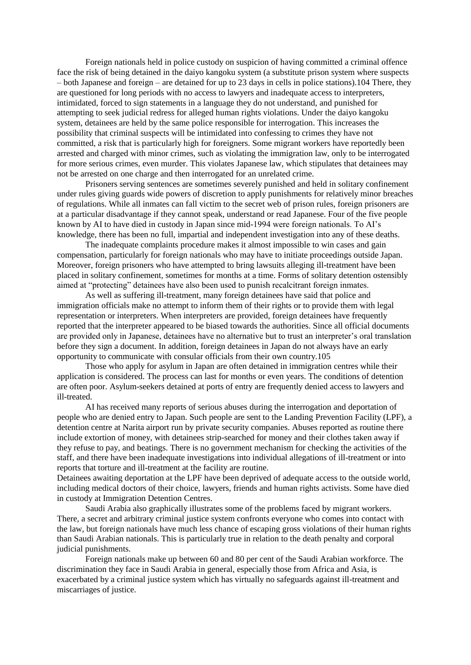Foreign nationals held in police custody on suspicion of having committed a criminal offence face the risk of being detained in the daiyo kangoku system (a substitute prison system where suspects – both Japanese and foreign – are detained for up to 23 days in cells in police stations).104 There, they are questioned for long periods with no access to lawyers and inadequate access to interpreters, intimidated, forced to sign statements in a language they do not understand, and punished for attempting to seek judicial redress for alleged human rights violations. Under the daiyo kangoku system, detainees are held by the same police responsible for interrogation. This increases the possibility that criminal suspects will be intimidated into confessing to crimes they have not committed, a risk that is particularly high for foreigners. Some migrant workers have reportedly been arrested and charged with minor crimes, such as violating the immigration law, only to be interrogated for more serious crimes, even murder. This violates Japanese law, which stipulates that detainees may not be arrested on one charge and then interrogated for an unrelated crime.

Prisoners serving sentences are sometimes severely punished and held in solitary confinement under rules giving guards wide powers of discretion to apply punishments for relatively minor breaches of regulations. While all inmates can fall victim to the secret web of prison rules, foreign prisoners are at a particular disadvantage if they cannot speak, understand or read Japanese. Four of the five people known by AI to have died in custody in Japan since mid-1994 were foreign nationals. To AI's knowledge, there has been no full, impartial and independent investigation into any of these deaths.

The inadequate complaints procedure makes it almost impossible to win cases and gain compensation, particularly for foreign nationals who may have to initiate proceedings outside Japan. Moreover, foreign prisoners who have attempted to bring lawsuits alleging ill-treatment have been placed in solitary confinement, sometimes for months at a time. Forms of solitary detention ostensibly aimed at "protecting" detainees have also been used to punish recalcitrant foreign inmates.

As well as suffering ill-treatment, many foreign detainees have said that police and immigration officials make no attempt to inform them of their rights or to provide them with legal representation or interpreters. When interpreters are provided, foreign detainees have frequently reported that the interpreter appeared to be biased towards the authorities. Since all official documents are provided only in Japanese, detainees have no alternative but to trust an interpreter's oral translation before they sign a document. In addition, foreign detainees in Japan do not always have an early opportunity to communicate with consular officials from their own country.105

Those who apply for asylum in Japan are often detained in immigration centres while their application is considered. The process can last for months or even years. The conditions of detention are often poor. Asylum-seekers detained at ports of entry are frequently denied access to lawyers and ill-treated.

AI has received many reports of serious abuses during the interrogation and deportation of people who are denied entry to Japan. Such people are sent to the Landing Prevention Facility (LPF), a detention centre at Narita airport run by private security companies. Abuses reported as routine there include extortion of money, with detainees strip-searched for money and their clothes taken away if they refuse to pay, and beatings. There is no government mechanism for checking the activities of the staff, and there have been inadequate investigations into individual allegations of ill-treatment or into reports that torture and ill-treatment at the facility are routine.

Detainees awaiting deportation at the LPF have been deprived of adequate access to the outside world, including medical doctors of their choice, lawyers, friends and human rights activists. Some have died in custody at Immigration Detention Centres.

Saudi Arabia also graphically illustrates some of the problems faced by migrant workers. There, a secret and arbitrary criminal justice system confronts everyone who comes into contact with the law, but foreign nationals have much less chance of escaping gross violations of their human rights than Saudi Arabian nationals. This is particularly true in relation to the death penalty and corporal judicial punishments.

Foreign nationals make up between 60 and 80 per cent of the Saudi Arabian workforce. The discrimination they face in Saudi Arabia in general, especially those from Africa and Asia, is exacerbated by a criminal justice system which has virtually no safeguards against ill-treatment and miscarriages of justice.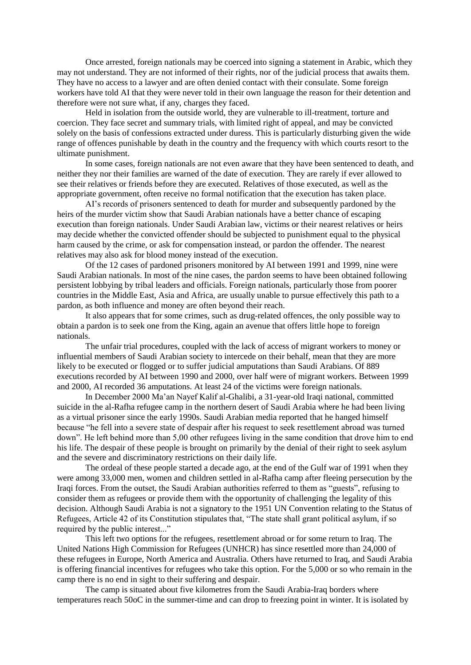Once arrested, foreign nationals may be coerced into signing a statement in Arabic, which they may not understand. They are not informed of their rights, nor of the judicial process that awaits them. They have no access to a lawyer and are often denied contact with their consulate. Some foreign workers have told AI that they were never told in their own language the reason for their detention and therefore were not sure what, if any, charges they faced.

Held in isolation from the outside world, they are vulnerable to ill-treatment, torture and coercion. They face secret and summary trials, with limited right of appeal, and may be convicted solely on the basis of confessions extracted under duress. This is particularly disturbing given the wide range of offences punishable by death in the country and the frequency with which courts resort to the ultimate punishment.

In some cases, foreign nationals are not even aware that they have been sentenced to death, and neither they nor their families are warned of the date of execution. They are rarely if ever allowed to see their relatives or friends before they are executed. Relatives of those executed, as well as the appropriate government, often receive no formal notification that the execution has taken place.

AI's records of prisoners sentenced to death for murder and subsequently pardoned by the heirs of the murder victim show that Saudi Arabian nationals have a better chance of escaping execution than foreign nationals. Under Saudi Arabian law, victims or their nearest relatives or heirs may decide whether the convicted offender should be subjected to punishment equal to the physical harm caused by the crime, or ask for compensation instead, or pardon the offender. The nearest relatives may also ask for blood money instead of the execution.

Of the 12 cases of pardoned prisoners monitored by AI between 1991 and 1999, nine were Saudi Arabian nationals. In most of the nine cases, the pardon seems to have been obtained following persistent lobbying by tribal leaders and officials. Foreign nationals, particularly those from poorer countries in the Middle East, Asia and Africa, are usually unable to pursue effectively this path to a pardon, as both influence and money are often beyond their reach.

It also appears that for some crimes, such as drug-related offences, the only possible way to obtain a pardon is to seek one from the King, again an avenue that offers little hope to foreign nationals.

The unfair trial procedures, coupled with the lack of access of migrant workers to money or influential members of Saudi Arabian society to intercede on their behalf, mean that they are more likely to be executed or flogged or to suffer judicial amputations than Saudi Arabians. Of 889 executions recorded by AI between 1990 and 2000, over half were of migrant workers. Between 1999 and 2000, AI recorded 36 amputations. At least 24 of the victims were foreign nationals.

In December 2000 Ma'an Nayef Kalif al-Ghalibi, a 31-year-old Iraqi national, committed suicide in the al-Rafha refugee camp in the northern desert of Saudi Arabia where he had been living as a virtual prisoner since the early 1990s. Saudi Arabian media reported that he hanged himself because "he fell into a severe state of despair after his request to seek resettlement abroad was turned down". He left behind more than 5,00 other refugees living in the same condition that drove him to end his life. The despair of these people is brought on primarily by the denial of their right to seek asylum and the severe and discriminatory restrictions on their daily life.

The ordeal of these people started a decade ago, at the end of the Gulf war of 1991 when they were among 33,000 men, women and children settled in al-Rafha camp after fleeing persecution by the Iraqi forces. From the outset, the Saudi Arabian authorities referred to them as "guests", refusing to consider them as refugees or provide them with the opportunity of challenging the legality of this decision. Although Saudi Arabia is not a signatory to the 1951 UN Convention relating to the Status of Refugees, Article 42 of its Constitution stipulates that, "The state shall grant political asylum, if so required by the public interest..."

This left two options for the refugees, resettlement abroad or for some return to Iraq. The United Nations High Commission for Refugees (UNHCR) has since resettled more than 24,000 of these refugees in Europe, North America and Australia. Others have returned to Iraq, and Saudi Arabia is offering financial incentives for refugees who take this option. For the 5,000 or so who remain in the camp there is no end in sight to their suffering and despair.

The camp is situated about five kilometres from the Saudi Arabia-Iraq borders where temperatures reach 50oC in the summer-time and can drop to freezing point in winter. It is isolated by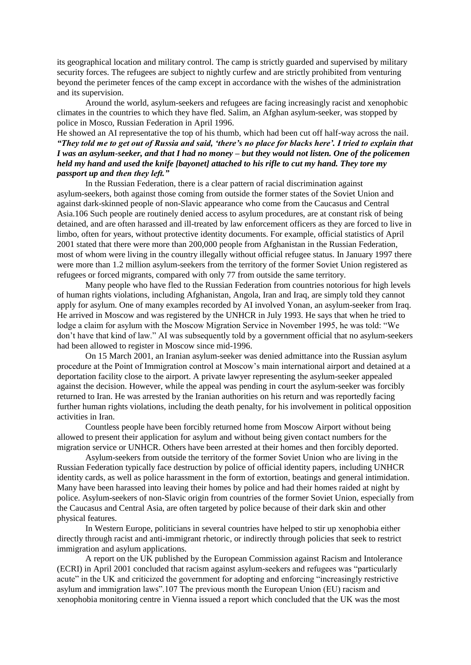its geographical location and military control. The camp is strictly guarded and supervised by military security forces. The refugees are subject to nightly curfew and are strictly prohibited from venturing beyond the perimeter fences of the camp except in accordance with the wishes of the administration and its supervision.

Around the world, asylum-seekers and refugees are facing increasingly racist and xenophobic climates in the countries to which they have fled. Salim, an Afghan asylum-seeker, was stopped by police in Mosco, Russian Federation in April 1996.

# He showed an AI representative the top of his thumb, which had been cut off half-way across the nail. *"They told me to get out of Russia and said, 'there's no place for blacks here'. I tried to explain that I was an asylum-seeker, and that I had no money – but they would not listen. One of the policemen held my hand and used the knife [bayonet] attached to his rifle to cut my hand. They tore my passport up and then they left."*

In the Russian Federation, there is a clear pattern of racial discrimination against asylum-seekers, both against those coming from outside the former states of the Soviet Union and against dark-skinned people of non-Slavic appearance who come from the Caucasus and Central Asia.106 Such people are routinely denied access to asylum procedures, are at constant risk of being detained, and are often harassed and ill-treated by law enforcement officers as they are forced to live in limbo, often for years, without protective identity documents. For example, official statistics of April 2001 stated that there were more than 200,000 people from Afghanistan in the Russian Federation, most of whom were living in the country illegally without official refugee status. In January 1997 there were more than 1.2 million asylum-seekers from the territory of the former Soviet Union registered as refugees or forced migrants, compared with only 77 from outside the same territory.

Many people who have fled to the Russian Federation from countries notorious for high levels of human rights violations, including Afghanistan, Angola, Iran and Iraq, are simply told they cannot apply for asylum. One of many examples recorded by AI involved Yonan, an asylum-seeker from Iraq. He arrived in Moscow and was registered by the UNHCR in July 1993. He says that when he tried to lodge a claim for asylum with the Moscow Migration Service in November 1995, he was told: "We don't have that kind of law." AI was subsequently told by a government official that no asylum-seekers had been allowed to register in Moscow since mid-1996.

On 15 March 2001, an Iranian asylum-seeker was denied admittance into the Russian asylum procedure at the Point of Immigration control at Moscow's main international airport and detained at a deportation facility close to the airport. A private lawyer representing the asylum-seeker appealed against the decision. However, while the appeal was pending in court the asylum-seeker was forcibly returned to Iran. He was arrested by the Iranian authorities on his return and was reportedly facing further human rights violations, including the death penalty, for his involvement in political opposition activities in Iran.

Countless people have been forcibly returned home from Moscow Airport without being allowed to present their application for asylum and without being given contact numbers for the migration service or UNHCR. Others have been arrested at their homes and then forcibly deported.

Asylum-seekers from outside the territory of the former Soviet Union who are living in the Russian Federation typically face destruction by police of official identity papers, including UNHCR identity cards, as well as police harassment in the form of extortion, beatings and general intimidation. Many have been harassed into leaving their homes by police and had their homes raided at night by police. Asylum-seekers of non-Slavic origin from countries of the former Soviet Union, especially from the Caucasus and Central Asia, are often targeted by police because of their dark skin and other physical features.

In Western Europe, politicians in several countries have helped to stir up xenophobia either directly through racist and anti-immigrant rhetoric, or indirectly through policies that seek to restrict immigration and asylum applications.

A report on the UK published by the European Commission against Racism and Intolerance (ECRI) in April 2001 concluded that racism against asylum-seekers and refugees was "particularly acute" in the UK and criticized the government for adopting and enforcing "increasingly restrictive asylum and immigration laws".107 The previous month the European Union (EU) racism and xenophobia monitoring centre in Vienna issued a report which concluded that the UK was the most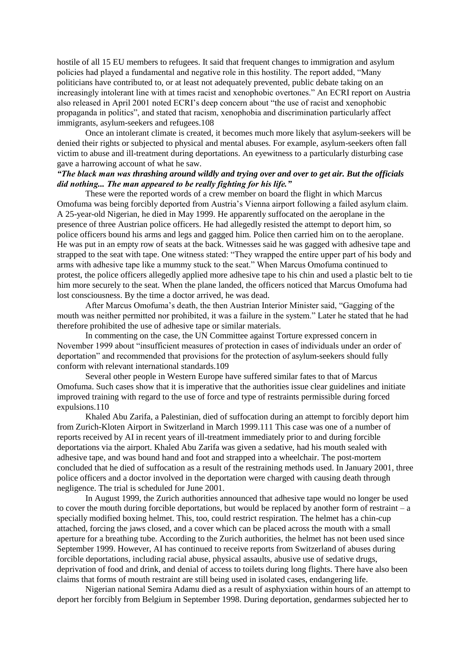hostile of all 15 EU members to refugees. It said that frequent changes to immigration and asylum policies had played a fundamental and negative role in this hostility. The report added, "Many politicians have contributed to, or at least not adequately prevented, public debate taking on an increasingly intolerant line with at times racist and xenophobic overtones." An ECRI report on Austria also released in April 2001 noted ECRI's deep concern about "the use of racist and xenophobic propaganda in politics", and stated that racism, xenophobia and discrimination particularly affect immigrants, asylum-seekers and refugees.108

Once an intolerant climate is created, it becomes much more likely that asylum-seekers will be denied their rights or subjected to physical and mental abuses. For example, asylum-seekers often fall victim to abuse and ill-treatment during deportations. An eyewitness to a particularly disturbing case gave a harrowing account of what he saw.

# *"The black man was thrashing around wildly and trying over and over to get air. But the officials did nothing... The man appeared to be really fighting for his life."*

These were the reported words of a crew member on board the flight in which Marcus Omofuma was being forcibly deported from Austria's Vienna airport following a failed asylum claim. A 25-year-old Nigerian, he died in May 1999. He apparently suffocated on the aeroplane in the presence of three Austrian police officers. He had allegedly resisted the attempt to deport him, so police officers bound his arms and legs and gagged him. Police then carried him on to the aeroplane. He was put in an empty row of seats at the back. Witnesses said he was gagged with adhesive tape and strapped to the seat with tape. One witness stated: "They wrapped the entire upper part of his body and arms with adhesive tape like a mummy stuck to the seat." When Marcus Omofuma continued to protest, the police officers allegedly applied more adhesive tape to his chin and used a plastic belt to tie him more securely to the seat. When the plane landed, the officers noticed that Marcus Omofuma had lost consciousness. By the time a doctor arrived, he was dead.

After Marcus Omofuma's death, the then Austrian Interior Minister said, "Gagging of the mouth was neither permitted nor prohibited, it was a failure in the system." Later he stated that he had therefore prohibited the use of adhesive tape or similar materials.

In commenting on the case, the UN Committee against Torture expressed concern in November 1999 about "insufficient measures of protection in cases of individuals under an order of deportation" and recommended that provisions for the protection of asylum-seekers should fully conform with relevant international standards.109

Several other people in Western Europe have suffered similar fates to that of Marcus Omofuma. Such cases show that it is imperative that the authorities issue clear guidelines and initiate improved training with regard to the use of force and type of restraints permissible during forced expulsions.110

Khaled Abu Zarifa, a Palestinian, died of suffocation during an attempt to forcibly deport him from Zurich-Kloten Airport in Switzerland in March 1999.111 This case was one of a number of reports received by AI in recent years of ill-treatment immediately prior to and during forcible deportations via the airport. Khaled Abu Zarifa was given a sedative, had his mouth sealed with adhesive tape, and was bound hand and foot and strapped into a wheelchair. The post-mortem concluded that he died of suffocation as a result of the restraining methods used. In January 2001, three police officers and a doctor involved in the deportation were charged with causing death through negligence. The trial is scheduled for June 2001.

In August 1999, the Zurich authorities announced that adhesive tape would no longer be used to cover the mouth during forcible deportations, but would be replaced by another form of restraint – a specially modified boxing helmet. This, too, could restrict respiration. The helmet has a chin-cup attached, forcing the jaws closed, and a cover which can be placed across the mouth with a small aperture for a breathing tube. According to the Zurich authorities, the helmet has not been used since September 1999. However, AI has continued to receive reports from Switzerland of abuses during forcible deportations, including racial abuse, physical assaults, abusive use of sedative drugs, deprivation of food and drink, and denial of access to toilets during long flights. There have also been claims that forms of mouth restraint are still being used in isolated cases, endangering life.

Nigerian national Semira Adamu died as a result of asphyxiation within hours of an attempt to deport her forcibly from Belgium in September 1998. During deportation, gendarmes subjected her to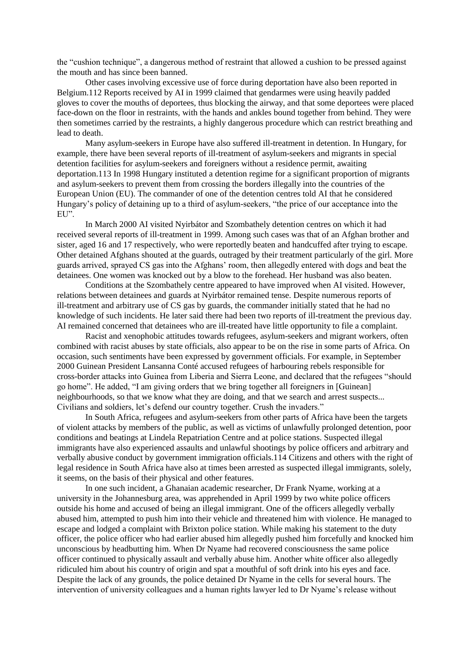the "cushion technique", a dangerous method of restraint that allowed a cushion to be pressed against the mouth and has since been banned.

Other cases involving excessive use of force during deportation have also been reported in Belgium.112 Reports received by AI in 1999 claimed that gendarmes were using heavily padded gloves to cover the mouths of deportees, thus blocking the airway, and that some deportees were placed face-down on the floor in restraints, with the hands and ankles bound together from behind. They were then sometimes carried by the restraints, a highly dangerous procedure which can restrict breathing and lead to death.

Many asylum-seekers in Europe have also suffered ill-treatment in detention. In Hungary, for example, there have been several reports of ill-treatment of asylum-seekers and migrants in special detention facilities for asylum-seekers and foreigners without a residence permit, awaiting deportation.113 In 1998 Hungary instituted a detention regime for a significant proportion of migrants and asylum-seekers to prevent them from crossing the borders illegally into the countries of the European Union (EU). The commander of one of the detention centres told AI that he considered Hungary's policy of detaining up to a third of asylum-seekers, "the price of our acceptance into the EU".

In March 2000 AI visited Nyirbátor and Szombathely detention centres on which it had received several reports of ill-treatment in 1999. Among such cases was that of an Afghan brother and sister, aged 16 and 17 respectively, who were reportedly beaten and handcuffed after trying to escape. Other detained Afghans shouted at the guards, outraged by their treatment particularly of the girl. More guards arrived, sprayed CS gas into the Afghans' room, then allegedly entered with dogs and beat the detainees. One women was knocked out by a blow to the forehead. Her husband was also beaten.

Conditions at the Szombathely centre appeared to have improved when AI visited. However, relations between detainees and guards at Nyirbátor remained tense. Despite numerous reports of ill-treatment and arbitrary use of CS gas by guards, the commander initially stated that he had no knowledge of such incidents. He later said there had been two reports of ill-treatment the previous day. AI remained concerned that detainees who are ill-treated have little opportunity to file a complaint.

Racist and xenophobic attitudes towards refugees, asylum-seekers and migrant workers, often combined with racist abuses by state officials, also appear to be on the rise in some parts of Africa. On occasion, such sentiments have been expressed by government officials. For example, in September 2000 Guinean President Lansanna Conté accused refugees of harbouring rebels responsible for cross-border attacks into Guinea from Liberia and Sierra Leone, and declared that the refugees "should go home". He added, "I am giving orders that we bring together all foreigners in [Guinean] neighbourhoods, so that we know what they are doing, and that we search and arrest suspects... Civilians and soldiers, let's defend our country together. Crush the invaders."

In South Africa, refugees and asylum-seekers from other parts of Africa have been the targets of violent attacks by members of the public, as well as victims of unlawfully prolonged detention, poor conditions and beatings at Lindela Repatriation Centre and at police stations. Suspected illegal immigrants have also experienced assaults and unlawful shootings by police officers and arbitrary and verbally abusive conduct by government immigration officials.114 Citizens and others with the right of legal residence in South Africa have also at times been arrested as suspected illegal immigrants, solely, it seems, on the basis of their physical and other features.

In one such incident, a Ghanaian academic researcher, Dr Frank Nyame, working at a university in the Johannesburg area, was apprehended in April 1999 by two white police officers outside his home and accused of being an illegal immigrant. One of the officers allegedly verbally abused him, attempted to push him into their vehicle and threatened him with violence. He managed to escape and lodged a complaint with Brixton police station. While making his statement to the duty officer, the police officer who had earlier abused him allegedly pushed him forcefully and knocked him unconscious by headbutting him. When Dr Nyame had recovered consciousness the same police officer continued to physically assault and verbally abuse him. Another white officer also allegedly ridiculed him about his country of origin and spat a mouthful of soft drink into his eyes and face. Despite the lack of any grounds, the police detained Dr Nyame in the cells for several hours. The intervention of university colleagues and a human rights lawyer led to Dr Nyame's release without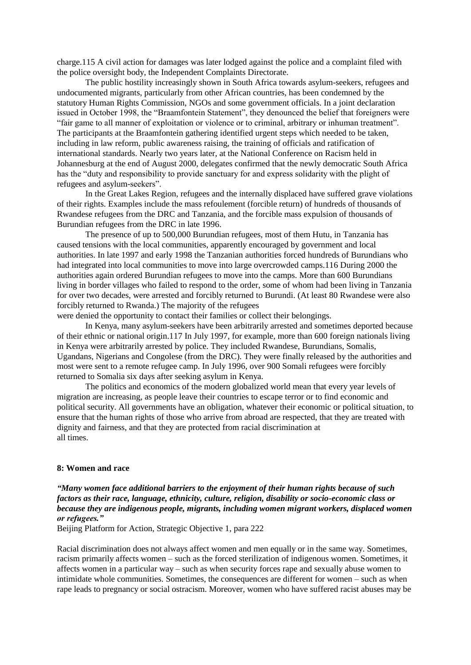charge.115 A civil action for damages was later lodged against the police and a complaint filed with the police oversight body, the Independent Complaints Directorate.

The public hostility increasingly shown in South Africa towards asylum-seekers, refugees and undocumented migrants, particularly from other African countries, has been condemned by the statutory Human Rights Commission, NGOs and some government officials. In a joint declaration issued in October 1998, the "Braamfontein Statement", they denounced the belief that foreigners were "fair game to all manner of exploitation or violence or to criminal, arbitrary or inhuman treatment". The participants at the Braamfontein gathering identified urgent steps which needed to be taken, including in law reform, public awareness raising, the training of officials and ratification of international standards. Nearly two years later, at the National Conference on Racism held in Johannesburg at the end of August 2000, delegates confirmed that the newly democratic South Africa has the "duty and responsibility to provide sanctuary for and express solidarity with the plight of refugees and asylum-seekers".

In the Great Lakes Region, refugees and the internally displaced have suffered grave violations of their rights. Examples include the mass refoulement (forcible return) of hundreds of thousands of Rwandese refugees from the DRC and Tanzania, and the forcible mass expulsion of thousands of Burundian refugees from the DRC in late 1996.

The presence of up to 500,000 Burundian refugees, most of them Hutu, in Tanzania has caused tensions with the local communities, apparently encouraged by government and local authorities. In late 1997 and early 1998 the Tanzanian authorities forced hundreds of Burundians who had integrated into local communities to move into large overcrowded camps.116 During 2000 the authorities again ordered Burundian refugees to move into the camps. More than 600 Burundians living in border villages who failed to respond to the order, some of whom had been living in Tanzania for over two decades, were arrested and forcibly returned to Burundi. (At least 80 Rwandese were also forcibly returned to Rwanda.) The majority of the refugees

were denied the opportunity to contact their families or collect their belongings.

In Kenya, many asylum-seekers have been arbitrarily arrested and sometimes deported because of their ethnic or national origin.117 In July 1997, for example, more than 600 foreign nationals living in Kenya were arbitrarily arrested by police. They included Rwandese, Burundians, Somalis, Ugandans, Nigerians and Congolese (from the DRC). They were finally released by the authorities and most were sent to a remote refugee camp. In July 1996, over 900 Somali refugees were forcibly returned to Somalia six days after seeking asylum in Kenya.

The politics and economics of the modern globalized world mean that every year levels of migration are increasing, as people leave their countries to escape terror or to find economic and political security. All governments have an obligation, whatever their economic or political situation, to ensure that the human rights of those who arrive from abroad are respected, that they are treated with dignity and fairness, and that they are protected from racial discrimination at all times.

### **8: Women and race**

*"Many women face additional barriers to the enjoyment of their human rights because of such factors as their race, language, ethnicity, culture, religion, disability or socio-economic class or because they are indigenous people, migrants, including women migrant workers, displaced women or refugees."*

Beijing Platform for Action, Strategic Objective 1, para 222

Racial discrimination does not always affect women and men equally or in the same way. Sometimes, racism primarily affects women – such as the forced sterilization of indigenous women. Sometimes, it affects women in a particular way – such as when security forces rape and sexually abuse women to intimidate whole communities. Sometimes, the consequences are different for women – such as when rape leads to pregnancy or social ostracism. Moreover, women who have suffered racist abuses may be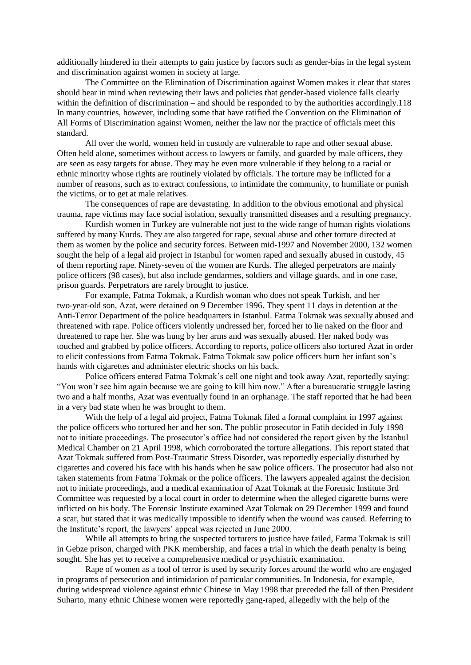additionally hindered in their attempts to gain justice by factors such as gender-bias in the legal system and discrimination against women in society at large.

The Committee on the Elimination of Discrimination against Women makes it clear that states should bear in mind when reviewing their laws and policies that gender-based violence falls clearly within the definition of discrimination – and should be responded to by the authorities accordingly.118 In many countries, however, including some that have ratified the Convention on the Elimination of All Forms of Discrimination against Women, neither the law nor the practice of officials meet this standard.

All over the world, women held in custody are vulnerable to rape and other sexual abuse. Often held alone, sometimes without access to lawyers or family, and guarded by male officers, they are seen as easy targets for abuse. They may be even more vulnerable if they belong to a racial or ethnic minority whose rights are routinely violated by officials. The torture may be inflicted for a number of reasons, such as to extract confessions, to intimidate the community, to humiliate or punish the victims, or to get at male relatives.

The consequences of rape are devastating. In addition to the obvious emotional and physical trauma, rape victims may face social isolation, sexually transmitted diseases and a resulting pregnancy.

Kurdish women in Turkey are vulnerable not just to the wide range of human rights violations suffered by many Kurds. They are also targeted for rape, sexual abuse and other torture directed at them as women by the police and security forces. Between mid-1997 and November 2000, 132 women sought the help of a legal aid project in Istanbul for women raped and sexually abused in custody, 45 of them reporting rape. Ninety-seven of the women are Kurds. The alleged perpetrators are mainly police officers (98 cases), but also include gendarmes, soldiers and village guards, and in one case, prison guards. Perpetrators are rarely brought to justice.

For example, Fatma Tokmak, a Kurdish woman who does not speak Turkish, and her two-year-old son, Azat, were detained on 9 December 1996. They spent 11 days in detention at the Anti-Terror Department of the police headquarters in Istanbul. Fatma Tokmak was sexually abused and threatened with rape. Police officers violently undressed her, forced her to lie naked on the floor and threatened to rape her. She was hung by her arms and was sexually abused. Her naked body was touched and grabbed by police officers. According to reports, police officers also tortured Azat in order to elicit confessions from Fatma Tokmak. Fatma Tokmak saw police officers burn her infant son's hands with cigarettes and administer electric shocks on his back.

Police officers entered Fatma Tokmak's cell one night and took away Azat, reportedly saying: "You won't see him again because we are going to kill him now." After a bureaucratic struggle lasting two and a half months, Azat was eventually found in an orphanage. The staff reported that he had been in a very bad state when he was brought to them.

With the help of a legal aid project, Fatma Tokmak filed a formal complaint in 1997 against the police officers who tortured her and her son. The public prosecutor in Fatih decided in July 1998 not to initiate proceedings. The prosecutor's office had not considered the report given by the Istanbul Medical Chamber on 21 April 1998, which corroborated the torture allegations. This report stated that Azat Tokmak suffered from Post-Traumatic Stress Disorder, was reportedly especially disturbed by cigarettes and covered his face with his hands when he saw police officers. The prosecutor had also not taken statements from Fatma Tokmak or the police officers. The lawyers appealed against the decision not to initiate proceedings, and a medical examination of Azat Tokmak at the Forensic Institute 3rd Committee was requested by a local court in order to determine when the alleged cigarette burns were inflicted on his body. The Forensic Institute examined Azat Tokmak on 29 December 1999 and found a scar, but stated that it was medically impossible to identify when the wound was caused. Referring to the Institute's report, the lawyers' appeal was rejected in June 2000.

While all attempts to bring the suspected torturers to justice have failed, Fatma Tokmak is still in Gebze prison, charged with PKK membership, and faces a trial in which the death penalty is being sought. She has yet to receive a comprehensive medical or psychiatric examination.

Rape of women as a tool of terror is used by security forces around the world who are engaged in programs of persecution and intimidation of particular communities. In Indonesia, for example, during widespread violence against ethnic Chinese in May 1998 that preceded the fall of then President Suharto, many ethnic Chinese women were reportedly gang-raped, allegedly with the help of the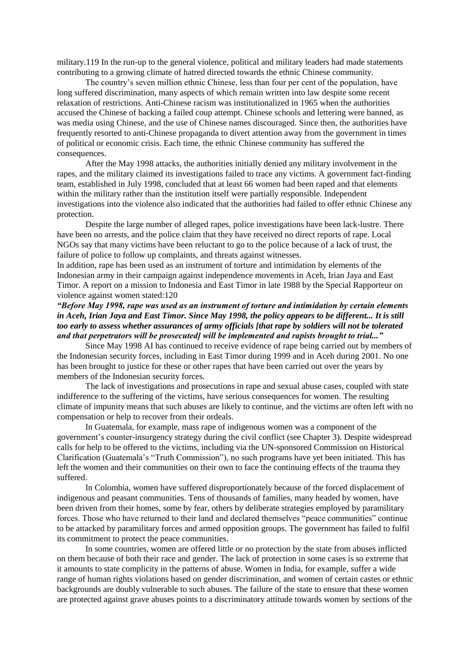military.119 In the run-up to the general violence, political and military leaders had made statements contributing to a growing climate of hatred directed towards the ethnic Chinese community.

The country's seven million ethnic Chinese, less than four per cent of the population, have long suffered discrimination, many aspects of which remain written into law despite some recent relaxation of restrictions. Anti-Chinese racism was institutionalized in 1965 when the authorities accused the Chinese of backing a failed coup attempt. Chinese schools and lettering were banned, as was media using Chinese, and the use of Chinese names discouraged. Since then, the authorities have frequently resorted to anti-Chinese propaganda to divert attention away from the government in times of political or economic crisis. Each time, the ethnic Chinese community has suffered the consequences.

After the May 1998 attacks, the authorities initially denied any military involvement in the rapes, and the military claimed its investigations failed to trace any victims. A government fact-finding team, established in July 1998, concluded that at least 66 women had been raped and that elements within the military rather than the institution itself were partially responsible. Independent investigations into the violence also indicated that the authorities had failed to offer ethnic Chinese any protection.

Despite the large number of alleged rapes, police investigations have been lack-lustre. There have been no arrests, and the police claim that they have received no direct reports of rape. Local NGOs say that many victims have been reluctant to go to the police because of a lack of trust, the failure of police to follow up complaints, and threats against witnesses.

In addition, rape has been used as an instrument of torture and intimidation by elements of the Indonesian army in their campaign against independence movements in Aceh, Irian Jaya and East Timor. A report on a mission to Indonesia and East Timor in late 1988 by the Special Rapporteur on violence against women stated:120

# *"Before May 1998, rape was used as an instrument of torture and intimidation by certain elements in Aceh, Irian Jaya and East Timor. Since May 1998, the policy appears to be different... It is still too early to assess whether assurances of army officials [that rape by soldiers will not be tolerated and that perpetrators will be prosecuted] will be implemented and rapists brought to trial..."*

Since May 1998 AI has continued to receive evidence of rape being carried out by members of the Indonesian security forces, including in East Timor during 1999 and in Aceh during 2001. No one has been brought to justice for these or other rapes that have been carried out over the years by members of the Indonesian security forces.

The lack of investigations and prosecutions in rape and sexual abuse cases, coupled with state indifference to the suffering of the victims, have serious consequences for women. The resulting climate of impunity means that such abuses are likely to continue, and the victims are often left with no compensation or help to recover from their ordeals.

In Guatemala, for example, mass rape of indigenous women was a component of the government's counter-insurgency strategy during the civil conflict (see Chapter 3). Despite widespread calls for help to be offered to the victims, including via the UN-sponsored Commission on Historical Clarification (Guatemala's "Truth Commission"), no such programs have yet been initiated. This has left the women and their communities on their own to face the continuing effects of the trauma they suffered.

In Colombia, women have suffered disproportionately because of the forced displacement of indigenous and peasant communities. Tens of thousands of families, many headed by women, have been driven from their homes, some by fear, others by deliberate strategies employed by paramilitary forces. Those who have returned to their land and declared themselves "peace communities" continue to be attacked by paramilitary forces and armed opposition groups. The government has failed to fulfil its commitment to protect the peace communities.

In some countries, women are offered little or no protection by the state from abuses inflicted on them because of both their race and gender. The lack of protection in some cases is so extreme that it amounts to state complicity in the patterns of abuse. Women in India, for example, suffer a wide range of human rights violations based on gender discrimination, and women of certain castes or ethnic backgrounds are doubly vulnerable to such abuses. The failure of the state to ensure that these women are protected against grave abuses points to a discriminatory attitude towards women by sections of the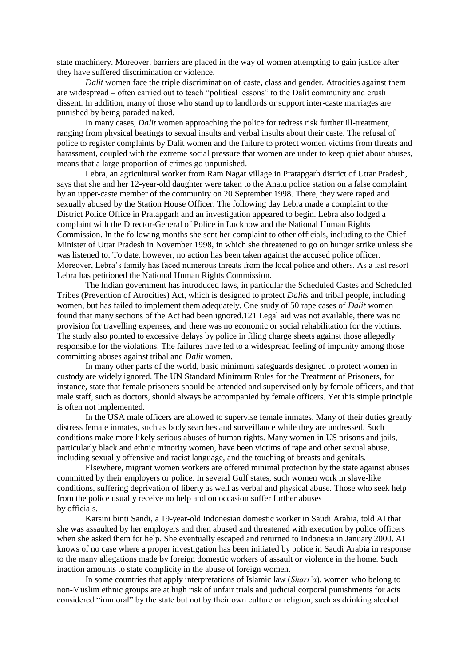state machinery. Moreover, barriers are placed in the way of women attempting to gain justice after they have suffered discrimination or violence.

*Dalit* women face the triple discrimination of caste, class and gender. Atrocities against them are widespread – often carried out to teach "political lessons" to the Dalit community and crush dissent. In addition, many of those who stand up to landlords or support inter-caste marriages are punished by being paraded naked.

In many cases, *Dalit* women approaching the police for redress risk further ill-treatment, ranging from physical beatings to sexual insults and verbal insults about their caste. The refusal of police to register complaints by Dalit women and the failure to protect women victims from threats and harassment, coupled with the extreme social pressure that women are under to keep quiet about abuses, means that a large proportion of crimes go unpunished.

Lebra, an agricultural worker from Ram Nagar village in Pratapgarh district of Uttar Pradesh, says that she and her 12-year-old daughter were taken to the Anatu police station on a false complaint by an upper-caste member of the community on 20 September 1998. There, they were raped and sexually abused by the Station House Officer. The following day Lebra made a complaint to the District Police Office in Pratapgarh and an investigation appeared to begin. Lebra also lodged a complaint with the Director-General of Police in Lucknow and the National Human Rights Commission. In the following months she sent her complaint to other officials, including to the Chief Minister of Uttar Pradesh in November 1998, in which she threatened to go on hunger strike unless she was listened to. To date, however, no action has been taken against the accused police officer. Moreover, Lebra's family has faced numerous threats from the local police and others. As a last resort Lebra has petitioned the National Human Rights Commission.

The Indian government has introduced laws, in particular the Scheduled Castes and Scheduled Tribes (Prevention of Atrocities) Act, which is designed to protect *Dalits* and tribal people, including women, but has failed to implement them adequately. One study of 50 rape cases of *Dalit* women found that many sections of the Act had been ignored.121 Legal aid was not available, there was no provision for travelling expenses, and there was no economic or social rehabilitation for the victims. The study also pointed to excessive delays by police in filing charge sheets against those allegedly responsible for the violations. The failures have led to a widespread feeling of impunity among those committing abuses against tribal and *Dalit* women.

In many other parts of the world, basic minimum safeguards designed to protect women in custody are widely ignored. The UN Standard Minimum Rules for the Treatment of Prisoners, for instance, state that female prisoners should be attended and supervised only by female officers, and that male staff, such as doctors, should always be accompanied by female officers. Yet this simple principle is often not implemented.

In the USA male officers are allowed to supervise female inmates. Many of their duties greatly distress female inmates, such as body searches and surveillance while they are undressed. Such conditions make more likely serious abuses of human rights. Many women in US prisons and jails, particularly black and ethnic minority women, have been victims of rape and other sexual abuse, including sexually offensive and racist language, and the touching of breasts and genitals.

Elsewhere, migrant women workers are offered minimal protection by the state against abuses committed by their employers or police. In several Gulf states, such women work in slave-like conditions, suffering deprivation of liberty as well as verbal and physical abuse. Those who seek help from the police usually receive no help and on occasion suffer further abuses by officials.

Karsini binti Sandi, a 19-year-old Indonesian domestic worker in Saudi Arabia, told AI that she was assaulted by her employers and then abused and threatened with execution by police officers when she asked them for help. She eventually escaped and returned to Indonesia in January 2000. AI knows of no case where a proper investigation has been initiated by police in Saudi Arabia in response to the many allegations made by foreign domestic workers of assault or violence in the home. Such inaction amounts to state complicity in the abuse of foreign women.

In some countries that apply interpretations of Islamic law (*Shari'a*), women who belong to non-Muslim ethnic groups are at high risk of unfair trials and judicial corporal punishments for acts considered "immoral" by the state but not by their own culture or religion, such as drinking alcohol.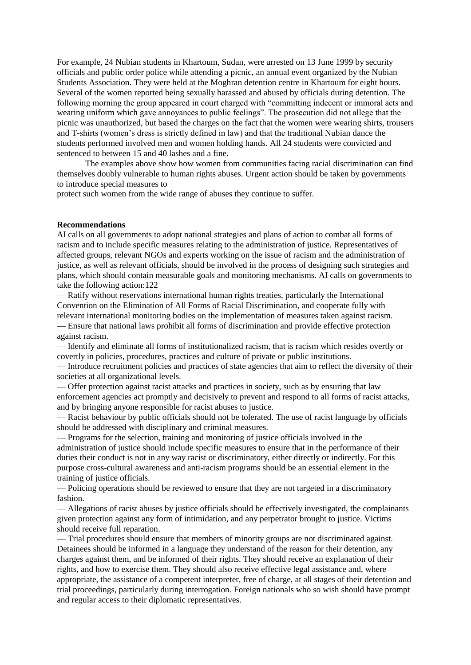For example, 24 Nubian students in Khartoum, Sudan, were arrested on 13 June 1999 by security officials and public order police while attending a picnic, an annual event organized by the Nubian Students Association. They were held at the Moghran detention centre in Khartoum for eight hours. Several of the women reported being sexually harassed and abused by officials during detention. The following morning the group appeared in court charged with "committing indecent or immoral acts and wearing uniform which gave annoyances to public feelings". The prosecution did not allege that the picnic was unauthorized, but based the charges on the fact that the women were wearing shirts, trousers and T-shirts (women's dress is strictly defined in law) and that the traditional Nubian dance the students performed involved men and women holding hands. All 24 students were convicted and sentenced to between 15 and 40 lashes and a fine.

The examples above show how women from communities facing racial discrimination can find themselves doubly vulnerable to human rights abuses. Urgent action should be taken by governments to introduce special measures to

protect such women from the wide range of abuses they continue to suffer.

#### **Recommendations**

AI calls on all governments to adopt national strategies and plans of action to combat all forms of racism and to include specific measures relating to the administration of justice. Representatives of affected groups, relevant NGOs and experts working on the issue of racism and the administration of justice, as well as relevant officials, should be involved in the process of designing such strategies and plans, which should contain measurable goals and monitoring mechanisms. AI calls on governments to take the following action:122

— Ratify without reservations international human rights treaties, particularly the International Convention on the Elimination of All Forms of Racial Discrimination, and cooperate fully with relevant international monitoring bodies on the implementation of measures taken against racism. — Ensure that national laws prohibit all forms of discrimination and provide effective protection against racism.

— Identify and eliminate all forms of institutionalized racism, that is racism which resides overtly or covertly in policies, procedures, practices and culture of private or public institutions.

— Introduce recruitment policies and practices of state agencies that aim to reflect the diversity of their societies at all organizational levels.

— Offer protection against racist attacks and practices in society, such as by ensuring that law enforcement agencies act promptly and decisively to prevent and respond to all forms of racist attacks, and by bringing anyone responsible for racist abuses to justice.

— Racist behaviour by public officials should not be tolerated. The use of racist language by officials should be addressed with disciplinary and criminal measures.

— Programs for the selection, training and monitoring of justice officials involved in the administration of justice should include specific measures to ensure that in the performance of their duties their conduct is not in any way racist or discriminatory, either directly or indirectly. For this purpose cross-cultural awareness and anti-racism programs should be an essential element in the training of justice officials.

— Policing operations should be reviewed to ensure that they are not targeted in a discriminatory fashion.

— Allegations of racist abuses by justice officials should be effectively investigated, the complainants given protection against any form of intimidation, and any perpetrator brought to justice. Victims should receive full reparation.

— Trial procedures should ensure that members of minority groups are not discriminated against. Detainees should be informed in a language they understand of the reason for their detention, any charges against them, and be informed of their rights. They should receive an explanation of their rights, and how to exercise them. They should also receive effective legal assistance and, where appropriate, the assistance of a competent interpreter, free of charge, at all stages of their detention and trial proceedings, particularly during interrogation. Foreign nationals who so wish should have prompt and regular access to their diplomatic representatives.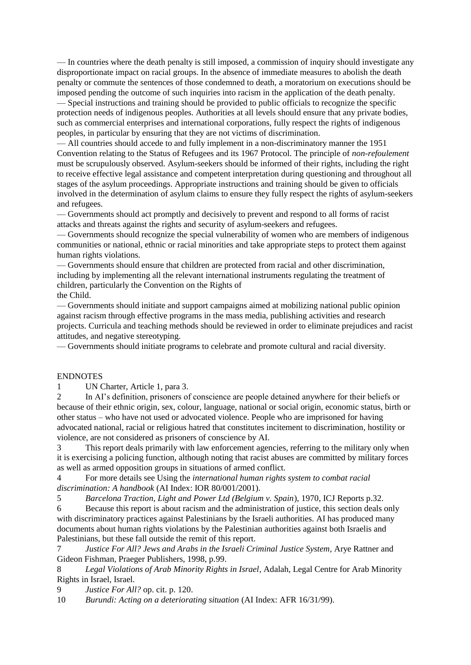— In countries where the death penalty is still imposed, a commission of inquiry should investigate any disproportionate impact on racial groups. In the absence of immediate measures to abolish the death penalty or commute the sentences of those condemned to death, a moratorium on executions should be imposed pending the outcome of such inquiries into racism in the application of the death penalty.

— Special instructions and training should be provided to public officials to recognize the specific protection needs of indigenous peoples. Authorities at all levels should ensure that any private bodies, such as commercial enterprises and international corporations, fully respect the rights of indigenous peoples, in particular by ensuring that they are not victims of discrimination.

— All countries should accede to and fully implement in a non-discriminatory manner the 1951 Convention relating to the Status of Refugees and its 1967 Protocol. The principle of *non-refoulement* must be scrupulously observed. Asylum-seekers should be informed of their rights, including the right to receive effective legal assistance and competent interpretation during questioning and throughout all stages of the asylum proceedings. Appropriate instructions and training should be given to officials involved in the determination of asylum claims to ensure they fully respect the rights of asylum-seekers and refugees.

— Governments should act promptly and decisively to prevent and respond to all forms of racist attacks and threats against the rights and security of asylum-seekers and refugees.

— Governments should recognize the special vulnerability of women who are members of indigenous communities or national, ethnic or racial minorities and take appropriate steps to protect them against human rights violations.

— Governments should ensure that children are protected from racial and other discrimination, including by implementing all the relevant international instruments regulating the treatment of children, particularly the Convention on the Rights of the Child.

— Governments should initiate and support campaigns aimed at mobilizing national public opinion against racism through effective programs in the mass media, publishing activities and research projects. Curricula and teaching methods should be reviewed in order to eliminate prejudices and racist attitudes, and negative stereotyping.

— Governments should initiate programs to celebrate and promote cultural and racial diversity.

### ENDNOTES

1 UN Charter, Article 1, para 3.

2 In AI's definition, prisoners of conscience are people detained anywhere for their beliefs or because of their ethnic origin, sex, colour, language, national or social origin, economic status, birth or other status – who have not used or advocated violence. People who are imprisoned for having advocated national, racial or religious hatred that constitutes incitement to discrimination, hostility or violence, are not considered as prisoners of conscience by AI.

3 This report deals primarily with law enforcement agencies, referring to the military only when it is exercising a policing function, although noting that racist abuses are committed by military forces as well as armed opposition groups in situations of armed conflict.

4 For more details see Using the *international human rights system to combat racial discrimination: A handbook* (AI Index: IOR 80/001/2001).

5 *Barcelona Traction, Light and Power Ltd (Belgium v. Spain*), 1970, ICJ Reports p.32.

6 Because this report is about racism and the administration of justice, this section deals only with discriminatory practices against Palestinians by the Israeli authorities. AI has produced many documents about human rights violations by the Palestinian authorities against both Israelis and Palestinians, but these fall outside the remit of this report.

7 *Justice For All? Jews and Arabs in the Israeli Criminal Justice System*, Arye Rattner and Gideon Fishman, Praeger Publishers, 1998, p.99.

8 *Legal Violations of Arab Minority Rights in Israel*, Adalah, Legal Centre for Arab Minority Rights in Israel, Israel.

9 *Justice For All?* op. cit. p. 120.

10 *Burundi: Acting on a deteriorating situation* (AI Index: AFR 16/31/99).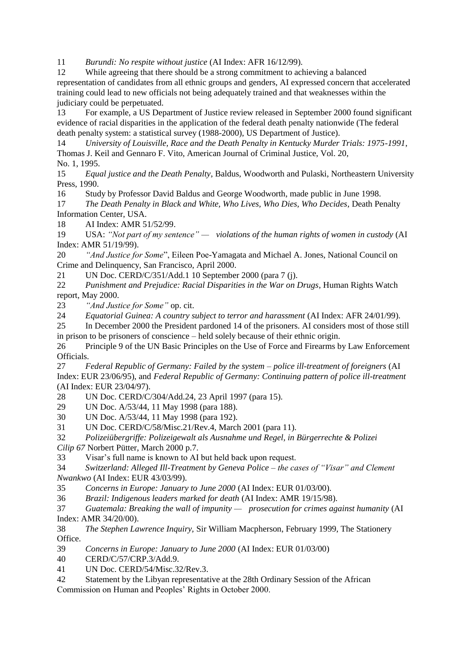11 *Burundi: No respite without justice* (AI Index: AFR 16/12/99).

12 While agreeing that there should be a strong commitment to achieving a balanced representation of candidates from all ethnic groups and genders, AI expressed concern that accelerated training could lead to new officials not being adequately trained and that weaknesses within the judiciary could be perpetuated.

13 For example, a US Department of Justice review released in September 2000 found significant evidence of racial disparities in the application of the federal death penalty nationwide (The federal death penalty system: a statistical survey (1988-2000), US Department of Justice).

14 *University of Louisville, Race and the Death Penalty in Kentucky Murder Trials: 1975-1991*, Thomas J. Keil and Gennaro F. Vito, American Journal of Criminal Justice, Vol. 20, No. 1, 1995.

15 *Equal justice and the Death Penalty*, Baldus, Woodworth and Pulaski, Northeastern University Press, 1990.

16 Study by Professor David Baldus and George Woodworth, made public in June 1998.

17 *The Death Penalty in Black and White, Who Lives, Who Dies, Who Decides*, Death Penalty Information Center, USA.

18 AI Index: AMR 51/52/99.

19 USA: *"Not part of my sentence" — violations of the human rights of women in custody* (AI Index: AMR 51/19/99).

20 *"And Justice for Some*", Eileen Poe-Yamagata and Michael A. Jones, National Council on Crime and Delinquency, San Francisco, April 2000.

21 UN Doc. CERD/C/351/Add.1 10 September 2000 (para 7 (j).

22 *Punishment and Prejudice: Racial Disparities in the War on Drugs*, Human Rights Watch report, May 2000.

23 *"And Justice for Some"* op. cit.

24 *Equatorial Guinea: A country subject to terror and harassment* (AI Index: AFR 24/01/99).

25 In December 2000 the President pardoned 14 of the prisoners. AI considers most of those still in prison to be prisoners of conscience – held solely because of their ethnic origin.

26 Principle 9 of the UN Basic Principles on the Use of Force and Firearms by Law Enforcement Officials.

27 *Federal Republic of Germany: Failed by the system – police ill-treatment of foreigners* (AI Index: EUR 23/06/95), and *Federal Republic of Germany: Continuing pattern of police ill-treatment* (AI Index: EUR 23/04/97).

28 UN Doc. CERD/C/304/Add.24, 23 April 1997 (para 15).

29 UN Doc. A/53/44, 11 May 1998 (para 188).

30 UN Doc. A/53/44, 11 May 1998 (para 192).

31 UN Doc. CERD/C/58/Misc.21/Rev.4, March 2001 (para 11).

32 *Polizeiübergriffe: Polizeigewalt als Ausnahme und Regel, in Bürgerrechte & Polizei* 

*Cilip 67* Norbert Pütter, March 2000 p.7.

33 Visar's full name is known to AI but held back upon request.

34 *Switzerland: Alleged Ill-Treatment by Geneva Police – the cases of "Visar" and Clement Nwankwo* (AI Index: EUR 43/03/99).

35 *Concerns in Europe: January to June 2000* (AI Index: EUR 01/03/00).

36 *Brazil: Indigenous leaders marked for death* (AI Index: AMR 19/15/98).

37 *Guatemala: Breaking the wall of impunity — prosecution for crimes against humanity* (AI Index: AMR 34/20/00).

38 *The Stephen Lawrence Inquiry,* Sir William Macpherson, February 1999, The Stationery Office.

39 *Concerns in Europe: January to June 2000* (AI Index: EUR 01/03/00)

40 CERD/C/57/CRP.3/Add.9.

41 UN Doc. CERD/54/Misc.32/Rev.3.

42 Statement by the Libyan representative at the 28th Ordinary Session of the African

Commission on Human and Peoples' Rights in October 2000.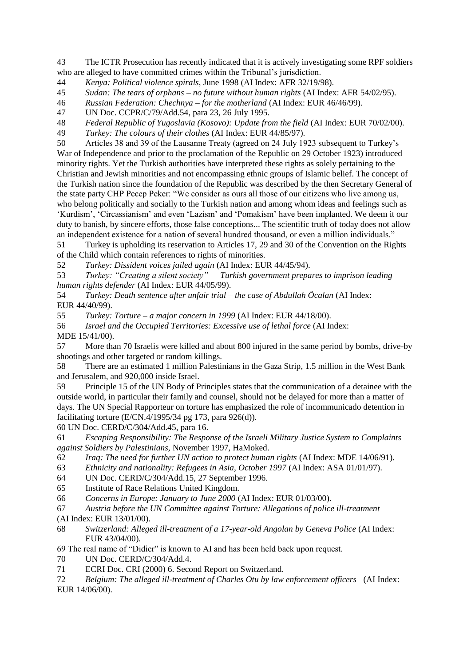43 The ICTR Prosecution has recently indicated that it is actively investigating some RPF soldiers who are alleged to have committed crimes within the Tribunal's jurisdiction.

44 *Kenya: Political violence spirals*, June 1998 (AI Index: AFR 32/19/98).

45 *Sudan: The tears of orphans – no future without human rights* (AI Index: AFR 54/02/95).

46 *Russian Federation: Chechnya – for the motherland* (AI Index: EUR 46/46/99).

47 UN Doc. CCPR/C/79/Add.54, para 23, 26 July 1995.

48 *Federal Republic of Yugoslavia (Kosovo): Update from the field* (AI Index: EUR 70/02/00).

49 *Turkey: The colours of their clothes* (AI Index: EUR 44/85/97).

50 Articles 38 and 39 of the Lausanne Treaty (agreed on 24 July 1923 subsequent to Turkey's War of Independence and prior to the proclamation of the Republic on 29 October 1923) introduced minority rights. Yet the Turkish authorities have interpreted these rights as solely pertaining to the Christian and Jewish minorities and not encompassing ethnic groups of Islamic belief. The concept of the Turkish nation since the foundation of the Republic was described by the then Secretary General of the state party CHP Pecep Peker: "We consider as ours all those of our citizens who live among us, who belong politically and socially to the Turkish nation and among whom ideas and feelings such as 'Kurdism', 'Circassianism' and even 'Lazism' and 'Pomakism' have been implanted. We deem it our duty to banish, by sincere efforts, those false conceptions... The scientific truth of today does not allow an independent existence for a nation of several hundred thousand, or even a million individuals."

51 Turkey is upholding its reservation to Articles 17, 29 and 30 of the Convention on the Rights of the Child which contain references to rights of minorities.

52 *Turkey: Dissident voices jailed again* (AI Index: EUR 44/45/94).

53 *Turkey: "Creating a silent society" — Turkish government prepares to imprison leading human rights defender* (AI Index: EUR 44/05/99).

54 *Turkey: Death sentence after unfair trial – the case of Abdullah Öcalan* (AI Index: EUR 44/40/99).

55 *Turkey: Torture – a major concern in 1999* (AI Index: EUR 44/18/00).

56 *Israel and the Occupied Territories: Excessive use of lethal force* (AI Index: MDE 15/41/00).

57 More than 70 Israelis were killed and about 800 injured in the same period by bombs, drive-by shootings and other targeted or random killings.

58 There are an estimated 1 million Palestinians in the Gaza Strip, 1.5 million in the West Bank and Jerusalem, and 920,000 inside Israel.

59 Principle 15 of the UN Body of Principles states that the communication of a detainee with the outside world, in particular their family and counsel, should not be delayed for more than a matter of days. The UN Special Rapporteur on torture has emphasized the role of incommunicado detention in facilitating torture (E/CN.4/1995/34 pg 173, para 926(d)).

60 UN Doc. CERD/C/304/Add.45, para 16.

61 *Escaping Responsibility: The Response of the Israeli Military Justice System to Complaints against Soldiers by Palestinians*, November 1997, HaMoked.

62 *Iraq: The need for further UN action to protect human rights* (AI Index: MDE 14/06/91).

63 *Ethnicity and nationality: Refugees in Asia, October 1997* (AI Index: ASA 01/01/97).

64 UN Doc. CERD/C/304/Add.15, 27 September 1996.

65 Institute of Race Relations United Kingdom.

66 *Concerns in Europe: January to June 2000* (AI Index: EUR 01/03/00).

67 *Austria before the UN Committee against Torture: Allegations of police ill-treatment* (AI Index: EUR 13/01/00).

68 *Switzerland: Alleged ill-treatment of a 17-year-old Angolan by Geneva Police* (AI Index: EUR 43/04/00).

69 The real name of "Didier" is known to AI and has been held back upon request.

70 UN Doc. CERD/C/304/Add.4.

71 ECRI Doc. CRI (2000) 6. Second Report on Switzerland.

72 *Belgium: The alleged ill-treatment of Charles Otu by law enforcement officers* (AI Index: EUR 14/06/00).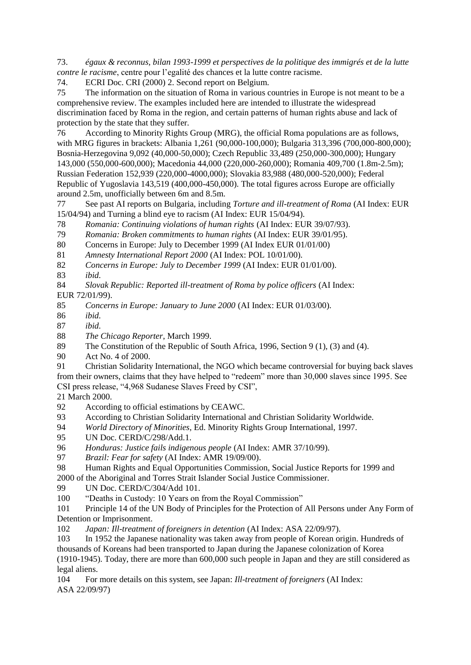73. *égaux & reconnus, bilan 1993-1999 et perspectives de la politique des immigrés et de la lutte contre le racisme*, centre pour l'egalité des chances et la lutte contre racisme.

74. ECRI Doc. CRI (2000) 2. Second report on Belgium.

75 The information on the situation of Roma in various countries in Europe is not meant to be a comprehensive review. The examples included here are intended to illustrate the widespread discrimination faced by Roma in the region, and certain patterns of human rights abuse and lack of protection by the state that they suffer.

76 According to Minority Rights Group (MRG), the official Roma populations are as follows, with MRG figures in brackets: Albania 1,261 (90,000-100,000); Bulgaria 313,396 (700,000-800,000); Bosnia-Herzegovina 9,092 (40,000-50,000); Czech Republic 33,489 (250,000-300,000); Hungary 143,000 (550,000-600,000); Macedonia 44,000 (220,000-260,000); Romania 409,700 (1.8m-2.5m); Russian Federation 152,939 (220,000-4000,000); Slovakia 83,988 (480,000-520,000); Federal Republic of Yugoslavia 143,519 (400,000-450,000). The total figures across Europe are officially around 2.5m, unofficially between 6m and 8.5m.

77 See past AI reports on Bulgaria, including *Torture and ill-treatment of Roma* (AI Index: EUR 15/04/94) and Turning a blind eye to racism (AI Index: EUR 15/04/94).

78 *Romania: Continuing violations of human rights* (AI Index: EUR 39/07/93).

79 *Romania: Broken commitments to human rights* (AI Index: EUR 39/01/95).

80 Concerns in Europe: July to December 1999 (AI Index EUR 01/01/00)

81 *Amnesty International Report 2000* (AI Index: POL 10/01/00).

82 *Concerns in Europe: July to December 1999* (AI Index: EUR 01/01/00).

83 *ibid.*

84 *Slovak Republic: Reported ill-treatment of Roma by police officers* (AI Index: EUR 72/01/99).

85 *Concerns in Europe: January to June 2000* (AI Index: EUR 01/03/00).

86 *ibid.*

87 *ibid.*

88 *The Chicago Reporter*, March 1999.

89 The Constitution of the Republic of South Africa, 1996, Section 9 (1), (3) and (4).

90 Act No. 4 of 2000.

91 Christian Solidarity International, the NGO which became controversial for buying back slaves from their owners, claims that they have helped to "redeem" more than 30,000 slaves since 1995. See CSI press release, "4,968 Sudanese Slaves Freed by CSI",

21 March 2000.

92 According to official estimations by CEAWC.

93 According to Christian Solidarity International and Christian Solidarity Worldwide.

94 *World Directory of Minorities*, Ed. Minority Rights Group International, 1997.

95 UN Doc. CERD/C/298/Add.1.

96 *Honduras: Justice fails indigenous people* (AI Index: AMR 37/10/99).

97 *Brazil: Fear for safety* (AI Index: AMR 19/09/00).

98 Human Rights and Equal Opportunities Commission, Social Justice Reports for 1999 and 2000 of the Aboriginal and Torres Strait Islander Social Justice Commissioner.

99 UN Doc. CERD/C/304/Add 101.

100 "Deaths in Custody: 10 Years on from the Royal Commission"

101 Principle 14 of the UN Body of Principles for the Protection of All Persons under Any Form of Detention or Imprisonment.

102 *Japan: Ill-treatment of foreigners in detention* (AI Index: ASA 22/09/97).

103 In 1952 the Japanese nationality was taken away from people of Korean origin. Hundreds of thousands of Koreans had been transported to Japan during the Japanese colonization of Korea (1910-1945). Today, there are more than 600,000 such people in Japan and they are still considered as legal aliens.

104 For more details on this system, see Japan: *Ill-treatment of foreigners* (AI Index: ASA 22/09/97)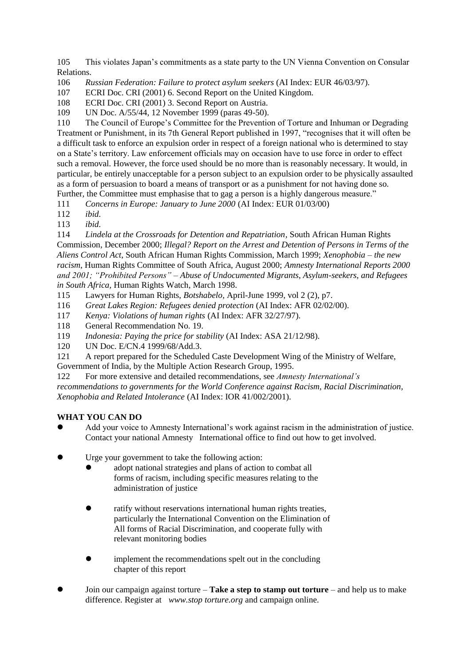105 This violates Japan's commitments as a state party to the UN Vienna Convention on Consular Relations.

106 *Russian Federation: Failure to protect asylum seekers* (AI Index: EUR 46/03/97).

107 ECRI Doc. CRI (2001) 6. Second Report on the United Kingdom.

108 ECRI Doc. CRI (2001) 3. Second Report on Austria.

109 UN Doc. A/55/44, 12 November 1999 (paras 49-50).

110 The Council of Europe's Committee for the Prevention of Torture and Inhuman or Degrading Treatment or Punishment, in its 7th General Report published in 1997, "recognises that it will often be a difficult task to enforce an expulsion order in respect of a foreign national who is determined to stay on a State's territory. Law enforcement officials may on occasion have to use force in order to effect such a removal. However, the force used should be no more than is reasonably necessary. It would, in particular, be entirely unacceptable for a person subject to an expulsion order to be physically assaulted as a form of persuasion to board a means of transport or as a punishment for not having done so. Further, the Committee must emphasise that to gag a person is a highly dangerous measure."

111 *Concerns in Europe: January to June 2000* (AI Index: EUR 01/03/00)

112 *ibid.*

113 *ibid.*

114 *Lindela at the Crossroads for Detention and Repatriation*, South African Human Rights Commission, December 2000; *Illegal? Report on the Arrest and Detention of Persons in Terms of the Aliens Control Act*, South African Human Rights Commission, March 1999; *Xenophobia – the new racism*, Human Rights Committee of South Africa, August 2000; *Amnesty International Reports 2000 and 2001; "Prohibited Persons" – Abuse of Undocumented Migrants, Asylum-seekers, and Refugees in South Africa,* Human Rights Watch, March 1998.

115 Lawyers for Human Rights, *Botshabelo*, April-June 1999, vol 2 (2), p7.

116 *Great Lakes Region: Refugees denied protection* (AI Index: AFR 02/02/00).

- 117 *Kenya: Violations of human rights* (AI Index: AFR 32/27/97).
- 118 General Recommendation No. 19.
- 119 *Indonesia: Paying the price for stability* (AI Index: ASA 21/12/98).
- 120 UN Doc. E/CN.4 1999/68/Add.3.

121 A report prepared for the Scheduled Caste Development Wing of the Ministry of Welfare, Government of India, by the Multiple Action Research Group, 1995.

122 For more extensive and detailed recommendations, see *Amnesty International's recommendations to governments for the World Conference against Racism, Racial Discrimination, Xenophobia and Related Intolerance* (AI Index: IOR 41/002/2001).

## **WHAT YOU CAN DO**

- Add your voice to Amnesty International's work against racism in the administration of justice. Contact your national Amnesty International office to find out how to get involved.
- Urge your government to take the following action:
	- adopt national strategies and plans of action to combat all forms of racism, including specific measures relating to the administration of justice
	- ratify without reservations international human rights treaties, particularly the International Convention on the Elimination of All forms of Racial Discrimination, and cooperate fully with relevant monitoring bodies
	- implement the recommendations spelt out in the concluding chapter of this report
- Join our campaign against torture **Take a step to stamp out torture** and help us to make difference. Register at *www.stop torture.org* and campaign online.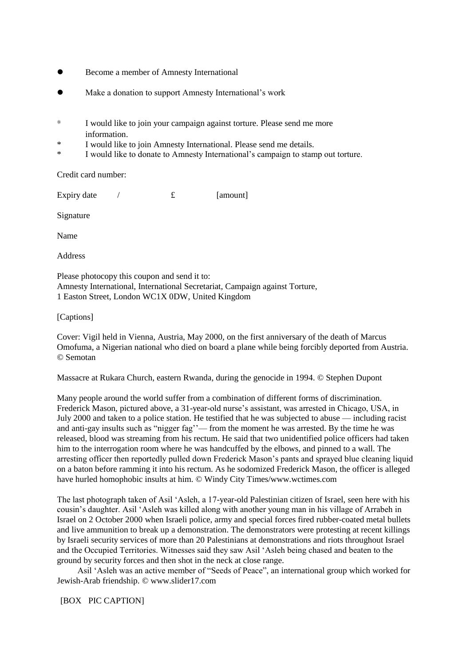- Become a member of Amnesty International
- Make a donation to support Amnesty International's work
- \* I would like to join your campaign against torture. Please send me more information.
- \* I would like to join Amnesty International. Please send me details.
- \* I would like to donate to Amnesty International's campaign to stamp out torture.

Credit card number:

Expiry date  $/$   $\mathbf{f}$  [amount]

Signature

Name

Address

Please photocopy this coupon and send it to: Amnesty International, International Secretariat, Campaign against Torture, 1 Easton Street, London WC1X 0DW, United Kingdom

[Captions]

Cover: Vigil held in Vienna, Austria, May 2000, on the first anniversary of the death of Marcus Omofuma, a Nigerian national who died on board a plane while being forcibly deported from Austria. © Semotan

Massacre at Rukara Church, eastern Rwanda, during the genocide in 1994. © Stephen Dupont

Many people around the world suffer from a combination of different forms of discrimination. Frederick Mason, pictured above, a 31-year-old nurse's assistant, was arrested in Chicago, USA, in July 2000 and taken to a police station. He testified that he was subjected to abuse — including racist and anti-gay insults such as "nigger fag''— from the moment he was arrested. By the time he was released, blood was streaming from his rectum. He said that two unidentified police officers had taken him to the interrogation room where he was handcuffed by the elbows, and pinned to a wall. The arresting officer then reportedly pulled down Frederick Mason's pants and sprayed blue cleaning liquid on a baton before ramming it into his rectum. As he sodomized Frederick Mason, the officer is alleged have hurled homophobic insults at him. © Windy City Times/www.wctimes.com

The last photograph taken of Asil 'Asleh, a 17-year-old Palestinian citizen of Israel, seen here with his cousin's daughter. Asil 'Asleh was killed along with another young man in his village of Arrabeh in Israel on 2 October 2000 when Israeli police, army and special forces fired rubber-coated metal bullets and live ammunition to break up a demonstration. The demonstrators were protesting at recent killings by Israeli security services of more than 20 Palestinians at demonstrations and riots throughout Israel and the Occupied Territories. Witnesses said they saw Asil 'Asleh being chased and beaten to the ground by security forces and then shot in the neck at close range.

 Asil 'Asleh was an active member of "Seeds of Peace", an international group which worked for Jewish-Arab friendship. © www.slider17.com

[BOX PIC CAPTION]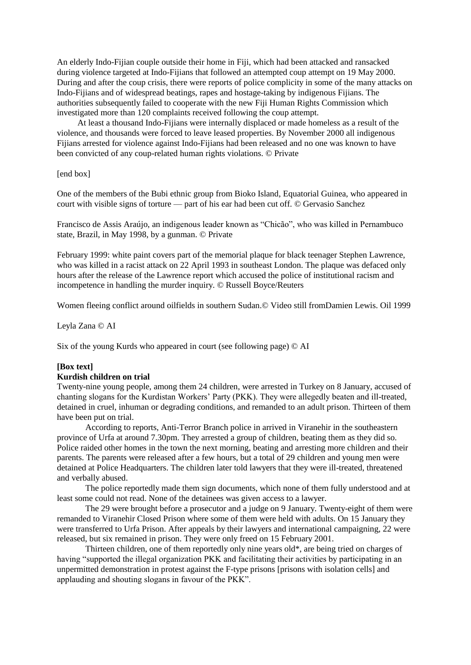An elderly Indo-Fijian couple outside their home in Fiji, which had been attacked and ransacked during violence targeted at Indo-Fijians that followed an attempted coup attempt on 19 May 2000. During and after the coup crisis, there were reports of police complicity in some of the many attacks on Indo-Fijians and of widespread beatings, rapes and hostage-taking by indigenous Fijians. The authorities subsequently failed to cooperate with the new Fiji Human Rights Commission which investigated more than 120 complaints received following the coup attempt.

 At least a thousand Indo-Fijians were internally displaced or made homeless as a result of the violence, and thousands were forced to leave leased properties. By November 2000 all indigenous Fijians arrested for violence against Indo-Fijians had been released and no one was known to have been convicted of any coup-related human rights violations. © Private

[end box]

One of the members of the Bubi ethnic group from Bioko Island, Equatorial Guinea, who appeared in court with visible signs of torture — part of his ear had been cut off. © Gervasio Sanchez

Francisco de Assis Araújo, an indigenous leader known as "Chicão", who was killed in Pernambuco state, Brazil, in May 1998, by a gunman. © Private

February 1999: white paint covers part of the memorial plaque for black teenager Stephen Lawrence, who was killed in a racist attack on 22 April 1993 in southeast London. The plaque was defaced only hours after the release of the Lawrence report which accused the police of institutional racism and incompetence in handling the murder inquiry. © Russell Boyce/Reuters

Women fleeing conflict around oilfields in southern Sudan.© Video still fromDamien Lewis. Oil 1999

Leyla Zana © AI

Six of the young Kurds who appeared in court (see following page) © AI

## **[Box text]**

### **Kurdish children on trial**

Twenty-nine young people, among them 24 children, were arrested in Turkey on 8 January, accused of chanting slogans for the Kurdistan Workers' Party (PKK). They were allegedly beaten and ill-treated, detained in cruel, inhuman or degrading conditions, and remanded to an adult prison. Thirteen of them have been put on trial.

According to reports, Anti-Terror Branch police in arrived in Viranehir in the southeastern province of Urfa at around 7.30pm. They arrested a group of children, beating them as they did so. Police raided other homes in the town the next morning, beating and arresting more children and their parents. The parents were released after a few hours, but a total of 29 children and young men were detained at Police Headquarters. The children later told lawyers that they were ill-treated, threatened and verbally abused.

The police reportedly made them sign documents, which none of them fully understood and at least some could not read. None of the detainees was given access to a lawyer.

The 29 were brought before a prosecutor and a judge on 9 January. Twenty-eight of them were remanded to Viranehir Closed Prison where some of them were held with adults. On 15 January they were transferred to Urfa Prison. After appeals by their lawyers and international campaigning, 22 were released, but six remained in prison. They were only freed on 15 February 2001.

Thirteen children, one of them reportedly only nine years old\*, are being tried on charges of having "supported the illegal organization PKK and facilitating their activities by participating in an unpermitted demonstration in protest against the F-type prisons [prisons with isolation cells] and applauding and shouting slogans in favour of the PKK".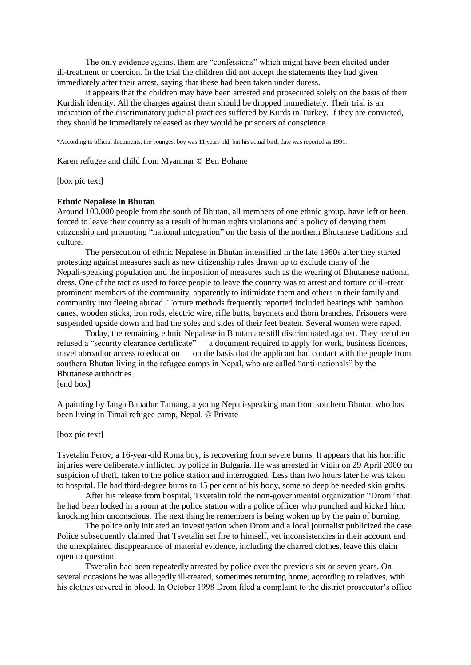The only evidence against them are "confessions" which might have been elicited under ill-treatment or coercion. In the trial the children did not accept the statements they had given immediately after their arrest, saying that these had been taken under duress.

It appears that the children may have been arrested and prosecuted solely on the basis of their Kurdish identity. All the charges against them should be dropped immediately. Their trial is an indication of the discriminatory judicial practices suffered by Kurds in Turkey. If they are convicted, they should be immediately released as they would be prisoners of conscience.

\*According to official documents, the youngest boy was 11 years old, but his actual birth date was reported as 1991.

Karen refugee and child from Myanmar © Ben Bohane

[box pic text]

### **Ethnic Nepalese in Bhutan**

Around 100,000 people from the south of Bhutan, all members of one ethnic group, have left or been forced to leave their country as a result of human rights violations and a policy of denying them citizenship and promoting "national integration" on the basis of the northern Bhutanese traditions and culture.

The persecution of ethnic Nepalese in Bhutan intensified in the late 1980s after they started protesting against measures such as new citizenship rules drawn up to exclude many of the Nepali-speaking population and the imposition of measures such as the wearing of Bhutanese national dress. One of the tactics used to force people to leave the country was to arrest and torture or ill-treat prominent members of the community, apparently to intimidate them and others in their family and community into fleeing abroad. Torture methods frequently reported included beatings with bamboo canes, wooden sticks, iron rods, electric wire, rifle butts, bayonets and thorn branches. Prisoners were suspended upside down and had the soles and sides of their feet beaten. Several women were raped.

Today, the remaining ethnic Nepalese in Bhutan are still discriminated against. They are often refused a "security clearance certificate" — a document required to apply for work, business licences, travel abroad or access to education — on the basis that the applicant had contact with the people from southern Bhutan living in the refugee camps in Nepal, who are called "anti-nationals" by the Bhutanese authorities.

[end box]

A painting by Janga Bahadur Tamang, a young Nepali-speaking man from southern Bhutan who has been living in Timai refugee camp, Nepal. © Private

[box pic text]

Tsvetalin Perov, a 16-year-old Roma boy, is recovering from severe burns. It appears that his horrific injuries were deliberately inflicted by police in Bulgaria. He was arrested in Vidin on 29 April 2000 on suspicion of theft, taken to the police station and interrogated. Less than two hours later he was taken to hospital. He had third-degree burns to 15 per cent of his body, some so deep he needed skin grafts.

After his release from hospital, Tsvetalin told the non-governmental organization "Drom" that he had been locked in a room at the police station with a police officer who punched and kicked him, knocking him unconscious. The next thing he remembers is being woken up by the pain of burning.

The police only initiated an investigation when Drom and a local journalist publicized the case. Police subsequently claimed that Tsvetalin set fire to himself, yet inconsistencies in their account and the unexplained disappearance of material evidence, including the charred clothes, leave this claim open to question.

Tsvetalin had been repeatedly arrested by police over the previous six or seven years. On several occasions he was allegedly ill-treated, sometimes returning home, according to relatives, with his clothes covered in blood. In October 1998 Drom filed a complaint to the district prosecutor's office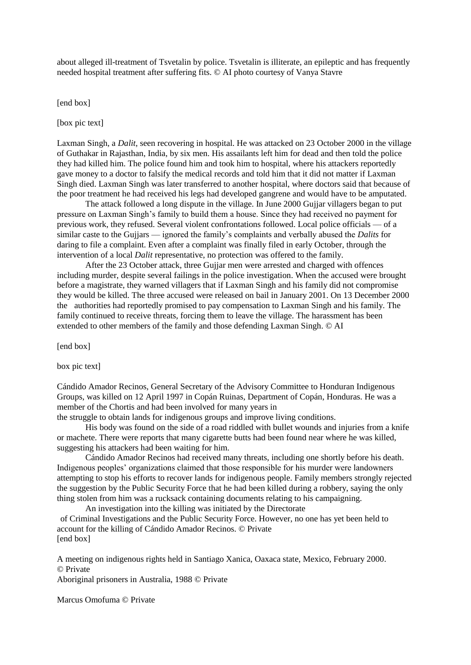about alleged ill-treatment of Tsvetalin by police. Tsvetalin is illiterate, an epileptic and has frequently needed hospital treatment after suffering fits. © AI photo courtesy of Vanya Stavre

[end box]

[box pic text]

Laxman Singh, a *Dalit*, seen recovering in hospital. He was attacked on 23 October 2000 in the village of Guthakar in Rajasthan, India, by six men. His assailants left him for dead and then told the police they had killed him. The police found him and took him to hospital, where his attackers reportedly gave money to a doctor to falsify the medical records and told him that it did not matter if Laxman Singh died. Laxman Singh was later transferred to another hospital, where doctors said that because of the poor treatment he had received his legs had developed gangrene and would have to be amputated.

The attack followed a long dispute in the village. In June 2000 Gujjar villagers began to put pressure on Laxman Singh's family to build them a house. Since they had received no payment for previous work, they refused. Several violent confrontations followed. Local police officials — of a similar caste to the Gujjars — ignored the family's complaints and verbally abused the *Dalits* for daring to file a complaint. Even after a complaint was finally filed in early October, through the intervention of a local *Dalit* representative, no protection was offered to the family.

After the 23 October attack, three Gujjar men were arrested and charged with offences including murder, despite several failings in the police investigation. When the accused were brought before a magistrate, they warned villagers that if Laxman Singh and his family did not compromise they would be killed. The three accused were released on bail in January 2001. On 13 December 2000 the authorities had reportedly promised to pay compensation to Laxman Singh and his family. The family continued to receive threats, forcing them to leave the village. The harassment has been extended to other members of the family and those defending Laxman Singh. © AI

[end box]

box pic text]

Cándido Amador Recinos, General Secretary of the Advisory Committee to Honduran Indigenous Groups, was killed on 12 April 1997 in Copán Ruinas, Department of Copán, Honduras. He was a member of the Chortis and had been involved for many years in

the struggle to obtain lands for indigenous groups and improve living conditions.

His body was found on the side of a road riddled with bullet wounds and injuries from a knife or machete. There were reports that many cigarette butts had been found near where he was killed, suggesting his attackers had been waiting for him.

Cándido Amador Recinos had received many threats, including one shortly before his death. Indigenous peoples' organizations claimed that those responsible for his murder were landowners attempting to stop his efforts to recover lands for indigenous people. Family members strongly rejected the suggestion by the Public Security Force that he had been killed during a robbery, saying the only thing stolen from him was a rucksack containing documents relating to his campaigning.

An investigation into the killing was initiated by the Directorate of Criminal Investigations and the Public Security Force. However, no one has yet been held to account for the killing of Cándido Amador Recinos. © Private [end box]

A meeting on indigenous rights held in Santiago Xanica, Oaxaca state, Mexico, February 2000. © Private Aboriginal prisoners in Australia, 1988 © Private

Marcus Omofuma © Private